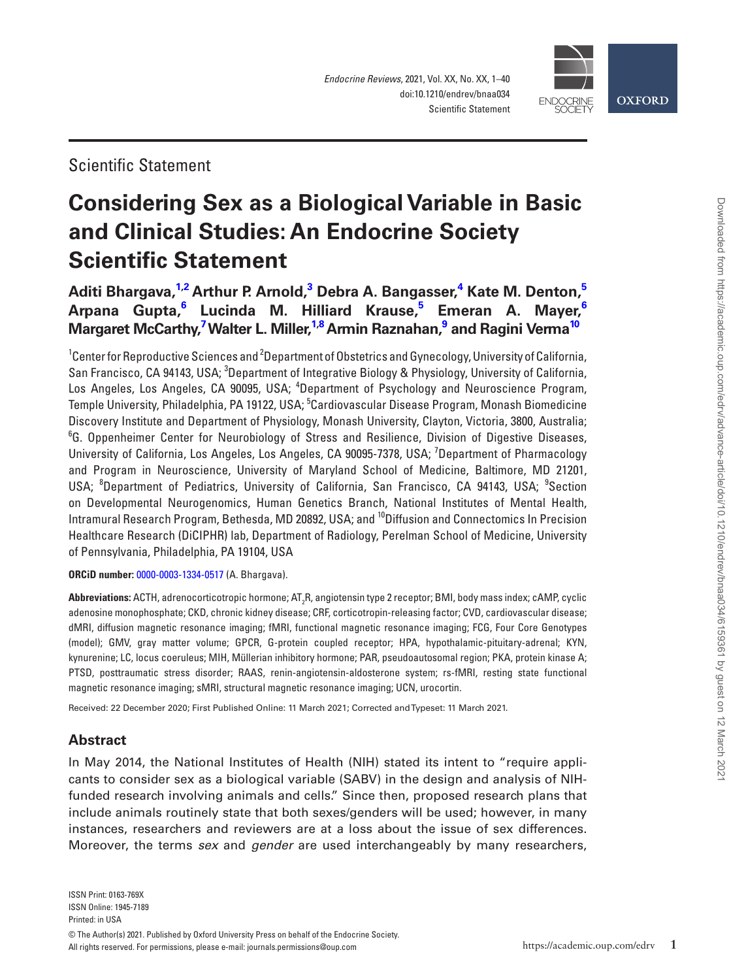



Scientific Statement

# **Considering Sex as a Biological Variable in Basic and Clinical Studies: An Endocrine Society Scientific Statement**

**[Aditi Bhargava,](https://orcid.org/0000-0003-1334-0517) [1,](#page-0-0)[2](#page-0-1) Arthur P. Arnold, [3](#page-0-2) Debra A. Bangasser, [4](#page-0-3) Kate M. Denton, [5](#page-0-4) Arpana Gupta, [6](#page-0-5) Lucinda M. Hilliard Krause, [5](#page-0-4) Emeran A. Mayer, [6](#page-0-5)**  $\bm{\mathsf{M}}$ argaret McCarthy, $^{\text{7}}$  $^{\text{7}}$  $^{\text{7}}$ Walter L. Miller, $^{1,8}$  $^{1,8}$  $^{1,8}$  $^{1,8}$ Armin Raznahan, $^{\text{9}}$  $^{\text{9}}$  $^{\text{9}}$  and Ragini Verma $^{10}$ 

<span id="page-0-6"></span><span id="page-0-5"></span><span id="page-0-4"></span><span id="page-0-3"></span><span id="page-0-2"></span><span id="page-0-1"></span><span id="page-0-0"></span> $^1$ Center for Reproductive Sciences and  $^2$ Department of Obstetrics and Gynecology, University of California, San Francisco, CA 94143, USA; <sup>3</sup>Department of Integrative Biology & Physiology, University of California, Los Angeles, Los Angeles, CA 90095, USA; <sup>4</sup>Department of Psychology and Neuroscience Program, Temple University, Philadelphia, PA 19122, USA; <sup>5</sup>Cardiovascular Disease Program, Monash Biomedicine Discovery Institute and Department of Physiology, Monash University, Clayton, Victoria, 3800, Australia; <sup>6</sup>G. Oppenheimer Center for Neurobiology of Stress and Resilience, Division of Digestive Diseases, University of California, Los Angeles, Los Angeles, CA 90095-7378, USA; <sup>7</sup>Department of Pharmacology and Program in Neuroscience, University of Maryland School of Medicine, Baltimore, MD 21201, USA; <sup>8</sup>Department of Pediatrics, University of California, San Francisco, CA 94143, USA; <sup>9</sup>Section on Developmental Neurogenomics, Human Genetics Branch, National Institutes of Mental Health, Intramural Research Program, Bethesda, MD 20892, USA; and 10Diffusion and Connectomics In Precision Healthcare Research (DiCIPHR) lab, Department of Radiology, Perelman School of Medicine, University of Pennsylvania, Philadelphia, PA 19104, USA

<span id="page-0-9"></span><span id="page-0-8"></span><span id="page-0-7"></span>**ORCiD number:** [0000-0003-1334-0517](https://orcid.org/0000-0003-1334-0517) (A. Bhargava).

**Abbreviations:** ACTH, adrenocorticotropic hormone; AT<sub>2</sub>R, angiotensin type 2 receptor; BMI, body mass index; cAMP, cyclic adenosine monophosphate; CKD, chronic kidney disease; CRF, corticotropin-releasing factor; CVD, cardiovascular disease; dMRI, diffusion magnetic resonance imaging; fMRI, functional magnetic resonance imaging; FCG, Four Core Genotypes (model); GMV, gray matter volume; GPCR, G-protein coupled receptor; HPA, hypothalamic-pituitary-adrenal; KYN, kynurenine; LC, locus coeruleus; MIH, Müllerian inhibitory hormone; PAR, pseudoautosomal region; PKA, protein kinase A; PTSD, posttraumatic stress disorder; RAAS, renin-angiotensin-aldosterone system; rs-fMRI, resting state functional magnetic resonance imaging; sMRI, structural magnetic resonance imaging; UCN, urocortin.

Received: 22 December 2020; First Published Online: 11 March 2021; Corrected and Typeset: 11 March 2021.

## **Abstract**

In May 2014, the National Institutes of Health (NIH) stated its intent to "require applicants to consider sex as a biological variable (SABV) in the design and analysis of NIHfunded research involving animals and cells." Since then, proposed research plans that include animals routinely state that both sexes/genders will be used; however, in many instances, researchers and reviewers are at a loss about the issue of sex differences. Moreover, the terms *sex* and *gender* are used interchangeably by many researchers,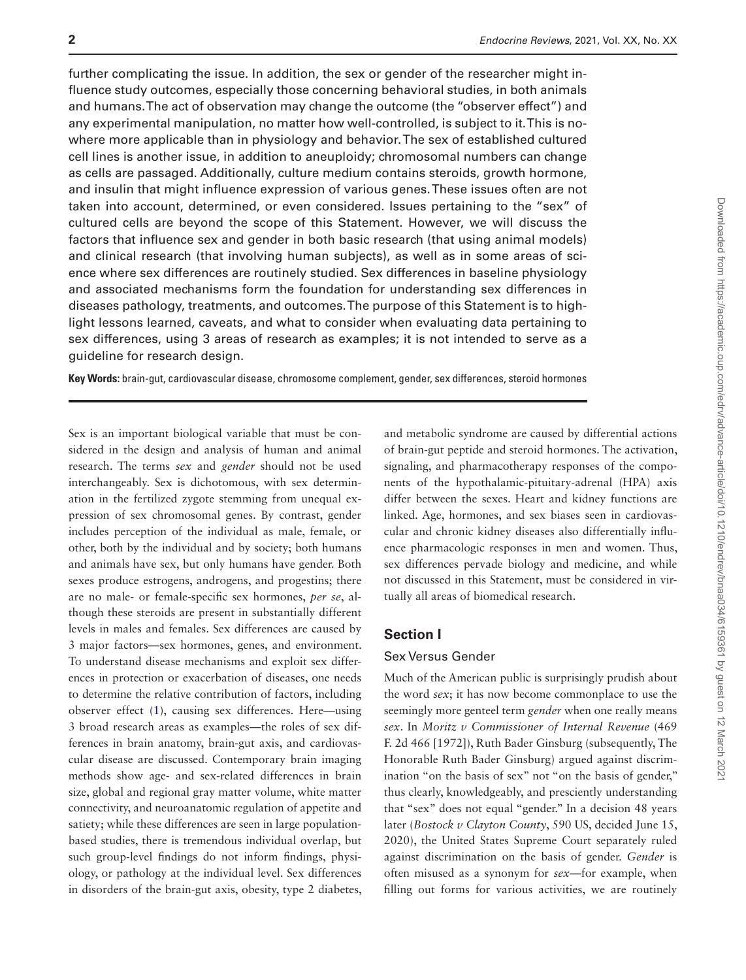further complicating the issue. In addition, the sex or gender of the researcher might influence study outcomes, especially those concerning behavioral studies, in both animals and humans. The act of observation may change the outcome (the "observer effect") and any experimental manipulation, no matter how well-controlled, is subject to it. This is nowhere more applicable than in physiology and behavior. The sex of established cultured cell lines is another issue, in addition to aneuploidy; chromosomal numbers can change as cells are passaged. Additionally, culture medium contains steroids, growth hormone, and insulin that might influence expression of various genes. These issues often are not taken into account, determined, or even considered. Issues pertaining to the "sex" of cultured cells are beyond the scope of this Statement. However, we will discuss the factors that influence sex and gender in both basic research (that using animal models) and clinical research (that involving human subjects), as well as in some areas of science where sex differences are routinely studied. Sex differences in baseline physiology and associated mechanisms form the foundation for understanding sex differences in diseases pathology, treatments, and outcomes. The purpose of this Statement is to highlight lessons learned, caveats, and what to consider when evaluating data pertaining to sex differences, using 3 areas of research as examples; it is not intended to serve as a guideline for research design.

**Key Words:** brain-gut, cardiovascular disease, chromosome complement, gender, sex differences, steroid hormones

Sex is an important biological variable that must be considered in the design and analysis of human and animal research. The terms *sex* and *gender* should not be used interchangeably. Sex is dichotomous, with sex determination in the fertilized zygote stemming from unequal expression of sex chromosomal genes. By contrast, gender includes perception of the individual as male, female, or other, both by the individual and by society; both humans and animals have sex, but only humans have gender. Both sexes produce estrogens, androgens, and progestins; there are no male- or female-specific sex hormones, *per se*, although these steroids are present in substantially different levels in males and females. Sex differences are caused by 3 major factors—sex hormones, genes, and environment. To understand disease mechanisms and exploit sex differences in protection or exacerbation of diseases, one needs to determine the relative contribution of factors, including observer effect [\(1\)](#page-28-0), causing sex differences. Here—using 3 broad research areas as examples—the roles of sex differences in brain anatomy, brain-gut axis, and cardiovascular disease are discussed. Contemporary brain imaging methods show age- and sex-related differences in brain size, global and regional gray matter volume, white matter connectivity, and neuroanatomic regulation of appetite and satiety; while these differences are seen in large populationbased studies, there is tremendous individual overlap, but such group-level findings do not inform findings, physiology, or pathology at the individual level. Sex differences in disorders of the brain-gut axis, obesity, type 2 diabetes, and metabolic syndrome are caused by differential actions of brain-gut peptide and steroid hormones. The activation, signaling, and pharmacotherapy responses of the components of the hypothalamic-pituitary-adrenal (HPA) axis differ between the sexes. Heart and kidney functions are linked. Age, hormones, and sex biases seen in cardiovascular and chronic kidney diseases also differentially influence pharmacologic responses in men and women. Thus, sex differences pervade biology and medicine, and while not discussed in this Statement, must be considered in virtually all areas of biomedical research.

#### **Section I**

#### Sex Versus Gender

Much of the American public is surprisingly prudish about the word *sex*; it has now become commonplace to use the seemingly more genteel term *gender* when one really means *sex*. In *Moritz v Commissioner of Internal Revenue* (469 F. 2d 466 [1972]), Ruth Bader Ginsburg (subsequently, The Honorable Ruth Bader Ginsburg) argued against discrimination "on the basis of sex" not "on the basis of gender," thus clearly, knowledgeably, and presciently understanding that "sex" does not equal "gender." In a decision 48 years later (*Bostock v Clayton County*, 590 US, decided June 15, 2020), the United States Supreme Court separately ruled against discrimination on the basis of gender. *Gender* is often misused as a synonym for *sex*—for example, when filling out forms for various activities, we are routinely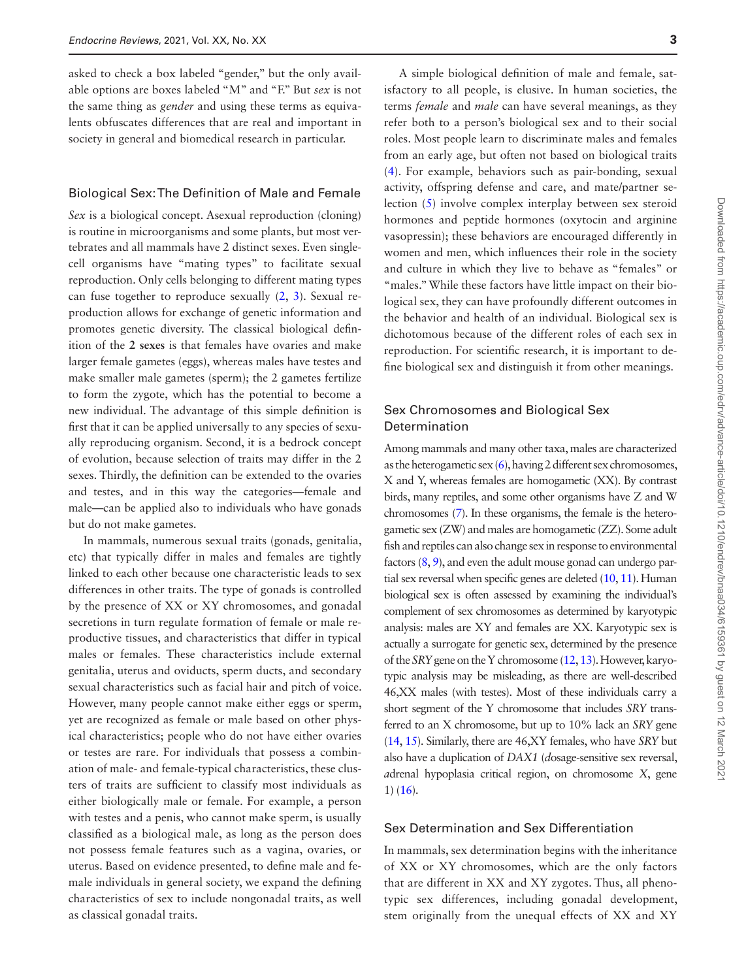asked to check a box labeled "gender," but the only available options are boxes labeled "M" and "F." But *sex* is not the same thing as *gender* and using these terms as equivalents obfuscates differences that are real and important in society in general and biomedical research in particular.

#### Biological Sex: The Definition of Male and Female

*Sex* is a biological concept. Asexual reproduction (cloning) is routine in microorganisms and some plants, but most vertebrates and all mammals have 2 distinct sexes. Even singlecell organisms have "mating types" to facilitate sexual reproduction. Only cells belonging to different mating types can fuse together to reproduce sexually ([2,](#page-28-1) [3](#page-28-2)). Sexual reproduction allows for exchange of genetic information and promotes genetic diversity. The classical biological definition of the **2 sexes** is that females have ovaries and make larger female gametes (eggs), whereas males have testes and make smaller male gametes (sperm); the 2 gametes fertilize to form the zygote, which has the potential to become a new individual. The advantage of this simple definition is first that it can be applied universally to any species of sexually reproducing organism. Second, it is a bedrock concept of evolution, because selection of traits may differ in the 2 sexes. Thirdly, the definition can be extended to the ovaries and testes, and in this way the categories—female and male—can be applied also to individuals who have gonads but do not make gametes.

In mammals, numerous sexual traits (gonads, genitalia, etc) that typically differ in males and females are tightly linked to each other because one characteristic leads to sex differences in other traits. The type of gonads is controlled by the presence of XX or XY chromosomes, and gonadal secretions in turn regulate formation of female or male reproductive tissues, and characteristics that differ in typical males or females. These characteristics include external genitalia, uterus and oviducts, sperm ducts, and secondary sexual characteristics such as facial hair and pitch of voice. However, many people cannot make either eggs or sperm, yet are recognized as female or male based on other physical characteristics; people who do not have either ovaries or testes are rare. For individuals that possess a combination of male- and female-typical characteristics, these clusters of traits are sufficient to classify most individuals as either biologically male or female. For example, a person with testes and a penis, who cannot make sperm, is usually classified as a biological male, as long as the person does not possess female features such as a vagina, ovaries, or uterus. Based on evidence presented, to define male and female individuals in general society, we expand the defining characteristics of sex to include nongonadal traits, as well as classical gonadal traits.

A simple biological definition of male and female, satisfactory to all people, is elusive. In human societies, the terms *female* and *male* can have several meanings, as they refer both to a person's biological sex and to their social roles. Most people learn to discriminate males and females from an early age, but often not based on biological traits ([4\)](#page-28-3). For example, behaviors such as pair-bonding, sexual activity, offspring defense and care, and mate/partner selection [\(5](#page-28-4)) involve complex interplay between sex steroid hormones and peptide hormones (oxytocin and arginine vasopressin); these behaviors are encouraged differently in women and men, which influences their role in the society and culture in which they live to behave as "females" or "males." While these factors have little impact on their biological sex, they can have profoundly different outcomes in the behavior and health of an individual. Biological sex is dichotomous because of the different roles of each sex in reproduction. For scientific research, it is important to define biological sex and distinguish it from other meanings.

#### Sex Chromosomes and Biological Sex Determination

Among mammals and many other taxa, males are characterized as the heterogametic sex [\(6\)](#page-28-5), having 2 different sex chromosomes, X and Y, whereas females are homogametic (XX). By contrast birds, many reptiles, and some other organisms have Z and W chromosomes [\(7\)](#page-28-6). In these organisms, the female is the heterogametic sex (ZW) and males are homogametic (ZZ). Some adult fish and reptiles can also change sex in response to environmental factors [\(8](#page-28-7), [9](#page-28-8)), and even the adult mouse gonad can undergo partial sex reversal when specific genes are deleted ([10](#page-28-9), [11\)](#page-28-10). Human biological sex is often assessed by examining the individual's complement of sex chromosomes as determined by karyotypic analysis: males are XY and females are XX. Karyotypic sex is actually a surrogate for genetic sex, determined by the presence of the *SRY* gene on the Y chromosome [\(12](#page-28-11), [13\)](#page-28-12). However, karyotypic analysis may be misleading, as there are well-described 46,XX males (with testes). Most of these individuals carry a short segment of the Y chromosome that includes *SRY* transferred to an X chromosome, but up to 10% lack an *SRY* gene [\(14](#page-28-13), [15](#page-28-14)). Similarly, there are 46,XY females, who have *SRY* but also have a duplication of *DAX1* (*d*osage-sensitive sex reversal, *a*drenal hypoplasia critical region, on chromosome *X*, gene 1) [\(16\)](#page-28-15).

#### Sex Determination and Sex Differentiation

In mammals, sex determination begins with the inheritance of XX or XY chromosomes, which are the only factors that are different in XX and XY zygotes. Thus, all phenotypic sex differences, including gonadal development, stem originally from the unequal effects of XX and XY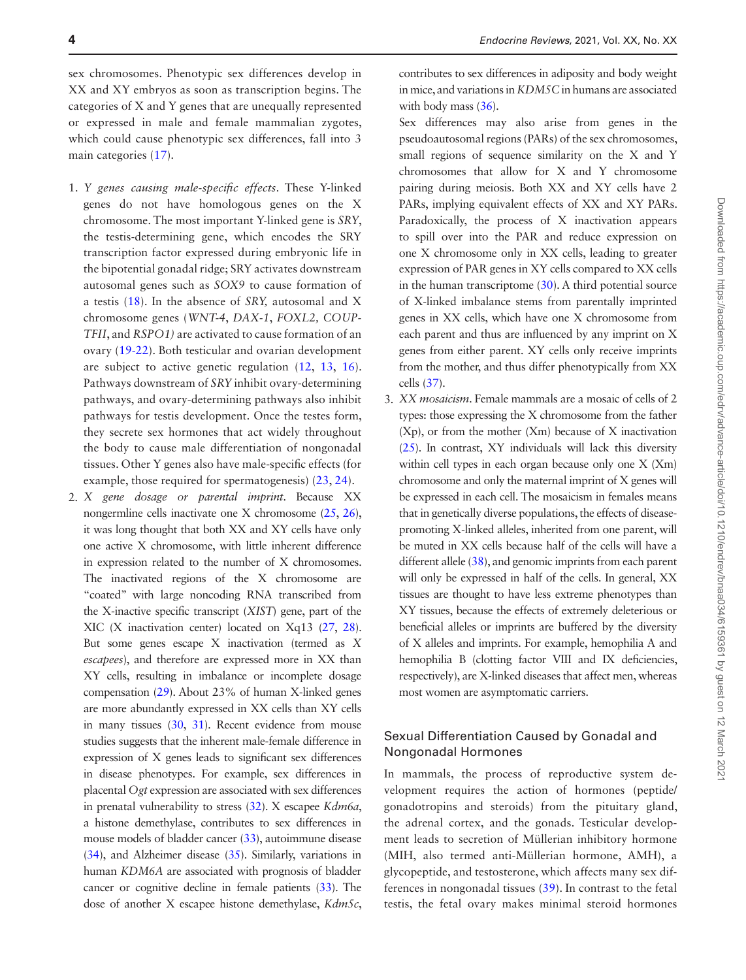sex chromosomes. Phenotypic sex differences develop in XX and XY embryos as soon as transcription begins. The categories of X and Y genes that are unequally represented or expressed in male and female mammalian zygotes, which could cause phenotypic sex differences, fall into 3 main categories ([17](#page-28-16)).

- 1. *Y genes causing male-specific effects*. These Y-linked genes do not have homologous genes on the X chromosome. The most important Y-linked gene is *SRY*, the testis-determining gene, which encodes the SRY transcription factor expressed during embryonic life in the bipotential gonadal ridge; SRY activates downstream autosomal genes such as *SOX9* to cause formation of a testis ([18](#page-28-17)). In the absence of *SRY,* autosomal and X chromosome genes (*WNT-4*, *DAX-1*, *FOXL2, COUP-TFII*, and *RSPO1)* are activated to cause formation of an ovary ([19](#page-28-18)[-22\)](#page-28-19). Both testicular and ovarian development are subject to active genetic regulation [\(12,](#page-28-11) [13](#page-28-12), [16](#page-28-15)). Pathways downstream of *SRY* inhibit ovary-determining pathways, and ovary-determining pathways also inhibit pathways for testis development. Once the testes form, they secrete sex hormones that act widely throughout the body to cause male differentiation of nongonadal tissues. Other Y genes also have male-specific effects (for example, those required for spermatogenesis) [\(23,](#page-28-20) [24\)](#page-28-21).
- 2. *X gene dosage or parental imprint*. Because XX nongermline cells inactivate one X chromosome ([25](#page-28-22), [26\)](#page-28-23), it was long thought that both XX and XY cells have only one active X chromosome, with little inherent difference in expression related to the number of X chromosomes. The inactivated regions of the X chromosome are "coated" with large noncoding RNA transcribed from the X-inactive specific transcript (*XIST*) gene, part of the XIC (X inactivation center) located on Xq13 [\(27](#page-28-24), [28\)](#page-28-25). But some genes escape X inactivation (termed as *X escapees*), and therefore are expressed more in XX than XY cells, resulting in imbalance or incomplete dosage compensation [\(29](#page-28-26)). About 23% of human X-linked genes are more abundantly expressed in XX cells than XY cells in many tissues ([30](#page-28-27), [31](#page-28-28)). Recent evidence from mouse studies suggests that the inherent male-female difference in expression of X genes leads to significant sex differences in disease phenotypes. For example, sex differences in placental *Ogt* expression are associated with sex differences in prenatal vulnerability to stress [\(32\)](#page-28-29). X escapee *Kdm6a*, a histone demethylase, contributes to sex differences in mouse models of bladder cancer [\(33](#page-28-30)), autoimmune disease [\(34](#page-28-31)), and Alzheimer disease [\(35](#page-28-32)). Similarly, variations in human *KDM6A* are associated with prognosis of bladder cancer or cognitive decline in female patients [\(33\)](#page-28-30). The dose of another X escapee histone demethylase, *Kdm5c*,

contributes to sex differences in adiposity and body weight in mice, and variations in *KDM5C* in humans are associated with body mass [\(36](#page-28-33)).

 Sex differences may also arise from genes in the pseudoautosomal regions (PARs) of the sex chromosomes, small regions of sequence similarity on the X and Y chromosomes that allow for X and Y chromosome pairing during meiosis. Both XX and XY cells have 2 PARs, implying equivalent effects of XX and XY PARs. Paradoxically, the process of X inactivation appears to spill over into the PAR and reduce expression on one X chromosome only in XX cells, leading to greater expression of PAR genes in XY cells compared to XX cells in the human transcriptome ([30\)](#page-28-27). A third potential source of X-linked imbalance stems from parentally imprinted genes in XX cells, which have one X chromosome from each parent and thus are influenced by any imprint on X genes from either parent. XY cells only receive imprints from the mother, and thus differ phenotypically from XX cells [\(37](#page-28-34)).

3. *XX mosaicism*. Female mammals are a mosaic of cells of 2 types: those expressing the X chromosome from the father (Xp), or from the mother (Xm) because of X inactivation [\(25](#page-28-22)). In contrast, XY individuals will lack this diversity within cell types in each organ because only one X (Xm) chromosome and only the maternal imprint of X genes will be expressed in each cell. The mosaicism in females means that in genetically diverse populations, the effects of diseasepromoting X-linked alleles, inherited from one parent, will be muted in XX cells because half of the cells will have a different allele [\(38](#page-28-35)), and genomic imprints from each parent will only be expressed in half of the cells. In general, XX tissues are thought to have less extreme phenotypes than XY tissues, because the effects of extremely deleterious or beneficial alleles or imprints are buffered by the diversity of X alleles and imprints. For example, hemophilia A and hemophilia B (clotting factor VIII and IX deficiencies, respectively), are X-linked diseases that affect men, whereas most women are asymptomatic carriers.

#### Sexual Differentiation Caused by Gonadal and Nongonadal Hormones

In mammals, the process of reproductive system development requires the action of hormones (peptide/ gonadotropins and steroids) from the pituitary gland, the adrenal cortex, and the gonads. Testicular development leads to secretion of Müllerian inhibitory hormone (MIH, also termed anti-Müllerian hormone, AMH), a glycopeptide, and testosterone, which affects many sex differences in nongonadal tissues [\(39\)](#page-28-36). In contrast to the fetal testis, the fetal ovary makes minimal steroid hormones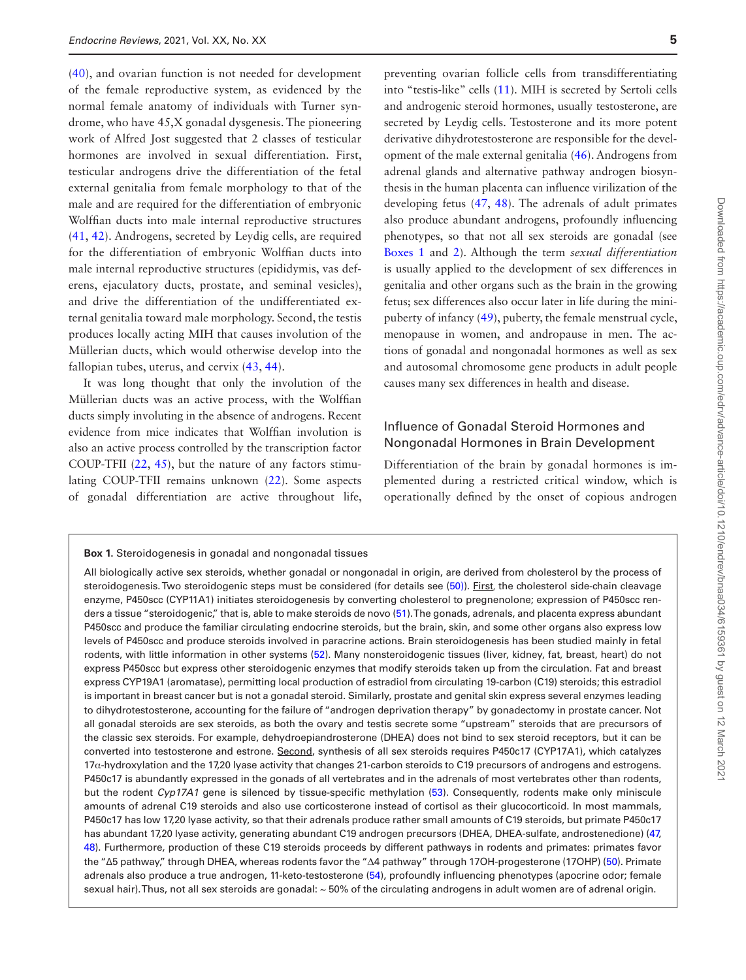([40](#page-28-37)), and ovarian function is not needed for development of the female reproductive system, as evidenced by the normal female anatomy of individuals with Turner syndrome, who have 45,X gonadal dysgenesis. The pioneering work of Alfred Jost suggested that 2 classes of testicular hormones are involved in sexual differentiation. First, testicular androgens drive the differentiation of the fetal external genitalia from female morphology to that of the male and are required for the differentiation of embryonic Wolffian ducts into male internal reproductive structures ([41](#page-29-0), [42\)](#page-29-1). Androgens, secreted by Leydig cells, are required for the differentiation of embryonic Wolffian ducts into male internal reproductive structures (epididymis, vas deferens, ejaculatory ducts, prostate, and seminal vesicles), and drive the differentiation of the undifferentiated external genitalia toward male morphology. Second, the testis produces locally acting MIH that causes involution of the Müllerian ducts, which would otherwise develop into the fallopian tubes, uterus, and cervix [\(43,](#page-29-2) [44\)](#page-29-3).

It was long thought that only the involution of the Müllerian ducts was an active process, with the Wolffian ducts simply involuting in the absence of androgens. Recent evidence from mice indicates that Wolffian involution is also an active process controlled by the transcription factor COUP-TFII  $(22, 45)$  $(22, 45)$  $(22, 45)$  $(22, 45)$ , but the nature of any factors stimulating COUP-TFII remains unknown [\(22](#page-28-19)). Some aspects of gonadal differentiation are active throughout life,

preventing ovarian follicle cells from transdifferentiating into "testis-like" cells [\(11](#page-28-10)). MIH is secreted by Sertoli cells and androgenic steroid hormones, usually testosterone, are secreted by Leydig cells. Testosterone and its more potent derivative dihydrotestosterone are responsible for the development of the male external genitalia ([46\)](#page-29-5). Androgens from adrenal glands and alternative pathway androgen biosynthesis in the human placenta can influence virilization of the developing fetus ([47](#page-29-6), [48](#page-29-7)). The adrenals of adult primates also produce abundant androgens, profoundly influencing phenotypes, so that not all sex steroids are gonadal (see [Boxes 1](#page-4-0) and [2\)](#page-5-0). Although the term *sexual differentiation* is usually applied to the development of sex differences in genitalia and other organs such as the brain in the growing fetus; sex differences also occur later in life during the minipuberty of infancy ([49\)](#page-29-8), puberty, the female menstrual cycle, menopause in women, and andropause in men. The actions of gonadal and nongonadal hormones as well as sex and autosomal chromosome gene products in adult people causes many sex differences in health and disease.

#### Influence of Gonadal Steroid Hormones and Nongonadal Hormones in Brain Development

Differentiation of the brain by gonadal hormones is implemented during a restricted critical window, which is operationally defined by the onset of copious androgen

<span id="page-4-0"></span>**Box 1.** Steroidogenesis in gonadal and nongonadal tissues

All biologically active sex steroids, whether gonadal or nongonadal in origin, are derived from cholesterol by the process of steroidogenesis. Two steroidogenic steps must be considered (for details see [\(50\)](#page-29-9)). First, the cholesterol side-chain cleavage enzyme, P450scc (CYP11A1) initiates steroidogenesis by converting cholesterol to pregnenolone; expression of P450scc ren-ders a tissue "steroidogenic," that is, able to make steroids de novo [\(51\)](#page-29-10). The gonads, adrenals, and placenta express abundant P450scc and produce the familiar circulating endocrine steroids, but the brain, skin, and some other organs also express low levels of P450scc and produce steroids involved in paracrine actions. Brain steroidogenesis has been studied mainly in fetal rodents, with little information in other systems ([52](#page-29-11)). Many nonsteroidogenic tissues (liver, kidney, fat, breast, heart) do not express P450scc but express other steroidogenic enzymes that modify steroids taken up from the circulation. Fat and breast express CYP19A1 (aromatase), permitting local production of estradiol from circulating 19-carbon (C19) steroids; this estradiol is important in breast cancer but is not a gonadal steroid. Similarly, prostate and genital skin express several enzymes leading to dihydrotestosterone, accounting for the failure of "androgen deprivation therapy" by gonadectomy in prostate cancer. Not all gonadal steroids are sex steroids, as both the ovary and testis secrete some "upstream" steroids that are precursors of the classic sex steroids. For example, dehydroepiandrosterone (DHEA) does not bind to sex steroid receptors, but it can be converted into testosterone and estrone. Second, synthesis of all sex steroids requires P450c17 (CYP17A1), which catalyzes 17α-hydroxylation and the 17,20 lyase activity that changes 21-carbon steroids to C19 precursors of androgens and estrogens. P450c17 is abundantly expressed in the gonads of all vertebrates and in the adrenals of most vertebrates other than rodents, but the rodent *Cyp17A1* gene is silenced by tissue-specific methylation ([53\)](#page-29-12). Consequently, rodents make only miniscule amounts of adrenal C19 steroids and also use corticosterone instead of cortisol as their glucocorticoid. In most mammals, P450c17 has low 17,20 lyase activity, so that their adrenals produce rather small amounts of C19 steroids, but primate P450c17 has abundant 17,20 lyase activity, generating abundant C19 androgen precursors (DHEA, DHEA-sulfate, androstenedione) ([47,](#page-29-6) [48\)](#page-29-7). Furthermore, production of these C19 steroids proceeds by different pathways in rodents and primates: primates favor the "Δ5 pathway," through DHEA, whereas rodents favor the "Δ4 pathway" through 17OH-progesterone (17OHP) [\(50\)](#page-29-4). Primate adrenals also produce a true androgen, 11-keto-testosterone [\(54\)](#page-29-13), profoundly influencing phenotypes (apocrine odor; female sexual hair). Thus, not all sex steroids are gonadal: ~50% of the circulating androgens in adult women are of adrenal origin.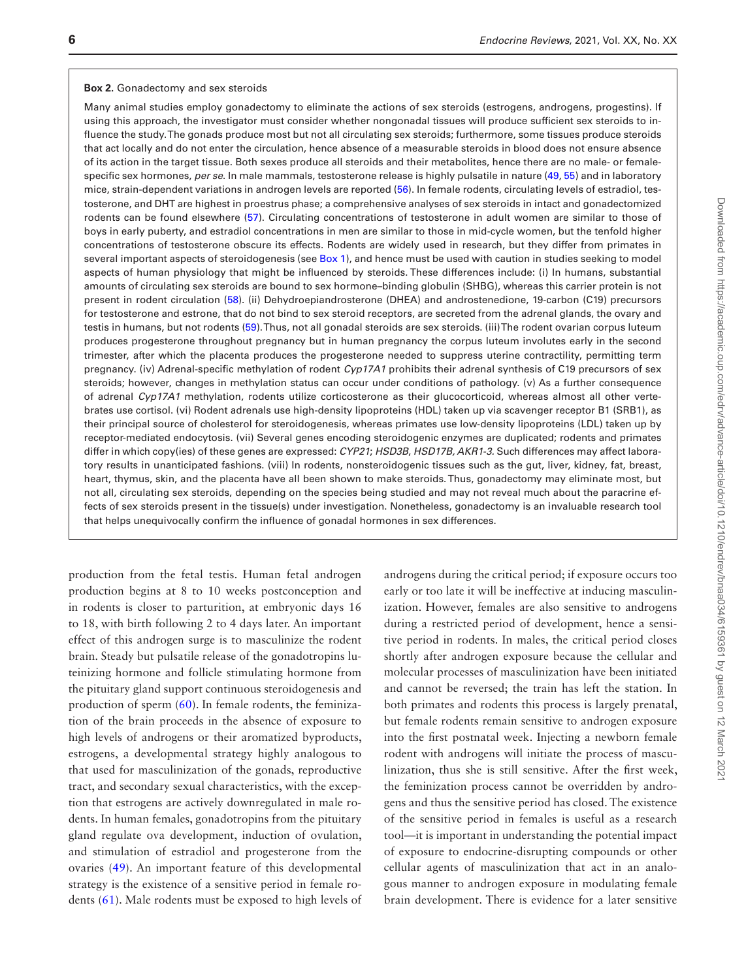#### <span id="page-5-0"></span>**Box 2.** Gonadectomy and sex steroids

Many animal studies employ gonadectomy to eliminate the actions of sex steroids (estrogens, androgens, progestins). If using this approach, the investigator must consider whether nongonadal tissues will produce sufficient sex steroids to influence the study. The gonads produce most but not all circulating sex steroids; furthermore, some tissues produce steroids that act locally and do not enter the circulation, hence absence of a measurable steroids in blood does not ensure absence of its action in the target tissue. Both sexes produce all steroids and their metabolites, hence there are no male- or femalespecific sex hormones, *per se*. In male mammals, testosterone release is highly pulsatile in nature [\(49](#page-29-8), [55](#page-29-16)) and in laboratory mice, strain-dependent variations in androgen levels are reported [\(56\)](#page-29-17). In female rodents, circulating levels of estradiol, testosterone, and DHT are highest in proestrus phase; a comprehensive analyses of sex steroids in intact and gonadectomized rodents can be found elsewhere ([57](#page-29-18)). Circulating concentrations of testosterone in adult women are similar to those of boys in early puberty, and estradiol concentrations in men are similar to those in mid-cycle women, but the tenfold higher concentrations of testosterone obscure its effects. Rodents are widely used in research, but they differ from primates in several important aspects of steroidogenesis (see [Box 1](#page-4-0)), and hence must be used with caution in studies seeking to model aspects of human physiology that might be influenced by steroids. These differences include: (i) In humans, substantial amounts of circulating sex steroids are bound to sex hormone–binding globulin (SHBG), whereas this carrier protein is not present in rodent circulation ([58](#page-29-19)). (ii) Dehydroepiandrosterone (DHEA) and androstenedione, 19-carbon (C19) precursors for testosterone and estrone, that do not bind to sex steroid receptors, are secreted from the adrenal glands, the ovary and testis in humans, but not rodents ([59\)](#page-29-20). Thus, not all gonadal steroids are sex steroids. (iii) The rodent ovarian corpus luteum produces progesterone throughout pregnancy but in human pregnancy the corpus luteum involutes early in the second trimester, after which the placenta produces the progesterone needed to suppress uterine contractility, permitting term pregnancy. (iv) Adrenal-specific methylation of rodent *Cyp17A1* prohibits their adrenal synthesis of C19 precursors of sex steroids; however, changes in methylation status can occur under conditions of pathology. (v) As a further consequence of adrenal *Cyp17A1* methylation, rodents utilize corticosterone as their glucocorticoid, whereas almost all other vertebrates use cortisol. (vi) Rodent adrenals use high-density lipoproteins (HDL) taken up via scavenger receptor B1 (SRB1), as their principal source of cholesterol for steroidogenesis, whereas primates use low-density lipoproteins (LDL) taken up by receptor-mediated endocytosis. (vii) Several genes encoding steroidogenic enzymes are duplicated; rodents and primates differ in which copy(ies) of these genes are expressed: *CYP21*; *HSD3B*, *HSD17B, AKR1-3.* Such differences may affect laboratory results in unanticipated fashions. (viii) In rodents, nonsteroidogenic tissues such as the gut, liver, kidney, fat, breast, heart, thymus, skin, and the placenta have all been shown to make steroids. Thus, gonadectomy may eliminate most, but not all, circulating sex steroids, depending on the species being studied and may not reveal much about the paracrine effects of sex steroids present in the tissue(s) under investigation. Nonetheless, gonadectomy is an invaluable research tool that helps unequivocally confirm the influence of gonadal hormones in sex differences.

production from the fetal testis. Human fetal androgen production begins at 8 to 10 weeks postconception and in rodents is closer to parturition, at embryonic days 16 to 18, with birth following 2 to 4 days later. An important effect of this androgen surge is to masculinize the rodent brain. Steady but pulsatile release of the gonadotropins luteinizing hormone and follicle stimulating hormone from the pituitary gland support continuous steroidogenesis and production of sperm ([60](#page-29-14)). In female rodents, the feminization of the brain proceeds in the absence of exposure to high levels of androgens or their aromatized byproducts, estrogens, a developmental strategy highly analogous to that used for masculinization of the gonads, reproductive tract, and secondary sexual characteristics, with the exception that estrogens are actively downregulated in male rodents. In human females, gonadotropins from the pituitary gland regulate ova development, induction of ovulation, and stimulation of estradiol and progesterone from the ovaries ([49](#page-29-8)). An important feature of this developmental strategy is the existence of a sensitive period in female rodents ([61\)](#page-29-15). Male rodents must be exposed to high levels of

androgens during the critical period; if exposure occurs too early or too late it will be ineffective at inducing masculinization. However, females are also sensitive to androgens during a restricted period of development, hence a sensitive period in rodents. In males, the critical period closes shortly after androgen exposure because the cellular and molecular processes of masculinization have been initiated and cannot be reversed; the train has left the station. In both primates and rodents this process is largely prenatal, but female rodents remain sensitive to androgen exposure into the first postnatal week. Injecting a newborn female rodent with androgens will initiate the process of masculinization, thus she is still sensitive. After the first week, the feminization process cannot be overridden by androgens and thus the sensitive period has closed. The existence of the sensitive period in females is useful as a research tool—it is important in understanding the potential impact of exposure to endocrine-disrupting compounds or other cellular agents of masculinization that act in an analogous manner to androgen exposure in modulating female brain development. There is evidence for a later sensitive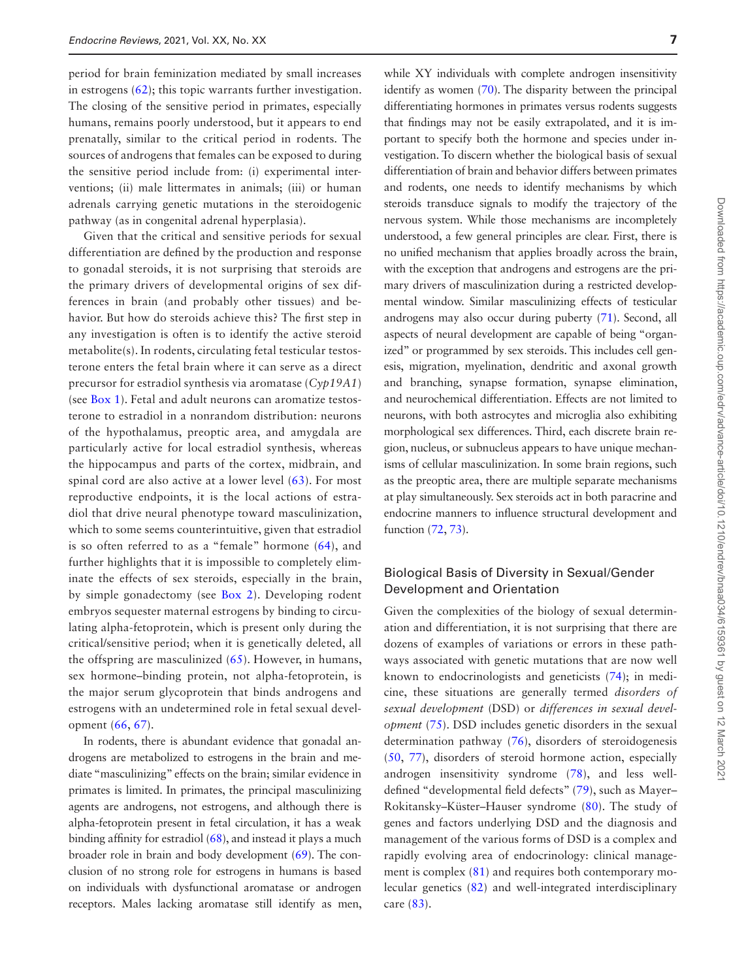period for brain feminization mediated by small increases in estrogens ([62](#page-29-21)); this topic warrants further investigation. The closing of the sensitive period in primates, especially humans, remains poorly understood, but it appears to end prenatally, similar to the critical period in rodents. The sources of androgens that females can be exposed to during the sensitive period include from: (i) experimental interventions; (ii) male littermates in animals; (iii) or human adrenals carrying genetic mutations in the steroidogenic pathway (as in congenital adrenal hyperplasia).

Given that the critical and sensitive periods for sexual differentiation are defined by the production and response to gonadal steroids, it is not surprising that steroids are the primary drivers of developmental origins of sex differences in brain (and probably other tissues) and behavior. But how do steroids achieve this? The first step in any investigation is often is to identify the active steroid metabolite(s). In rodents, circulating fetal testicular testosterone enters the fetal brain where it can serve as a direct precursor for estradiol synthesis via aromatase (*Cyp19A1*) (see [Box 1](#page-4-0)). Fetal and adult neurons can aromatize testosterone to estradiol in a nonrandom distribution: neurons of the hypothalamus, preoptic area, and amygdala are particularly active for local estradiol synthesis, whereas the hippocampus and parts of the cortex, midbrain, and spinal cord are also active at a lower level ([63](#page-29-22)). For most reproductive endpoints, it is the local actions of estradiol that drive neural phenotype toward masculinization, which to some seems counterintuitive, given that estradiol is so often referred to as a "female" hormone ([64](#page-29-23)), and further highlights that it is impossible to completely eliminate the effects of sex steroids, especially in the brain, by simple gonadectomy (see [Box 2](#page-5-0)). Developing rodent embryos sequester maternal estrogens by binding to circulating alpha-fetoprotein, which is present only during the critical/sensitive period; when it is genetically deleted, all the offspring are masculinized ([65](#page-29-24)). However, in humans, sex hormone–binding protein, not alpha-fetoprotein, is the major serum glycoprotein that binds androgens and estrogens with an undetermined role in fetal sexual development [\(66,](#page-29-25) [67](#page-29-26)).

In rodents, there is abundant evidence that gonadal androgens are metabolized to estrogens in the brain and mediate "masculinizing" effects on the brain; similar evidence in primates is limited. In primates, the principal masculinizing agents are androgens, not estrogens, and although there is alpha-fetoprotein present in fetal circulation, it has a weak binding affinity for estradiol [\(68](#page-29-27)), and instead it plays a much broader role in brain and body development ([69\)](#page-29-28). The conclusion of no strong role for estrogens in humans is based on individuals with dysfunctional aromatase or androgen receptors. Males lacking aromatase still identify as men,

while XY individuals with complete androgen insensitivity identify as women [\(70](#page-29-29)). The disparity between the principal differentiating hormones in primates versus rodents suggests that findings may not be easily extrapolated, and it is important to specify both the hormone and species under investigation. To discern whether the biological basis of sexual differentiation of brain and behavior differs between primates and rodents, one needs to identify mechanisms by which steroids transduce signals to modify the trajectory of the nervous system. While those mechanisms are incompletely understood, a few general principles are clear. First, there is no unified mechanism that applies broadly across the brain, with the exception that androgens and estrogens are the primary drivers of masculinization during a restricted developmental window. Similar masculinizing effects of testicular androgens may also occur during puberty [\(71](#page-29-30)). Second, all aspects of neural development are capable of being "organized" or programmed by sex steroids. This includes cell genesis, migration, myelination, dendritic and axonal growth and branching, synapse formation, synapse elimination, and neurochemical differentiation. Effects are not limited to neurons, with both astrocytes and microglia also exhibiting morphological sex differences. Third, each discrete brain region, nucleus, or subnucleus appears to have unique mechanisms of cellular masculinization. In some brain regions, such as the preoptic area, there are multiple separate mechanisms at play simultaneously. Sex steroids act in both paracrine and endocrine manners to influence structural development and function [\(72](#page-29-31), [73\)](#page-29-32).

#### Biological Basis of Diversity in Sexual/Gender Development and Orientation

Given the complexities of the biology of sexual determination and differentiation, it is not surprising that there are dozens of examples of variations or errors in these pathways associated with genetic mutations that are now well known to endocrinologists and geneticists [\(74\)](#page-29-33); in medicine, these situations are generally termed *disorders of sexual development* (DSD) or *differences in sexual development* [\(75](#page-29-34)). DSD includes genetic disorders in the sexual determination pathway [\(76](#page-29-35)), disorders of steroidogenesis ([50](#page-29-9), [77\)](#page-29-36), disorders of steroid hormone action, especially androgen insensitivity syndrome [\(78](#page-29-37)), and less welldefined "developmental field defects" [\(79](#page-30-0)), such as Mayer– Rokitansky–Küster–Hauser syndrome [\(80\)](#page-30-1). The study of genes and factors underlying DSD and the diagnosis and management of the various forms of DSD is a complex and rapidly evolving area of endocrinology: clinical management is complex [\(81\)](#page-30-2) and requires both contemporary molecular genetics ([82](#page-30-3)) and well-integrated interdisciplinary care ([83](#page-30-4)).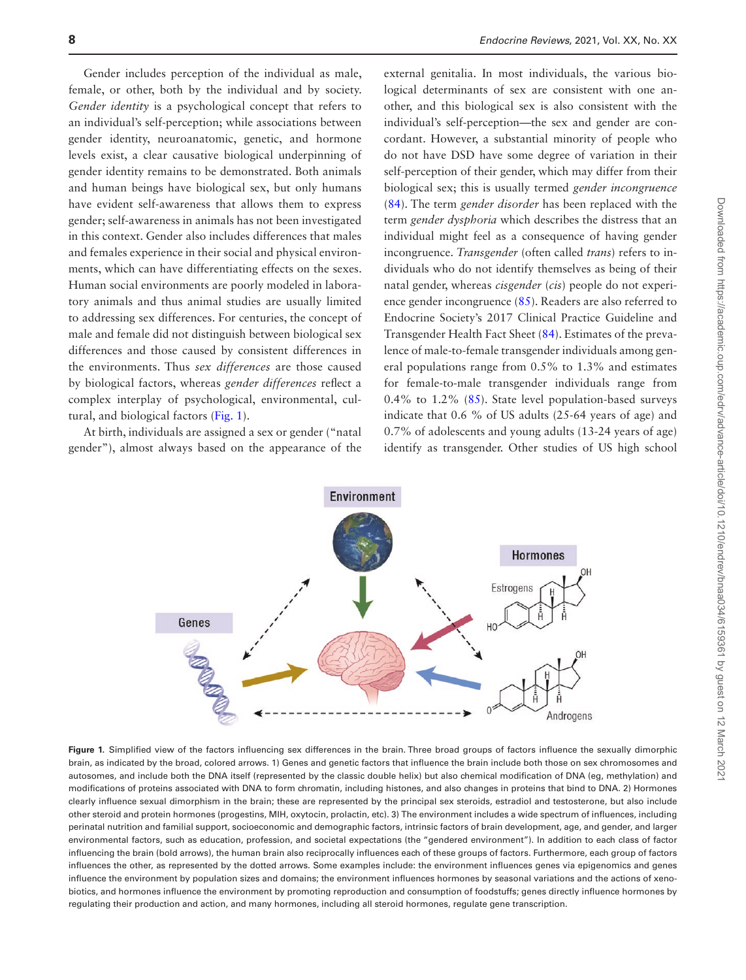Gender includes perception of the individual as male, female, or other, both by the individual and by society. *Gender identity* is a psychological concept that refers to an individual's self-perception; while associations between gender identity, neuroanatomic, genetic, and hormone levels exist, a clear causative biological underpinning of gender identity remains to be demonstrated. Both animals and human beings have biological sex, but only humans have evident self-awareness that allows them to express gender; self-awareness in animals has not been investigated in this context. Gender also includes differences that males and females experience in their social and physical environments, which can have differentiating effects on the sexes. Human social environments are poorly modeled in laboratory animals and thus animal studies are usually limited to addressing sex differences. For centuries, the concept of male and female did not distinguish between biological sex differences and those caused by consistent differences in the environments. Thus *sex differences* are those caused by biological factors, whereas *gender differences* reflect a complex interplay of psychological, environmental, cultural, and biological factors [\(Fig. 1\)](#page-7-0).

At birth, individuals are assigned a sex or gender ("natal gender"), almost always based on the appearance of the

external genitalia. In most individuals, the various biological determinants of sex are consistent with one another, and this biological sex is also consistent with the individual's self-perception—the sex and gender are concordant. However, a substantial minority of people who do not have DSD have some degree of variation in their self-perception of their gender, which may differ from their biological sex; this is usually termed *gender incongruence* ([84](#page-30-5)). The term *gender disorder* has been replaced with the term *gender dysphoria* which describes the distress that an individual might feel as a consequence of having gender incongruence. *Transgender* (often called *trans*) refers to individuals who do not identify themselves as being of their natal gender, whereas *cisgender* (*cis*) people do not experience gender incongruence ([85](#page-30-6)). Readers are also referred to Endocrine Society's 2017 Clinical Practice Guideline and Transgender Health Fact Sheet ([84](#page-30-5)). Estimates of the prevalence of male-to-female transgender individuals among general populations range from 0.5% to 1.3% and estimates for female-to-male transgender individuals range from 0.4% to 1.2% ([85\)](#page-30-6). State level population-based surveys indicate that 0.6 % of US adults (25-64 years of age) and 0.7% of adolescents and young adults (13-24 years of age) identify as transgender. Other studies of US high school



<span id="page-7-0"></span>Figure 1. Simplified view of the factors influencing sex differences in the brain. Three broad groups of factors influence the sexually dimorphic brain, as indicated by the broad, colored arrows. 1) Genes and genetic factors that influence the brain include both those on sex chromosomes and autosomes, and include both the DNA itself (represented by the classic double helix) but also chemical modification of DNA (eg, methylation) and modifications of proteins associated with DNA to form chromatin, including histones, and also changes in proteins that bind to DNA. 2) Hormones clearly influence sexual dimorphism in the brain; these are represented by the principal sex steroids, estradiol and testosterone, but also include other steroid and protein hormones (progestins, MIH, oxytocin, prolactin, etc). 3) The environment includes a wide spectrum of influences, including perinatal nutrition and familial support, socioeconomic and demographic factors, intrinsic factors of brain development, age, and gender, and larger environmental factors, such as education, profession, and societal expectations (the "gendered environment"). In addition to each class of factor influencing the brain (bold arrows), the human brain also reciprocally influences each of these groups of factors. Furthermore, each group of factors influences the other, as represented by the dotted arrows. Some examples include: the environment influences genes via epigenomics and genes influence the environment by population sizes and domains; the environment influences hormones by seasonal variations and the actions of xenobiotics, and hormones influence the environment by promoting reproduction and consumption of foodstuffs; genes directly influence hormones by regulating their production and action, and many hormones, including all steroid hormones, regulate gene transcription.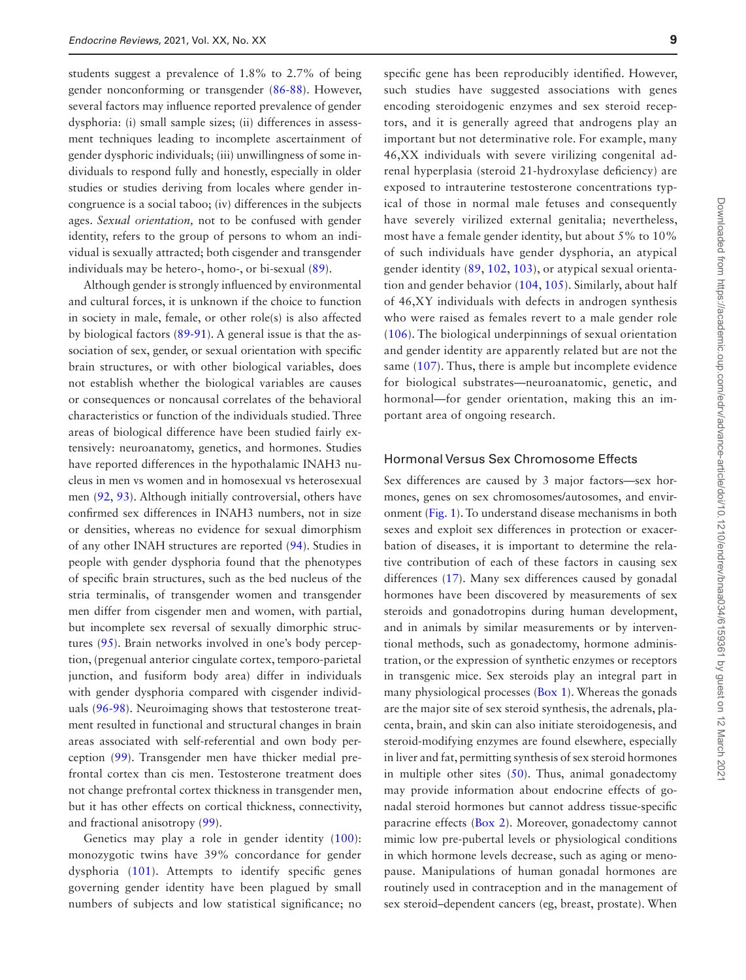students suggest a prevalence of 1.8% to 2.7% of being gender nonconforming or transgender ([86](#page-30-7)[-88\)](#page-30-8). However, several factors may influence reported prevalence of gender dysphoria: (i) small sample sizes; (ii) differences in assessment techniques leading to incomplete ascertainment of gender dysphoric individuals; (iii) unwillingness of some individuals to respond fully and honestly, especially in older studies or studies deriving from locales where gender incongruence is a social taboo; (iv) differences in the subjects ages. *Sexual orientation,* not to be confused with gender identity, refers to the group of persons to whom an individual is sexually attracted; both cisgender and transgender individuals may be hetero-, homo-, or bi-sexual [\(89\)](#page-30-9).

Although gender is strongly influenced by environmental and cultural forces, it is unknown if the choice to function in society in male, female, or other role(s) is also affected by biological factors ([89-](#page-30-9)[91](#page-30-10)). A general issue is that the association of sex, gender, or sexual orientation with specific brain structures, or with other biological variables, does not establish whether the biological variables are causes or consequences or noncausal correlates of the behavioral characteristics or function of the individuals studied. Three areas of biological difference have been studied fairly extensively: neuroanatomy, genetics, and hormones. Studies have reported differences in the hypothalamic INAH3 nucleus in men vs women and in homosexual vs heterosexual men ([92,](#page-30-11) [93](#page-30-12)). Although initially controversial, others have confirmed sex differences in INAH3 numbers, not in size or densities, whereas no evidence for sexual dimorphism of any other INAH structures are reported [\(94\)](#page-30-13). Studies in people with gender dysphoria found that the phenotypes of specific brain structures, such as the bed nucleus of the stria terminalis, of transgender women and transgender men differ from cisgender men and women, with partial, but incomplete sex reversal of sexually dimorphic structures ([95\)](#page-30-14). Brain networks involved in one's body perception, (pregenual anterior cingulate cortex, temporo-parietal junction, and fusiform body area) differ in individuals with gender dysphoria compared with cisgender individuals ([96](#page-30-15)[-98](#page-30-16)). Neuroimaging shows that testosterone treatment resulted in functional and structural changes in brain areas associated with self-referential and own body perception [\(99\)](#page-30-17). Transgender men have thicker medial prefrontal cortex than cis men. Testosterone treatment does not change prefrontal cortex thickness in transgender men, but it has other effects on cortical thickness, connectivity, and fractional anisotropy ([99\)](#page-30-17).

Genetics may play a role in gender identity ([100\)](#page-30-18): monozygotic twins have 39% concordance for gender dysphoria [\(101](#page-30-19)). Attempts to identify specific genes governing gender identity have been plagued by small numbers of subjects and low statistical significance; no

specific gene has been reproducibly identified. However, such studies have suggested associations with genes encoding steroidogenic enzymes and sex steroid receptors, and it is generally agreed that androgens play an important but not determinative role. For example, many 46,XX individuals with severe virilizing congenital adrenal hyperplasia (steroid 21-hydroxylase deficiency) are exposed to intrauterine testosterone concentrations typical of those in normal male fetuses and consequently have severely virilized external genitalia; nevertheless, most have a female gender identity, but about 5% to 10% of such individuals have gender dysphoria, an atypical gender identity ([89](#page-30-9), [102,](#page-30-20) [103\)](#page-30-21), or atypical sexual orientation and gender behavior [\(104](#page-30-22), [105\)](#page-30-23). Similarly, about half of 46,XY individuals with defects in androgen synthesis who were raised as females revert to a male gender role ([106\)](#page-30-24). The biological underpinnings of sexual orientation and gender identity are apparently related but are not the same ([107\)](#page-30-25). Thus, there is ample but incomplete evidence for biological substrates—neuroanatomic, genetic, and hormonal—for gender orientation, making this an important area of ongoing research.

#### Hormonal Versus Sex Chromosome Effects

Sex differences are caused by 3 major factors—sex hormones, genes on sex chromosomes/autosomes, and environment [\(Fig. 1](#page-7-0)). To understand disease mechanisms in both sexes and exploit sex differences in protection or exacerbation of diseases, it is important to determine the relative contribution of each of these factors in causing sex differences ([17](#page-28-16)). Many sex differences caused by gonadal hormones have been discovered by measurements of sex steroids and gonadotropins during human development, and in animals by similar measurements or by interventional methods, such as gonadectomy, hormone administration, or the expression of synthetic enzymes or receptors in transgenic mice. Sex steroids play an integral part in many physiological processes [\(Box 1\)](#page-4-0). Whereas the gonads are the major site of sex steroid synthesis, the adrenals, placenta, brain, and skin can also initiate steroidogenesis, and steroid-modifying enzymes are found elsewhere, especially in liver and fat, permitting synthesis of sex steroid hormones in multiple other sites  $(50)$  $(50)$  $(50)$ . Thus, animal gonadectomy may provide information about endocrine effects of gonadal steroid hormones but cannot address tissue-specific paracrine effects [\(Box 2\)](#page-5-0). Moreover, gonadectomy cannot mimic low pre-pubertal levels or physiological conditions in which hormone levels decrease, such as aging or menopause. Manipulations of human gonadal hormones are routinely used in contraception and in the management of sex steroid–dependent cancers (eg, breast, prostate). When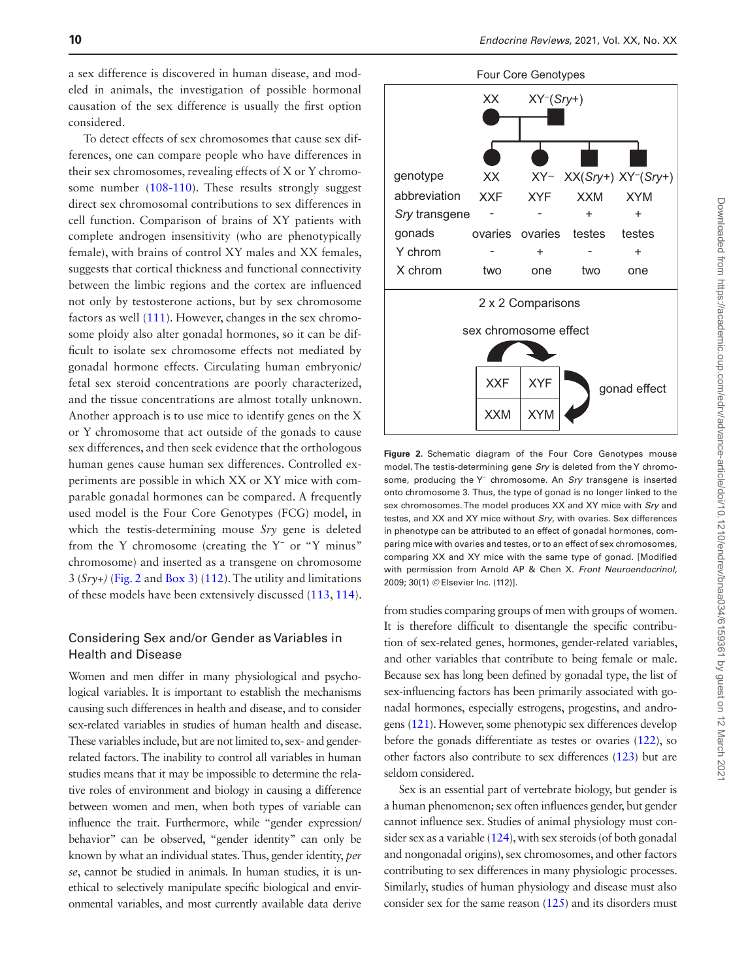a sex difference is discovered in human disease, and modeled in animals, the investigation of possible hormonal causation of the sex difference is usually the first option considered.

To detect effects of sex chromosomes that cause sex differences, one can compare people who have differences in their sex chromosomes, revealing effects of X or Y chromosome number [\(108-](#page-30-26)[110](#page-30-27)). These results strongly suggest direct sex chromosomal contributions to sex differences in cell function. Comparison of brains of XY patients with complete androgen insensitivity (who are phenotypically female), with brains of control XY males and XX females, suggests that cortical thickness and functional connectivity between the limbic regions and the cortex are influenced not only by testosterone actions, but by sex chromosome factors as well [\(111\)](#page-30-28). However, changes in the sex chromosome ploidy also alter gonadal hormones, so it can be difficult to isolate sex chromosome effects not mediated by gonadal hormone effects. Circulating human embryonic/ fetal sex steroid concentrations are poorly characterized, and the tissue concentrations are almost totally unknown. Another approach is to use mice to identify genes on the X or Y chromosome that act outside of the gonads to cause sex differences, and then seek evidence that the orthologous human genes cause human sex differences. Controlled experiments are possible in which XX or XY mice with comparable gonadal hormones can be compared. A frequently used model is the Four Core Genotypes (FCG) model, in which the testis-determining mouse *Sry* gene is deleted from the Y chromosome (creating the Y− or "Y minus" chromosome) and inserted as a transgene on chromosome 3 (*Sry+)* [\(Fig. 2](#page-9-0) and [Box 3](#page-10-0)) [\(112\)](#page-30-29). The utility and limitations of these models have been extensively discussed ([113](#page-30-30), [114](#page-30-31)).

#### Considering Sex and/or Gender as Variables in Health and Disease

Women and men differ in many physiological and psychological variables. It is important to establish the mechanisms causing such differences in health and disease, and to consider sex-related variables in studies of human health and disease. These variables include, but are not limited to, sex- and genderrelated factors. The inability to control all variables in human studies means that it may be impossible to determine the relative roles of environment and biology in causing a difference between women and men, when both types of variable can influence the trait. Furthermore, while "gender expression/ behavior" can be observed, "gender identity" can only be known by what an individual states. Thus, gender identity, *per se*, cannot be studied in animals. In human studies, it is unethical to selectively manipulate specific biological and environmental variables, and most currently available data derive



<span id="page-9-0"></span>**Figure 2.** Schematic diagram of the Four Core Genotypes mouse model. The testis-determining gene *Sry* is deleted from the Y chromosome, producing the Y<sup>-</sup> chromosome. An *Sry* transgene is inserted onto chromosome 3. Thus, the type of gonad is no longer linked to the sex chromosomes. The model produces XX and XY mice with *Sry* and testes, and XX and XY mice without *Sry*, with ovaries. Sex differences in phenotype can be attributed to an effect of gonadal hormones, comparing mice with ovaries and testes, or to an effect of sex chromosomes, comparing XX and XY mice with the same type of gonad. [Modified with permission from Arnold AP & Chen X. *Front Neuroendocrinol,* 2009; 30(1) *©* Elsevier Inc. (112)].

from studies comparing groups of men with groups of women. It is therefore difficult to disentangle the specific contribution of sex-related genes, hormones, gender-related variables, and other variables that contribute to being female or male. Because sex has long been defined by gonadal type, the list of sex-influencing factors has been primarily associated with gonadal hormones, especially estrogens, progestins, and androgens [\(121](#page-31-0)). However, some phenotypic sex differences develop before the gonads differentiate as testes or ovaries [\(122\)](#page-31-1), so other factors also contribute to sex differences [\(123\)](#page-31-2) but are seldom considered.

Sex is an essential part of vertebrate biology, but gender is a human phenomenon; sex often influences gender, but gender cannot influence sex. Studies of animal physiology must consider sex as a variable ([124\)](#page-31-3), with sex steroids (of both gonadal and nongonadal origins), sex chromosomes, and other factors contributing to sex differences in many physiologic processes. Similarly, studies of human physiology and disease must also consider sex for the same reason [\(125\)](#page-31-4) and its disorders must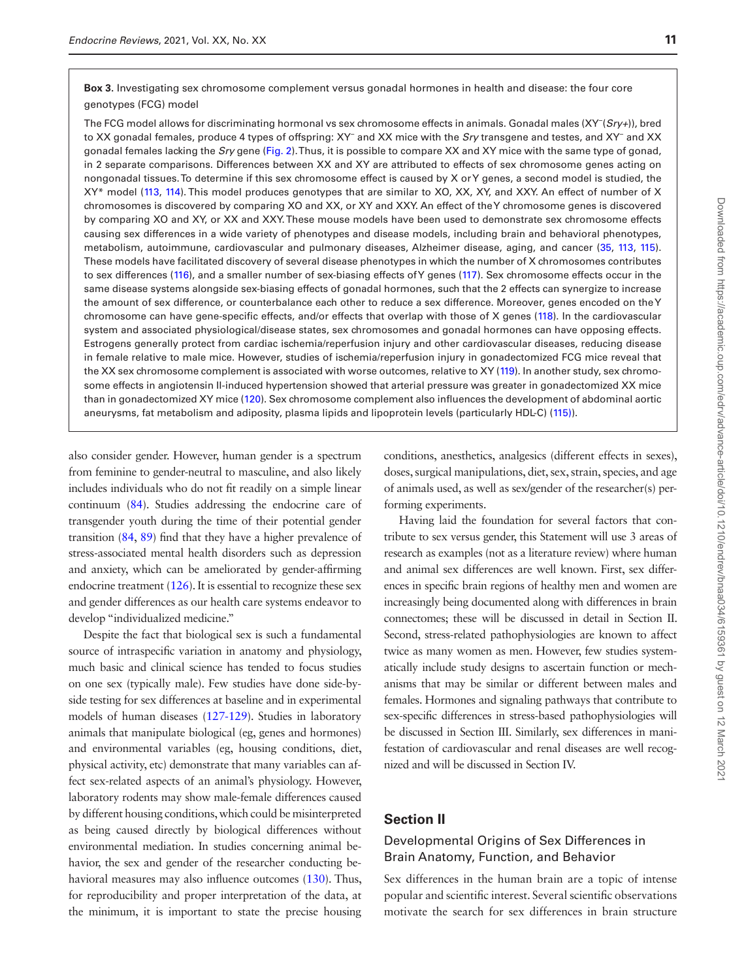<span id="page-10-0"></span>**Box 3.** Investigating sex chromosome complement versus gonadal hormones in health and disease: the four core genotypes (FCG) model

The FCG model allows for discriminating hormonal vs sex chromosome effects in animals. Gonadal males (XY− (*Sry+*)), bred to XX gonadal females, produce 4 types of offspring: XY<sup>−</sup> and XX mice with the *Sry* transgene and testes, and XY<sup>−</sup> and XX gonadal females lacking the *Sry* gene ([Fig. 2\)](#page-9-0). Thus, it is possible to compare XX and XY mice with the same type of gonad, in 2 separate comparisons. Differences between XX and XY are attributed to effects of sex chromosome genes acting on nongonadal tissues. To determine if this sex chromosome effect is caused by X or Y genes, a second model is studied, the XY\* model ([113](#page-30-30), [114](#page-30-31)). This model produces genotypes that are similar to XO, XX, XY, and XXY. An effect of number of X chromosomes is discovered by comparing XO and XX, or XY and XXY. An effect of the Y chromosome genes is discovered by comparing XO and XY, or XX and XXY. These mouse models have been used to demonstrate sex chromosome effects causing sex differences in a wide variety of phenotypes and disease models, including brain and behavioral phenotypes, metabolism, autoimmune, cardiovascular and pulmonary diseases, Alzheimer disease, aging, and cancer [\(35](#page-28-32), [113,](#page-30-30) [115](#page-30-32)). These models have facilitated discovery of several disease phenotypes in which the number of X chromosomes contributes to sex differences ([116\)](#page-31-9), and a smaller number of sex-biasing effects of Y genes ([117](#page-31-10)). Sex chromosome effects occur in the same disease systems alongside sex-biasing effects of gonadal hormones, such that the 2 effects can synergize to increase the amount of sex difference, or counterbalance each other to reduce a sex difference. Moreover, genes encoded on the Y chromosome can have gene-specific effects, and/or effects that overlap with those of X genes [\(118](#page-31-11)). In the cardiovascular system and associated physiological/disease states, sex chromosomes and gonadal hormones can have opposing effects. Estrogens generally protect from cardiac ischemia/reperfusion injury and other cardiovascular diseases, reducing disease in female relative to male mice. However, studies of ischemia/reperfusion injury in gonadectomized FCG mice reveal that the XX sex chromosome complement is associated with worse outcomes, relative to XY [\(119\)](#page-31-12). In another study, sex chromosome effects in angiotensin II-induced hypertension showed that arterial pressure was greater in gonadectomized XX mice than in gonadectomized XY mice ([120](#page-31-13)). Sex chromosome complement also influences the development of abdominal aortic aneurysms, fat metabolism and adiposity, plasma lipids and lipoprotein levels (particularly HDL-C) ([115\)](#page-30-32)).

also consider gender. However, human gender is a spectrum from feminine to gender-neutral to masculine, and also likely includes individuals who do not fit readily on a simple linear continuum [\(84\)](#page-30-5). Studies addressing the endocrine care of transgender youth during the time of their potential gender transition [\(84](#page-30-5), [89\)](#page-30-9) find that they have a higher prevalence of stress-associated mental health disorders such as depression and anxiety, which can be ameliorated by gender-affirming endocrine treatment  $(126)$ . It is essential to recognize these sex and gender differences as our health care systems endeavor to develop "individualized medicine."

Despite the fact that biological sex is such a fundamental source of intraspecific variation in anatomy and physiology, much basic and clinical science has tended to focus studies on one sex (typically male). Few studies have done side-byside testing for sex differences at baseline and in experimental models of human diseases ([127](#page-31-6)[-129](#page-31-7)). Studies in laboratory animals that manipulate biological (eg, genes and hormones) and environmental variables (eg, housing conditions, diet, physical activity, etc) demonstrate that many variables can affect sex-related aspects of an animal's physiology. However, laboratory rodents may show male-female differences caused by different housing conditions, which could be misinterpreted as being caused directly by biological differences without environmental mediation. In studies concerning animal behavior, the sex and gender of the researcher conducting behavioral measures may also influence outcomes ([130](#page-31-8)). Thus, for reproducibility and proper interpretation of the data, at the minimum, it is important to state the precise housing

conditions, anesthetics, analgesics (different effects in sexes), doses, surgical manipulations, diet, sex, strain, species, and age of animals used, as well as sex/gender of the researcher(s) performing experiments.

Having laid the foundation for several factors that contribute to sex versus gender, this Statement will use 3 areas of research as examples (not as a literature review) where human and animal sex differences are well known. First, sex differences in specific brain regions of healthy men and women are increasingly being documented along with differences in brain connectomes; these will be discussed in detail in Section II. Second, stress-related pathophysiologies are known to affect twice as many women as men. However, few studies systematically include study designs to ascertain function or mechanisms that may be similar or different between males and females. Hormones and signaling pathways that contribute to sex-specific differences in stress-based pathophysiologies will be discussed in Section III. Similarly, sex differences in manifestation of cardiovascular and renal diseases are well recognized and will be discussed in Section IV.

## **Section II**

#### Developmental Origins of Sex Differences in Brain Anatomy, Function, and Behavior

Sex differences in the human brain are a topic of intense popular and scientific interest. Several scientific observations motivate the search for sex differences in brain structure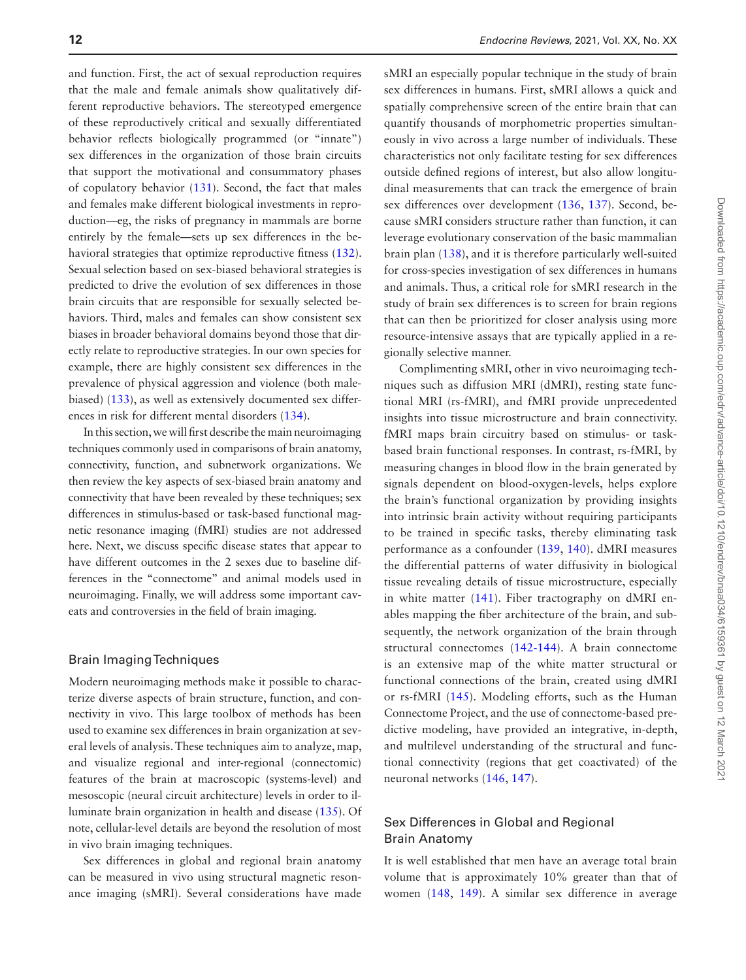and function. First, the act of sexual reproduction requires that the male and female animals show qualitatively different reproductive behaviors. The stereotyped emergence of these reproductively critical and sexually differentiated behavior reflects biologically programmed (or "innate") sex differences in the organization of those brain circuits that support the motivational and consummatory phases of copulatory behavior [\(131\)](#page-31-14). Second, the fact that males and females make different biological investments in reproduction—eg, the risks of pregnancy in mammals are borne entirely by the female—sets up sex differences in the behavioral strategies that optimize reproductive fitness  $(132)$  $(132)$ . Sexual selection based on sex-biased behavioral strategies is predicted to drive the evolution of sex differences in those brain circuits that are responsible for sexually selected behaviors. Third, males and females can show consistent sex biases in broader behavioral domains beyond those that directly relate to reproductive strategies. In our own species for example, there are highly consistent sex differences in the prevalence of physical aggression and violence (both malebiased) [\(133\)](#page-31-16), as well as extensively documented sex differences in risk for different mental disorders ([134](#page-31-17)).

In this section, we will first describe the main neuroimaging techniques commonly used in comparisons of brain anatomy, connectivity, function, and subnetwork organizations. We then review the key aspects of sex-biased brain anatomy and connectivity that have been revealed by these techniques; sex differences in stimulus-based or task-based functional magnetic resonance imaging (fMRI) studies are not addressed here. Next, we discuss specific disease states that appear to have different outcomes in the 2 sexes due to baseline differences in the "connectome" and animal models used in neuroimaging. Finally, we will address some important caveats and controversies in the field of brain imaging.

#### Brain Imaging Techniques

Modern neuroimaging methods make it possible to characterize diverse aspects of brain structure, function, and connectivity in vivo. This large toolbox of methods has been used to examine sex differences in brain organization at several levels of analysis. These techniques aim to analyze, map, and visualize regional and inter-regional (connectomic) features of the brain at macroscopic (systems-level) and mesoscopic (neural circuit architecture) levels in order to illuminate brain organization in health and disease ([135](#page-31-18)). Of note, cellular-level details are beyond the resolution of most in vivo brain imaging techniques.

Sex differences in global and regional brain anatomy can be measured in vivo using structural magnetic resonance imaging (sMRI). Several considerations have made sMRI an especially popular technique in the study of brain sex differences in humans. First, sMRI allows a quick and spatially comprehensive screen of the entire brain that can quantify thousands of morphometric properties simultaneously in vivo across a large number of individuals. These characteristics not only facilitate testing for sex differences outside defined regions of interest, but also allow longitudinal measurements that can track the emergence of brain sex differences over development [\(136,](#page-31-19) [137](#page-31-20)). Second, because sMRI considers structure rather than function, it can leverage evolutionary conservation of the basic mammalian brain plan [\(138\)](#page-31-21), and it is therefore particularly well-suited for cross-species investigation of sex differences in humans and animals. Thus, a critical role for sMRI research in the study of brain sex differences is to screen for brain regions that can then be prioritized for closer analysis using more resource-intensive assays that are typically applied in a regionally selective manner.

Complimenting sMRI, other in vivo neuroimaging techniques such as diffusion MRI (dMRI), resting state functional MRI (rs-fMRI), and fMRI provide unprecedented insights into tissue microstructure and brain connectivity. fMRI maps brain circuitry based on stimulus- or taskbased brain functional responses. In contrast, rs-fMRI, by measuring changes in blood flow in the brain generated by signals dependent on blood-oxygen-levels, helps explore the brain's functional organization by providing insights into intrinsic brain activity without requiring participants to be trained in specific tasks, thereby eliminating task performance as a confounder ([139](#page-31-22), [140](#page-31-23)). dMRI measures the differential patterns of water diffusivity in biological tissue revealing details of tissue microstructure, especially in white matter ([141](#page-31-24)). Fiber tractography on dMRI enables mapping the fiber architecture of the brain, and subsequently, the network organization of the brain through structural connectomes [\(142-](#page-31-25)[144](#page-31-26)). A brain connectome is an extensive map of the white matter structural or functional connections of the brain, created using dMRI or rs-fMRI [\(145\)](#page-31-27). Modeling efforts, such as the Human Connectome Project, and the use of connectome-based predictive modeling, have provided an integrative, in-depth, and multilevel understanding of the structural and functional connectivity (regions that get coactivated) of the neuronal networks ([146](#page-31-28), [147\)](#page-31-29).

#### Sex Differences in Global and Regional Brain Anatomy

It is well established that men have an average total brain volume that is approximately 10% greater than that of women ([148](#page-31-30), [149](#page-31-31)). A similar sex difference in average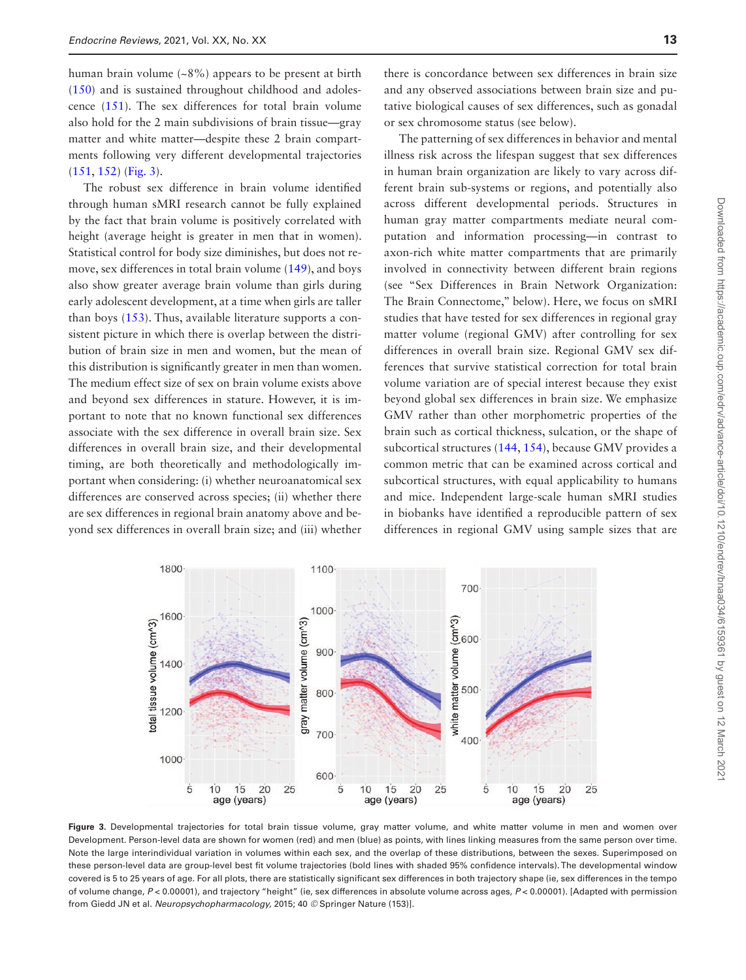human brain volume (~8%) appears to be present at birth ([150](#page-31-32)) and is sustained throughout childhood and adolescence ([151](#page-31-33)). The sex differences for total brain volume also hold for the 2 main subdivisions of brain tissue—gray matter and white matter—despite these 2 brain compartments following very different developmental trajectories ([151](#page-31-33), [152](#page-31-34)) [\(Fig. 3](#page-12-0)).

The robust sex difference in brain volume identified through human sMRI research cannot be fully explained by the fact that brain volume is positively correlated with height (average height is greater in men that in women). Statistical control for body size diminishes, but does not remove, sex differences in total brain volume ([149](#page-31-31)), and boys also show greater average brain volume than girls during early adolescent development, at a time when girls are taller than boys [\(153](#page-32-0)). Thus, available literature supports a consistent picture in which there is overlap between the distribution of brain size in men and women, but the mean of this distribution is significantly greater in men than women. The medium effect size of sex on brain volume exists above and beyond sex differences in stature. However, it is important to note that no known functional sex differences associate with the sex difference in overall brain size. Sex differences in overall brain size, and their developmental timing, are both theoretically and methodologically important when considering: (i) whether neuroanatomical sex differences are conserved across species; (ii) whether there are sex differences in regional brain anatomy above and beyond sex differences in overall brain size; and (iii) whether

there is concordance between sex differences in brain size and any observed associations between brain size and putative biological causes of sex differences, such as gonadal or sex chromosome status (see below).

The patterning of sex differences in behavior and mental illness risk across the lifespan suggest that sex differences in human brain organization are likely to vary across different brain sub-systems or regions, and potentially also across different developmental periods. Structures in human gray matter compartments mediate neural computation and information processing—in contrast to axon-rich white matter compartments that are primarily involved in connectivity between different brain regions (see "Sex Differences in Brain Network Organization: The Brain Connectome," below). Here, we focus on sMRI studies that have tested for sex differences in regional gray matter volume (regional GMV) after controlling for sex differences in overall brain size. Regional GMV sex differences that survive statistical correction for total brain volume variation are of special interest because they exist beyond global sex differences in brain size. We emphasize GMV rather than other morphometric properties of the brain such as cortical thickness, sulcation, or the shape of subcortical structures ([144](#page-31-26), [154](#page-32-1)), because GMV provides a common metric that can be examined across cortical and subcortical structures, with equal applicability to humans and mice. Independent large-scale human sMRI studies in biobanks have identified a reproducible pattern of sex differences in regional GMV using sample sizes that are



<span id="page-12-0"></span>Figure 3. Developmental trajectories for total brain tissue volume, gray matter volume, and white matter volume in men and women over Development. Person-level data are shown for women (red) and men (blue) as points, with lines linking measures from the same person over time. Note the large interindividual variation in volumes within each sex, and the overlap of these distributions, between the sexes. Superimposed on these person-level data are group-level best fit volume trajectories (bold lines with shaded 95% confidence intervals). The developmental window covered is 5 to 25 years of age. For all plots, there are statistically significant sex differences in both trajectory shape (ie, sex differences in the tempo of volume change, *P* < 0.00001), and trajectory "height" (ie, sex differences in absolute volume across ages, *P* < 0.00001). [Adapted with permission from Giedd JN et al. *Neuropsychopharmacology,* 2015; 40 *©* Springer Nature (153)].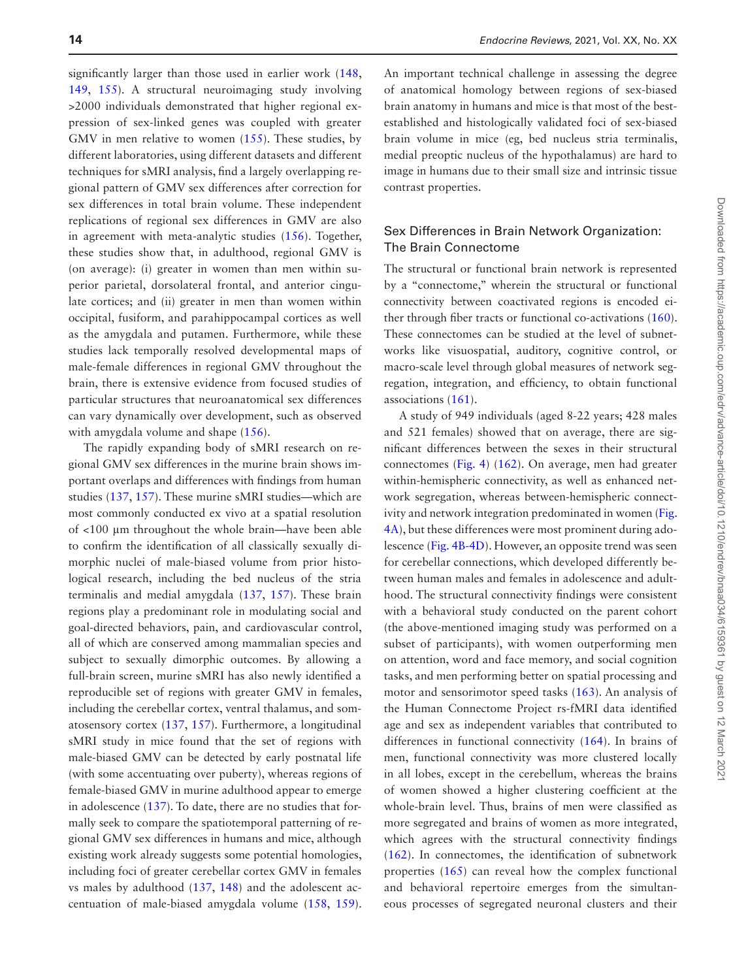significantly larger than those used in earlier work ([148](#page-31-30), [149](#page-31-31), [155\)](#page-32-2). A structural neuroimaging study involving >2000 individuals demonstrated that higher regional expression of sex-linked genes was coupled with greater GMV in men relative to women ([155](#page-32-2)). These studies, by different laboratories, using different datasets and different techniques for sMRI analysis, find a largely overlapping regional pattern of GMV sex differences after correction for sex differences in total brain volume. These independent replications of regional sex differences in GMV are also in agreement with meta-analytic studies [\(156\)](#page-32-3). Together, these studies show that, in adulthood, regional GMV is (on average): (i) greater in women than men within superior parietal, dorsolateral frontal, and anterior cingulate cortices; and (ii) greater in men than women within occipital, fusiform, and parahippocampal cortices as well as the amygdala and putamen. Furthermore, while these studies lack temporally resolved developmental maps of male-female differences in regional GMV throughout the brain, there is extensive evidence from focused studies of particular structures that neuroanatomical sex differences can vary dynamically over development, such as observed with amygdala volume and shape ([156](#page-32-3)).

The rapidly expanding body of sMRI research on regional GMV sex differences in the murine brain shows important overlaps and differences with findings from human studies ([137](#page-31-20), [157](#page-32-4)). These murine sMRI studies—which are most commonly conducted ex vivo at a spatial resolution of <100 μm throughout the whole brain—have been able to confirm the identification of all classically sexually dimorphic nuclei of male-biased volume from prior histological research, including the bed nucleus of the stria terminalis and medial amygdala ([137](#page-31-20), [157](#page-32-4)). These brain regions play a predominant role in modulating social and goal-directed behaviors, pain, and cardiovascular control, all of which are conserved among mammalian species and subject to sexually dimorphic outcomes. By allowing a full-brain screen, murine sMRI has also newly identified a reproducible set of regions with greater GMV in females, including the cerebellar cortex, ventral thalamus, and somatosensory cortex ([137](#page-31-20), [157](#page-32-4)). Furthermore, a longitudinal sMRI study in mice found that the set of regions with male-biased GMV can be detected by early postnatal life (with some accentuating over puberty), whereas regions of female-biased GMV in murine adulthood appear to emerge in adolescence [\(137\)](#page-31-20). To date, there are no studies that formally seek to compare the spatiotemporal patterning of regional GMV sex differences in humans and mice, although existing work already suggests some potential homologies, including foci of greater cerebellar cortex GMV in females vs males by adulthood ([137](#page-31-20), [148\)](#page-31-30) and the adolescent accentuation of male-biased amygdala volume ([158](#page-32-5), [159](#page-32-6)). An important technical challenge in assessing the degree of anatomical homology between regions of sex-biased brain anatomy in humans and mice is that most of the bestestablished and histologically validated foci of sex-biased brain volume in mice (eg, bed nucleus stria terminalis, medial preoptic nucleus of the hypothalamus) are hard to image in humans due to their small size and intrinsic tissue contrast properties.

#### Sex Differences in Brain Network Organization: The Brain Connectome

The structural or functional brain network is represented by a "connectome," wherein the structural or functional connectivity between coactivated regions is encoded either through fiber tracts or functional co-activations ([160](#page-32-7)). These connectomes can be studied at the level of subnetworks like visuospatial, auditory, cognitive control, or macro-scale level through global measures of network segregation, integration, and efficiency, to obtain functional associations [\(161\)](#page-32-8).

A study of 949 individuals (aged 8-22 years; 428 males and 521 females) showed that on average, there are significant differences between the sexes in their structural connectomes ([Fig. 4\)](#page-14-0) [\(162](#page-32-9)). On average, men had greater within-hemispheric connectivity, as well as enhanced network segregation, whereas between-hemispheric connectivity and network integration predominated in women ([Fig.](#page-14-0)  [4A\)](#page-14-0), but these differences were most prominent during adolescence ([Fig. 4B-4D](#page-14-0)). However, an opposite trend was seen for cerebellar connections, which developed differently between human males and females in adolescence and adulthood. The structural connectivity findings were consistent with a behavioral study conducted on the parent cohort (the above-mentioned imaging study was performed on a subset of participants), with women outperforming men on attention, word and face memory, and social cognition tasks, and men performing better on spatial processing and motor and sensorimotor speed tasks ([163](#page-32-10)). An analysis of the Human Connectome Project rs-fMRI data identified age and sex as independent variables that contributed to differences in functional connectivity [\(164\)](#page-32-11). In brains of men, functional connectivity was more clustered locally in all lobes, except in the cerebellum, whereas the brains of women showed a higher clustering coefficient at the whole-brain level. Thus, brains of men were classified as more segregated and brains of women as more integrated, which agrees with the structural connectivity findings ([162](#page-32-9)). In connectomes, the identification of subnetwork properties [\(165\)](#page-32-12) can reveal how the complex functional and behavioral repertoire emerges from the simultaneous processes of segregated neuronal clusters and their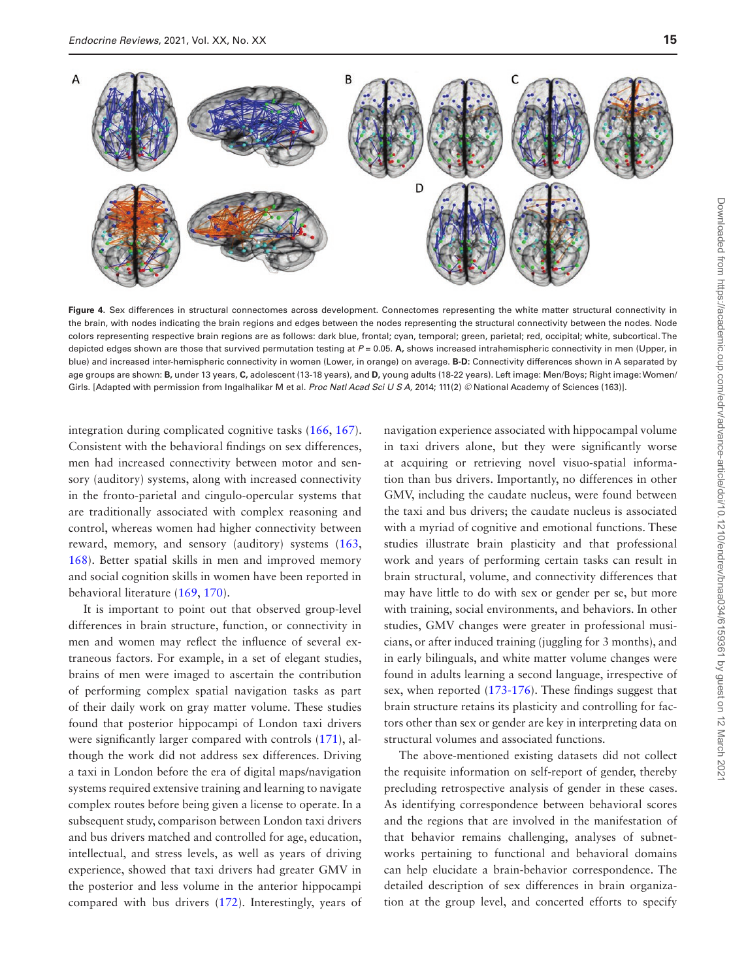

<span id="page-14-0"></span>**Figure 4.** Sex differences in structural connectomes across development. Connectomes representing the white matter structural connectivity in the brain, with nodes indicating the brain regions and edges between the nodes representing the structural connectivity between the nodes. Node colors representing respective brain regions are as follows: dark blue, frontal; cyan, temporal; green, parietal; red, occipital; white, subcortical. The depicted edges shown are those that survived permutation testing at *P* = 0.05. **A,** shows increased intrahemispheric connectivity in men (Upper, in blue) and increased inter-hemispheric connectivity in women (Lower, in orange) on average. **B-D:** Connectivity differences shown in A separated by age groups are shown: **B,** under 13 years, **C,** adolescent (13-18 years), and **D,** young adults (18-22 years). Left image: Men/Boys; Right image: Women/ Girls. [Adapted with permission from Ingalhalikar M et al. *Proc Natl Acad Sci U S A,* 2014; 111(2) © National Academy of Sciences (163)].

integration during complicated cognitive tasks [\(166,](#page-32-13) [167](#page-32-14)). Consistent with the behavioral findings on sex differences, men had increased connectivity between motor and sensory (auditory) systems, along with increased connectivity in the fronto-parietal and cingulo-opercular systems that are traditionally associated with complex reasoning and control, whereas women had higher connectivity between reward, memory, and sensory (auditory) systems ([163](#page-32-10), [168](#page-32-15)). Better spatial skills in men and improved memory and social cognition skills in women have been reported in behavioral literature [\(169,](#page-32-16) [170](#page-32-17)).

It is important to point out that observed group-level differences in brain structure, function, or connectivity in men and women may reflect the influence of several extraneous factors. For example, in a set of elegant studies, brains of men were imaged to ascertain the contribution of performing complex spatial navigation tasks as part of their daily work on gray matter volume. These studies found that posterior hippocampi of London taxi drivers were significantly larger compared with controls  $(171)$  $(171)$  $(171)$ , although the work did not address sex differences. Driving a taxi in London before the era of digital maps/navigation systems required extensive training and learning to navigate complex routes before being given a license to operate. In a subsequent study, comparison between London taxi drivers and bus drivers matched and controlled for age, education, intellectual, and stress levels, as well as years of driving experience, showed that taxi drivers had greater GMV in the posterior and less volume in the anterior hippocampi compared with bus drivers ([172](#page-32-19)). Interestingly, years of

navigation experience associated with hippocampal volume in taxi drivers alone, but they were significantly worse at acquiring or retrieving novel visuo-spatial information than bus drivers. Importantly, no differences in other GMV, including the caudate nucleus, were found between the taxi and bus drivers; the caudate nucleus is associated with a myriad of cognitive and emotional functions. These studies illustrate brain plasticity and that professional work and years of performing certain tasks can result in brain structural, volume, and connectivity differences that may have little to do with sex or gender per se, but more with training, social environments, and behaviors. In other studies, GMV changes were greater in professional musicians, or after induced training (juggling for 3 months), and in early bilinguals, and white matter volume changes were found in adults learning a second language, irrespective of sex, when reported ([173](#page-32-20)[-176\)](#page-32-21). These findings suggest that brain structure retains its plasticity and controlling for factors other than sex or gender are key in interpreting data on structural volumes and associated functions.

The above-mentioned existing datasets did not collect the requisite information on self-report of gender, thereby precluding retrospective analysis of gender in these cases. As identifying correspondence between behavioral scores and the regions that are involved in the manifestation of that behavior remains challenging, analyses of subnetworks pertaining to functional and behavioral domains can help elucidate a brain-behavior correspondence. The detailed description of sex differences in brain organization at the group level, and concerted efforts to specify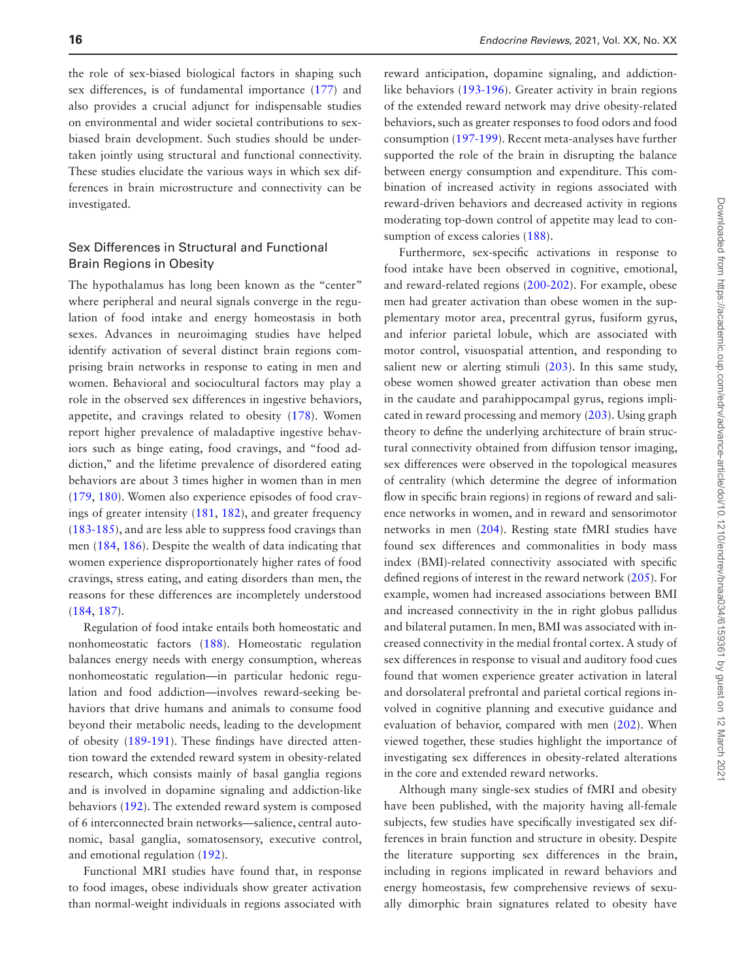the role of sex-biased biological factors in shaping such sex differences, is of fundamental importance ([177](#page-32-22)) and also provides a crucial adjunct for indispensable studies on environmental and wider societal contributions to sexbiased brain development. Such studies should be undertaken jointly using structural and functional connectivity. These studies elucidate the various ways in which sex differences in brain microstructure and connectivity can be investigated.

## Sex Differences in Structural and Functional Brain Regions in Obesity

The hypothalamus has long been known as the "center" where peripheral and neural signals converge in the regulation of food intake and energy homeostasis in both sexes. Advances in neuroimaging studies have helped identify activation of several distinct brain regions comprising brain networks in response to eating in men and women. Behavioral and sociocultural factors may play a role in the observed sex differences in ingestive behaviors, appetite, and cravings related to obesity ([178](#page-32-23)). Women report higher prevalence of maladaptive ingestive behaviors such as binge eating, food cravings, and "food addiction," and the lifetime prevalence of disordered eating behaviors are about 3 times higher in women than in men ([179](#page-32-24), [180\)](#page-32-25). Women also experience episodes of food cravings of greater intensity ([181](#page-32-26), [182](#page-32-27)), and greater frequency ([183](#page-32-28)[-185\)](#page-32-29), and are less able to suppress food cravings than men [\(184,](#page-32-30) [186](#page-32-31)). Despite the wealth of data indicating that women experience disproportionately higher rates of food cravings, stress eating, and eating disorders than men, the reasons for these differences are incompletely understood ([184](#page-32-30), [187\)](#page-32-32).

Regulation of food intake entails both homeostatic and nonhomeostatic factors ([188\)](#page-32-33). Homeostatic regulation balances energy needs with energy consumption, whereas nonhomeostatic regulation—in particular hedonic regulation and food addiction—involves reward-seeking behaviors that drive humans and animals to consume food beyond their metabolic needs, leading to the development of obesity [\(189-](#page-32-34)[191](#page-33-0)). These findings have directed attention toward the extended reward system in obesity-related research, which consists mainly of basal ganglia regions and is involved in dopamine signaling and addiction-like behaviors [\(192](#page-33-1)). The extended reward system is composed of 6 interconnected brain networks—salience, central autonomic, basal ganglia, somatosensory, executive control, and emotional regulation [\(192](#page-33-1)).

Functional MRI studies have found that, in response to food images, obese individuals show greater activation than normal-weight individuals in regions associated with

reward anticipation, dopamine signaling, and addictionlike behaviors ([193](#page-33-2)[-196\)](#page-33-3). Greater activity in brain regions of the extended reward network may drive obesity-related behaviors, such as greater responses to food odors and food consumption ([197](#page-33-4)[-199\)](#page-33-5). Recent meta-analyses have further supported the role of the brain in disrupting the balance between energy consumption and expenditure. This combination of increased activity in regions associated with reward-driven behaviors and decreased activity in regions moderating top-down control of appetite may lead to consumption of excess calories  $(188)$  $(188)$  $(188)$ .

Furthermore, sex-specific activations in response to food intake have been observed in cognitive, emotional, and reward-related regions ([200](#page-33-6)[-202\)](#page-33-7). For example, obese men had greater activation than obese women in the supplementary motor area, precentral gyrus, fusiform gyrus, and inferior parietal lobule, which are associated with motor control, visuospatial attention, and responding to salient new or alerting stimuli [\(203\)](#page-33-8). In this same study, obese women showed greater activation than obese men in the caudate and parahippocampal gyrus, regions implicated in reward processing and memory ([203](#page-33-8)). Using graph theory to define the underlying architecture of brain structural connectivity obtained from diffusion tensor imaging, sex differences were observed in the topological measures of centrality (which determine the degree of information flow in specific brain regions) in regions of reward and salience networks in women, and in reward and sensorimotor networks in men ([204\)](#page-33-9). Resting state fMRI studies have found sex differences and commonalities in body mass index (BMI)-related connectivity associated with specific defined regions of interest in the reward network ([205](#page-33-10)). For example, women had increased associations between BMI and increased connectivity in the in right globus pallidus and bilateral putamen. In men, BMI was associated with increased connectivity in the medial frontal cortex. A study of sex differences in response to visual and auditory food cues found that women experience greater activation in lateral and dorsolateral prefrontal and parietal cortical regions involved in cognitive planning and executive guidance and evaluation of behavior, compared with men ([202](#page-33-7)). When viewed together, these studies highlight the importance of investigating sex differences in obesity-related alterations in the core and extended reward networks.

Although many single-sex studies of fMRI and obesity have been published, with the majority having all-female subjects, few studies have specifically investigated sex differences in brain function and structure in obesity. Despite the literature supporting sex differences in the brain, including in regions implicated in reward behaviors and energy homeostasis, few comprehensive reviews of sexually dimorphic brain signatures related to obesity have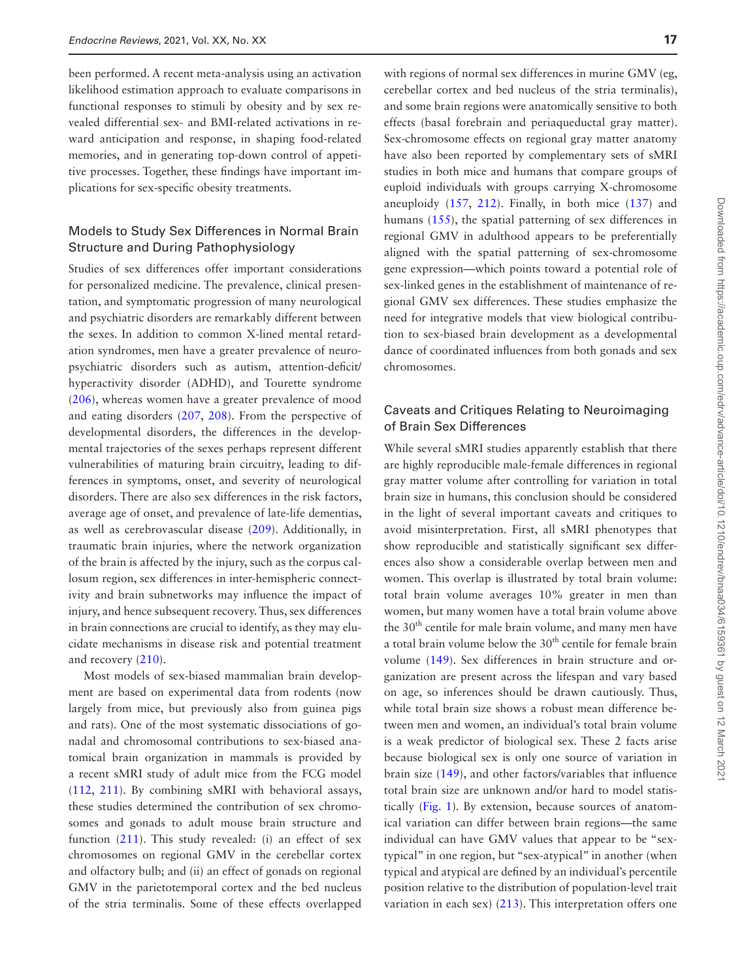been performed. A recent meta-analysis using an activation likelihood estimation approach to evaluate comparisons in functional responses to stimuli by obesity and by sex revealed differential sex- and BMI-related activations in reward anticipation and response, in shaping food-related memories, and in generating top-down control of appetitive processes. Together, these findings have important implications for sex-specific obesity treatments.

## Models to Study Sex Differences in Normal Brain Structure and During Pathophysiology

Studies of sex differences offer important considerations for personalized medicine. The prevalence, clinical presentation, and symptomatic progression of many neurological and psychiatric disorders are remarkably different between the sexes. In addition to common X-lined mental retardation syndromes, men have a greater prevalence of neuropsychiatric disorders such as autism, attention-deficit/ hyperactivity disorder (ADHD), and Tourette syndrome ([206](#page-33-11)), whereas women have a greater prevalence of mood and eating disorders ([207](#page-33-12), [208\)](#page-33-13). From the perspective of developmental disorders, the differences in the developmental trajectories of the sexes perhaps represent different vulnerabilities of maturing brain circuitry, leading to differences in symptoms, onset, and severity of neurological disorders. There are also sex differences in the risk factors, average age of onset, and prevalence of late-life dementias, as well as cerebrovascular disease [\(209\)](#page-33-14). Additionally, in traumatic brain injuries, where the network organization of the brain is affected by the injury, such as the corpus callosum region, sex differences in inter-hemispheric connectivity and brain subnetworks may influence the impact of injury, and hence subsequent recovery. Thus, sex differences in brain connections are crucial to identify, as they may elucidate mechanisms in disease risk and potential treatment and recovery ([210](#page-33-15)).

Most models of sex-biased mammalian brain development are based on experimental data from rodents (now largely from mice, but previously also from guinea pigs and rats). One of the most systematic dissociations of gonadal and chromosomal contributions to sex-biased anatomical brain organization in mammals is provided by a recent sMRI study of adult mice from the FCG model ([112](#page-30-29), [211](#page-33-16)). By combining sMRI with behavioral assays, these studies determined the contribution of sex chromosomes and gonads to adult mouse brain structure and function ([211](#page-33-16)). This study revealed: (i) an effect of sex chromosomes on regional GMV in the cerebellar cortex and olfactory bulb; and (ii) an effect of gonads on regional GMV in the parietotemporal cortex and the bed nucleus of the stria terminalis. Some of these effects overlapped with regions of normal sex differences in murine GMV (eg, cerebellar cortex and bed nucleus of the stria terminalis), and some brain regions were anatomically sensitive to both effects (basal forebrain and periaqueductal gray matter). Sex-chromosome effects on regional gray matter anatomy have also been reported by complementary sets of sMRI studies in both mice and humans that compare groups of euploid individuals with groups carrying X-chromosome aneuploidy ([157](#page-32-4), [212\)](#page-33-17). Finally, in both mice [\(137\)](#page-31-20) and humans ([155\)](#page-32-2), the spatial patterning of sex differences in regional GMV in adulthood appears to be preferentially aligned with the spatial patterning of sex-chromosome gene expression—which points toward a potential role of sex-linked genes in the establishment of maintenance of regional GMV sex differences. These studies emphasize the need for integrative models that view biological contribution to sex-biased brain development as a developmental dance of coordinated influences from both gonads and sex chromosomes.

#### Caveats and Critiques Relating to Neuroimaging of Brain Sex Differences

While several sMRI studies apparently establish that there are highly reproducible male-female differences in regional gray matter volume after controlling for variation in total brain size in humans, this conclusion should be considered in the light of several important caveats and critiques to avoid misinterpretation. First, all sMRI phenotypes that show reproducible and statistically significant sex differences also show a considerable overlap between men and women. This overlap is illustrated by total brain volume: total brain volume averages 10% greater in men than women, but many women have a total brain volume above the  $30<sup>th</sup>$  centile for male brain volume, and many men have a total brain volume below the  $30<sup>th</sup>$  centile for female brain volume [\(149\)](#page-31-31). Sex differences in brain structure and organization are present across the lifespan and vary based on age, so inferences should be drawn cautiously. Thus, while total brain size shows a robust mean difference between men and women, an individual's total brain volume is a weak predictor of biological sex. These 2 facts arise because biological sex is only one source of variation in brain size [\(149\)](#page-31-31), and other factors/variables that influence total brain size are unknown and/or hard to model statistically ([Fig. 1\)](#page-7-0). By extension, because sources of anatomical variation can differ between brain regions—the same individual can have GMV values that appear to be "sextypical" in one region, but "sex-atypical" in another (when typical and atypical are defined by an individual's percentile position relative to the distribution of population-level trait variation in each sex) [\(213](#page-33-18)). This interpretation offers one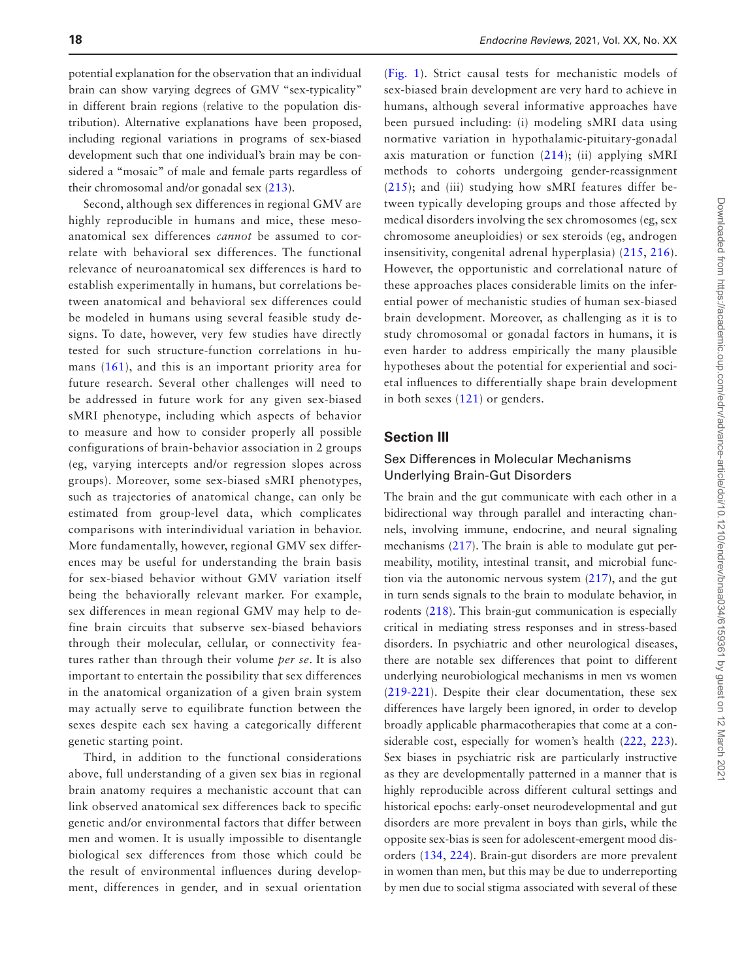potential explanation for the observation that an individual brain can show varying degrees of GMV "sex-typicality" in different brain regions (relative to the population distribution). Alternative explanations have been proposed, including regional variations in programs of sex-biased development such that one individual's brain may be considered a "mosaic" of male and female parts regardless of their chromosomal and/or gonadal sex [\(213\)](#page-33-18).

Second, although sex differences in regional GMV are highly reproducible in humans and mice, these mesoanatomical sex differences *cannot* be assumed to correlate with behavioral sex differences. The functional relevance of neuroanatomical sex differences is hard to establish experimentally in humans, but correlations between anatomical and behavioral sex differences could be modeled in humans using several feasible study designs. To date, however, very few studies have directly tested for such structure-function correlations in humans ([161\)](#page-32-8), and this is an important priority area for future research. Several other challenges will need to be addressed in future work for any given sex-biased sMRI phenotype, including which aspects of behavior to measure and how to consider properly all possible configurations of brain-behavior association in 2 groups (eg, varying intercepts and/or regression slopes across groups). Moreover, some sex-biased sMRI phenotypes, such as trajectories of anatomical change, can only be estimated from group-level data, which complicates comparisons with interindividual variation in behavior. More fundamentally, however, regional GMV sex differences may be useful for understanding the brain basis for sex-biased behavior without GMV variation itself being the behaviorally relevant marker. For example, sex differences in mean regional GMV may help to define brain circuits that subserve sex-biased behaviors through their molecular, cellular, or connectivity features rather than through their volume *per se*. It is also important to entertain the possibility that sex differences in the anatomical organization of a given brain system may actually serve to equilibrate function between the sexes despite each sex having a categorically different genetic starting point.

Third, in addition to the functional considerations above, full understanding of a given sex bias in regional brain anatomy requires a mechanistic account that can link observed anatomical sex differences back to specific genetic and/or environmental factors that differ between men and women. It is usually impossible to disentangle biological sex differences from those which could be the result of environmental influences during development, differences in gender, and in sexual orientation

([Fig. 1](#page-7-0)). Strict causal tests for mechanistic models of sex-biased brain development are very hard to achieve in humans, although several informative approaches have been pursued including: (i) modeling sMRI data using normative variation in hypothalamic-pituitary-gonadal axis maturation or function  $(214)$  $(214)$  $(214)$ ; (ii) applying sMRI methods to cohorts undergoing gender-reassignment ([215\)](#page-33-20); and (iii) studying how sMRI features differ between typically developing groups and those affected by medical disorders involving the sex chromosomes (eg, sex chromosome aneuploidies) or sex steroids (eg, androgen insensitivity, congenital adrenal hyperplasia) ([215,](#page-33-20) [216](#page-33-21)). However, the opportunistic and correlational nature of these approaches places considerable limits on the inferential power of mechanistic studies of human sex-biased brain development. Moreover, as challenging as it is to study chromosomal or gonadal factors in humans, it is even harder to address empirically the many plausible hypotheses about the potential for experiential and societal influences to differentially shape brain development in both sexes ([121\)](#page-31-0) or genders.

#### **Section III**

#### Sex Differences in Molecular Mechanisms Underlying Brain-Gut Disorders

The brain and the gut communicate with each other in a bidirectional way through parallel and interacting channels, involving immune, endocrine, and neural signaling mechanisms [\(217\)](#page-33-22). The brain is able to modulate gut permeability, motility, intestinal transit, and microbial function via the autonomic nervous system [\(217](#page-33-22)), and the gut in turn sends signals to the brain to modulate behavior, in rodents ([218](#page-33-23)). This brain-gut communication is especially critical in mediating stress responses and in stress-based disorders. In psychiatric and other neurological diseases, there are notable sex differences that point to different underlying neurobiological mechanisms in men vs women ([219](#page-33-24)[-221\)](#page-33-25). Despite their clear documentation, these sex differences have largely been ignored, in order to develop broadly applicable pharmacotherapies that come at a considerable cost, especially for women's health ([222](#page-33-26), [223](#page-34-0)). Sex biases in psychiatric risk are particularly instructive as they are developmentally patterned in a manner that is highly reproducible across different cultural settings and historical epochs: early-onset neurodevelopmental and gut disorders are more prevalent in boys than girls, while the opposite sex-bias is seen for adolescent-emergent mood disorders [\(134,](#page-31-17) [224\)](#page-34-1). Brain-gut disorders are more prevalent in women than men, but this may be due to underreporting by men due to social stigma associated with several of these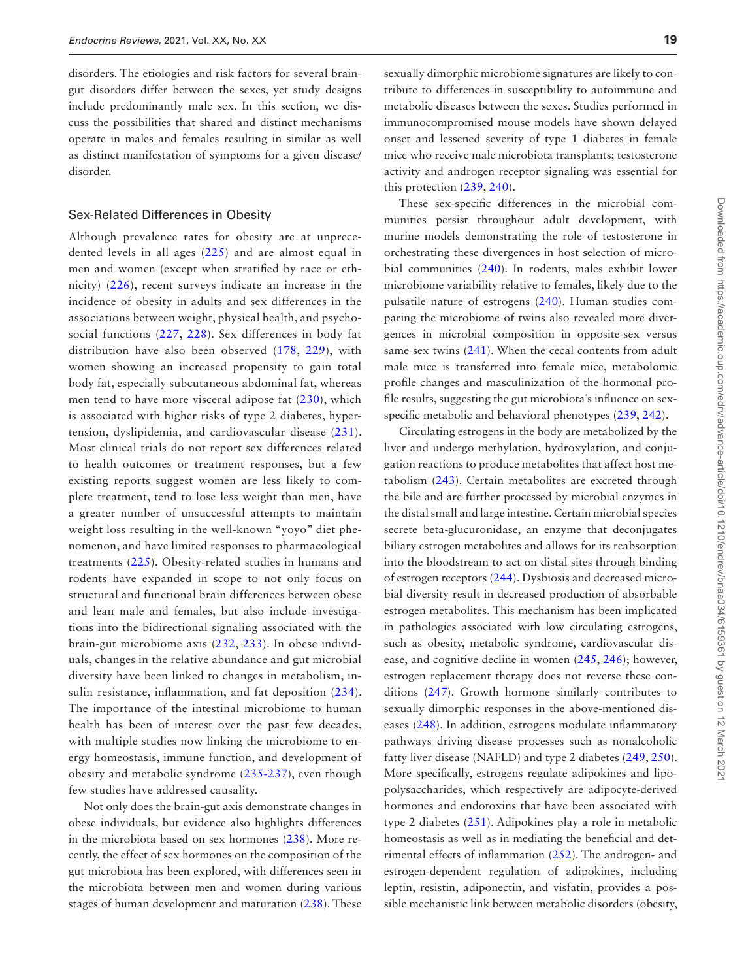disorders. The etiologies and risk factors for several braingut disorders differ between the sexes, yet study designs include predominantly male sex. In this section, we discuss the possibilities that shared and distinct mechanisms operate in males and females resulting in similar as well as distinct manifestation of symptoms for a given disease/ disorder.

#### Sex-Related Differences in Obesity

Although prevalence rates for obesity are at unprecedented levels in all ages ([225\)](#page-34-2) and are almost equal in men and women (except when stratified by race or ethnicity) ([226\)](#page-34-3), recent surveys indicate an increase in the incidence of obesity in adults and sex differences in the associations between weight, physical health, and psychosocial functions [\(227](#page-34-4), [228](#page-34-5)). Sex differences in body fat distribution have also been observed ([178,](#page-32-23) [229\)](#page-34-6), with women showing an increased propensity to gain total body fat, especially subcutaneous abdominal fat, whereas men tend to have more visceral adipose fat [\(230](#page-34-7)), which is associated with higher risks of type 2 diabetes, hypertension, dyslipidemia, and cardiovascular disease [\(231](#page-34-8)). Most clinical trials do not report sex differences related to health outcomes or treatment responses, but a few existing reports suggest women are less likely to complete treatment, tend to lose less weight than men, have a greater number of unsuccessful attempts to maintain weight loss resulting in the well-known "yoyo" diet phenomenon, and have limited responses to pharmacological treatments ([225](#page-34-2)). Obesity-related studies in humans and rodents have expanded in scope to not only focus on structural and functional brain differences between obese and lean male and females, but also include investigations into the bidirectional signaling associated with the brain-gut microbiome axis ([232,](#page-34-9) [233\)](#page-34-10). In obese individuals, changes in the relative abundance and gut microbial diversity have been linked to changes in metabolism, insulin resistance, inflammation, and fat deposition [\(234](#page-34-11)). The importance of the intestinal microbiome to human health has been of interest over the past few decades, with multiple studies now linking the microbiome to energy homeostasis, immune function, and development of obesity and metabolic syndrome ([235-](#page-34-12)[237\)](#page-34-13), even though few studies have addressed causality.

Not only does the brain-gut axis demonstrate changes in obese individuals, but evidence also highlights differences in the microbiota based on sex hormones ([238](#page-34-14)). More recently, the effect of sex hormones on the composition of the gut microbiota has been explored, with differences seen in the microbiota between men and women during various stages of human development and maturation ([238](#page-34-14)). These sexually dimorphic microbiome signatures are likely to contribute to differences in susceptibility to autoimmune and metabolic diseases between the sexes. Studies performed in immunocompromised mouse models have shown delayed onset and lessened severity of type 1 diabetes in female mice who receive male microbiota transplants; testosterone activity and androgen receptor signaling was essential for this protection [\(239,](#page-34-15) [240](#page-34-16)).

These sex-specific differences in the microbial communities persist throughout adult development, with murine models demonstrating the role of testosterone in orchestrating these divergences in host selection of microbial communities [\(240\)](#page-34-16). In rodents, males exhibit lower microbiome variability relative to females, likely due to the pulsatile nature of estrogens [\(240\)](#page-34-16). Human studies comparing the microbiome of twins also revealed more divergences in microbial composition in opposite-sex versus same-sex twins [\(241\)](#page-34-17). When the cecal contents from adult male mice is transferred into female mice, metabolomic profile changes and masculinization of the hormonal profile results, suggesting the gut microbiota's influence on sexspecific metabolic and behavioral phenotypes ([239](#page-34-15), [242](#page-34-18)).

Circulating estrogens in the body are metabolized by the liver and undergo methylation, hydroxylation, and conjugation reactions to produce metabolites that affect host metabolism ([243](#page-34-19)). Certain metabolites are excreted through the bile and are further processed by microbial enzymes in the distal small and large intestine. Certain microbial species secrete beta-glucuronidase, an enzyme that deconjugates biliary estrogen metabolites and allows for its reabsorption into the bloodstream to act on distal sites through binding of estrogen receptors ([244](#page-34-20)). Dysbiosis and decreased microbial diversity result in decreased production of absorbable estrogen metabolites. This mechanism has been implicated in pathologies associated with low circulating estrogens, such as obesity, metabolic syndrome, cardiovascular disease, and cognitive decline in women [\(245,](#page-34-21) [246](#page-34-22)); however, estrogen replacement therapy does not reverse these conditions ([247](#page-34-23)). Growth hormone similarly contributes to sexually dimorphic responses in the above-mentioned diseases ([248](#page-34-24)). In addition, estrogens modulate inflammatory pathways driving disease processes such as nonalcoholic fatty liver disease (NAFLD) and type 2 diabetes ([249](#page-34-25), [250](#page-34-26)). More specifically, estrogens regulate adipokines and lipopolysaccharides, which respectively are adipocyte-derived hormones and endotoxins that have been associated with type 2 diabetes [\(251\)](#page-34-27). Adipokines play a role in metabolic homeostasis as well as in mediating the beneficial and detrimental effects of inflammation ([252](#page-34-28)). The androgen- and estrogen-dependent regulation of adipokines, including leptin, resistin, adiponectin, and visfatin, provides a possible mechanistic link between metabolic disorders (obesity,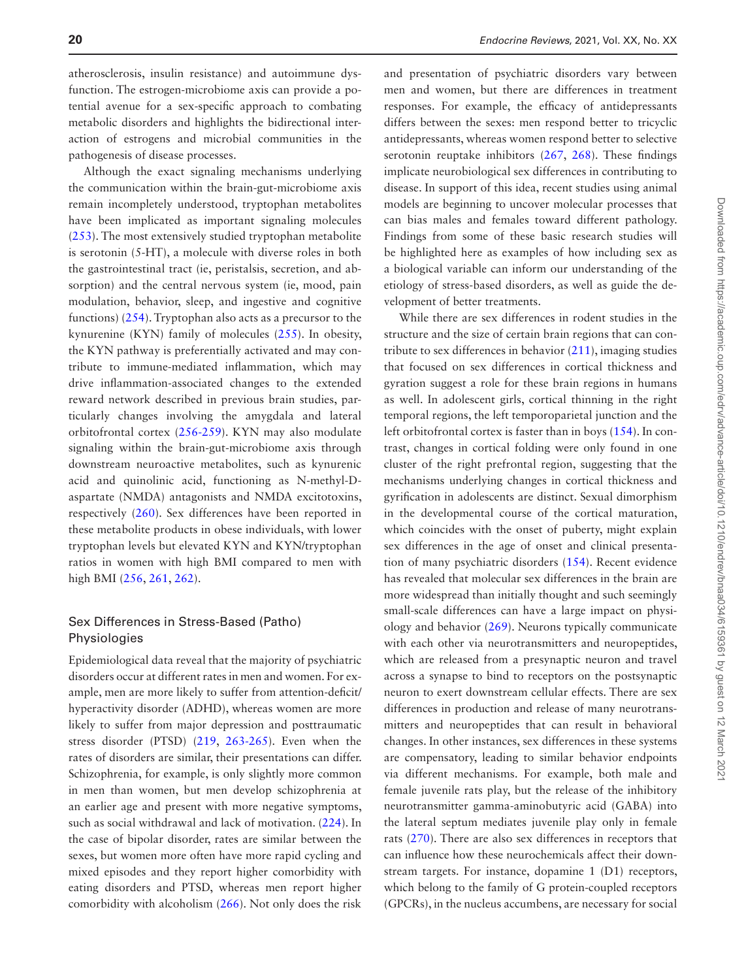atherosclerosis, insulin resistance) and autoimmune dysfunction. The estrogen-microbiome axis can provide a potential avenue for a sex-specific approach to combating metabolic disorders and highlights the bidirectional interaction of estrogens and microbial communities in the pathogenesis of disease processes.

Although the exact signaling mechanisms underlying the communication within the brain-gut-microbiome axis remain incompletely understood, tryptophan metabolites have been implicated as important signaling molecules ([253](#page-34-29)). The most extensively studied tryptophan metabolite is serotonin (5-HT), a molecule with diverse roles in both the gastrointestinal tract (ie, peristalsis, secretion, and absorption) and the central nervous system (ie, mood, pain modulation, behavior, sleep, and ingestive and cognitive functions) [\(254\)](#page-34-30). Tryptophan also acts as a precursor to the kynurenine (KYN) family of molecules ([255\)](#page-34-31). In obesity, the KYN pathway is preferentially activated and may contribute to immune-mediated inflammation, which may drive inflammation-associated changes to the extended reward network described in previous brain studies, particularly changes involving the amygdala and lateral orbitofrontal cortex ([256](#page-34-32)[-259\)](#page-34-33). KYN may also modulate signaling within the brain-gut-microbiome axis through downstream neuroactive metabolites, such as kynurenic acid and quinolinic acid, functioning as N-methyl-Daspartate (NMDA) antagonists and NMDA excitotoxins, respectively [\(260\)](#page-35-0). Sex differences have been reported in these metabolite products in obese individuals, with lower tryptophan levels but elevated KYN and KYN/tryptophan ratios in women with high BMI compared to men with high BMI ([256](#page-34-32), [261](#page-35-1), [262\)](#page-35-2).

## Sex Differences in Stress-Based (Patho) Physiologies

Epidemiological data reveal that the majority of psychiatric disorders occur at different rates in men and women. For example, men are more likely to suffer from attention-deficit/ hyperactivity disorder (ADHD), whereas women are more likely to suffer from major depression and posttraumatic stress disorder (PTSD) [\(219,](#page-33-24) [263-](#page-35-3)[265](#page-35-4)). Even when the rates of disorders are similar, their presentations can differ. Schizophrenia, for example, is only slightly more common in men than women, but men develop schizophrenia at an earlier age and present with more negative symptoms, such as social withdrawal and lack of motivation. [\(224\)](#page-34-1). In the case of bipolar disorder, rates are similar between the sexes, but women more often have more rapid cycling and mixed episodes and they report higher comorbidity with eating disorders and PTSD, whereas men report higher comorbidity with alcoholism ([266](#page-35-5)). Not only does the risk

and presentation of psychiatric disorders vary between men and women, but there are differences in treatment responses. For example, the efficacy of antidepressants differs between the sexes: men respond better to tricyclic antidepressants, whereas women respond better to selective serotonin reuptake inhibitors [\(267,](#page-35-6) [268](#page-35-7)). These findings implicate neurobiological sex differences in contributing to disease. In support of this idea, recent studies using animal models are beginning to uncover molecular processes that can bias males and females toward different pathology. Findings from some of these basic research studies will be highlighted here as examples of how including sex as a biological variable can inform our understanding of the etiology of stress-based disorders, as well as guide the development of better treatments.

While there are sex differences in rodent studies in the structure and the size of certain brain regions that can contribute to sex differences in behavior [\(211\)](#page-33-16), imaging studies that focused on sex differences in cortical thickness and gyration suggest a role for these brain regions in humans as well. In adolescent girls, cortical thinning in the right temporal regions, the left temporoparietal junction and the left orbitofrontal cortex is faster than in boys ([154](#page-32-1)). In contrast, changes in cortical folding were only found in one cluster of the right prefrontal region, suggesting that the mechanisms underlying changes in cortical thickness and gyrification in adolescents are distinct. Sexual dimorphism in the developmental course of the cortical maturation, which coincides with the onset of puberty, might explain sex differences in the age of onset and clinical presentation of many psychiatric disorders [\(154\)](#page-32-1). Recent evidence has revealed that molecular sex differences in the brain are more widespread than initially thought and such seemingly small-scale differences can have a large impact on physiology and behavior ([269](#page-35-8)). Neurons typically communicate with each other via neurotransmitters and neuropeptides, which are released from a presynaptic neuron and travel across a synapse to bind to receptors on the postsynaptic neuron to exert downstream cellular effects. There are sex differences in production and release of many neurotransmitters and neuropeptides that can result in behavioral changes. In other instances, sex differences in these systems are compensatory, leading to similar behavior endpoints via different mechanisms. For example, both male and female juvenile rats play, but the release of the inhibitory neurotransmitter gamma-aminobutyric acid (GABA) into the lateral septum mediates juvenile play only in female rats ([270](#page-35-9)). There are also sex differences in receptors that can influence how these neurochemicals affect their downstream targets. For instance, dopamine 1 (D1) receptors, which belong to the family of G protein-coupled receptors (GPCRs), in the nucleus accumbens, are necessary for social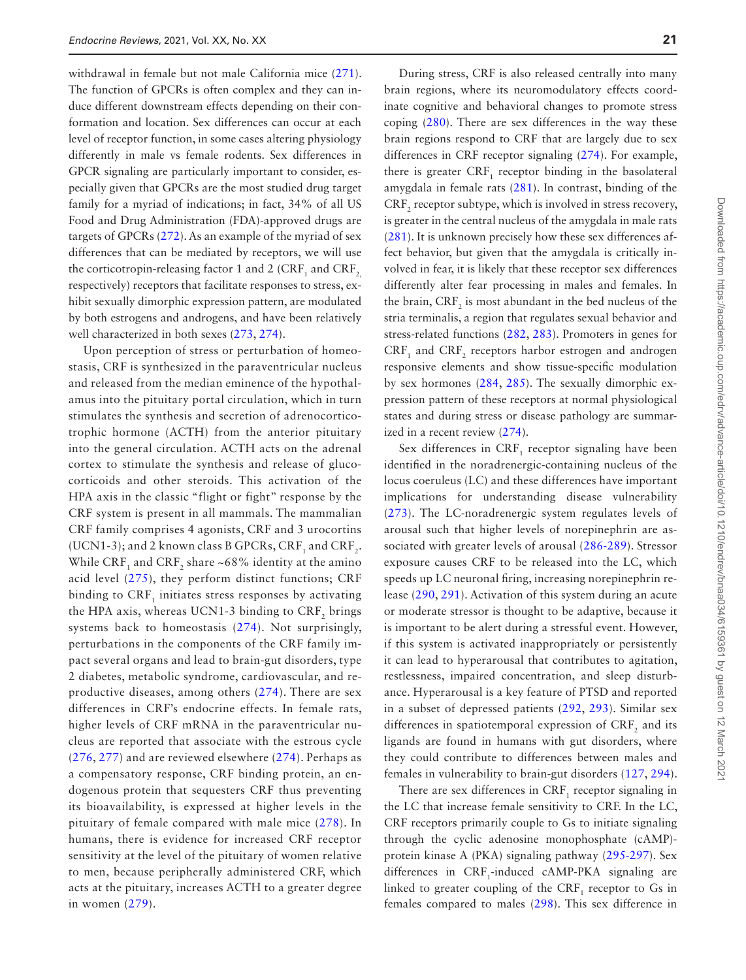withdrawal in female but not male California mice ([271](#page-35-10)). The function of GPCRs is often complex and they can induce different downstream effects depending on their conformation and location. Sex differences can occur at each level of receptor function, in some cases altering physiology differently in male vs female rodents. Sex differences in GPCR signaling are particularly important to consider, especially given that GPCRs are the most studied drug target family for a myriad of indications; in fact, 34% of all US Food and Drug Administration (FDA)-approved drugs are targets of GPCRs [\(272\)](#page-35-11). As an example of the myriad of sex differences that can be mediated by receptors, we will use the corticotropin-releasing factor 1 and 2 (CRF<sub>1</sub> and CRF<sub>2,</sub> respectively) receptors that facilitate responses to stress, exhibit sexually dimorphic expression pattern, are modulated by both estrogens and androgens, and have been relatively well characterized in both sexes ([273](#page-35-12), [274](#page-35-13)).

Upon perception of stress or perturbation of homeostasis, CRF is synthesized in the paraventricular nucleus and released from the median eminence of the hypothalamus into the pituitary portal circulation, which in turn stimulates the synthesis and secretion of adrenocorticotrophic hormone (ACTH) from the anterior pituitary into the general circulation. ACTH acts on the adrenal cortex to stimulate the synthesis and release of glucocorticoids and other steroids. This activation of the HPA axis in the classic "flight or fight" response by the CRF system is present in all mammals. The mammalian CRF family comprises 4 agonists, CRF and 3 urocortins (UCN1-3); and 2 known class B GPCRs,  $CRF_1$  and  $CRF_2$ . While CRF<sub>1</sub> and CRF<sub>2</sub> share ~68% identity at the amino acid level [\(275\)](#page-35-14), they perform distinct functions; CRF binding to  $CRF<sub>1</sub>$  initiates stress responses by activating the HPA axis, whereas UCN1-3 binding to CRF, brings systems back to homeostasis ([274](#page-35-13)). Not surprisingly, perturbations in the components of the CRF family impact several organs and lead to brain-gut disorders, type 2 diabetes, metabolic syndrome, cardiovascular, and reproductive diseases, among others ([274\)](#page-35-13). There are sex differences in CRF's endocrine effects. In female rats, higher levels of CRF mRNA in the paraventricular nucleus are reported that associate with the estrous cycle ([276](#page-35-15), [277](#page-35-16)) and are reviewed elsewhere [\(274\)](#page-35-13). Perhaps as a compensatory response, CRF binding protein, an endogenous protein that sequesters CRF thus preventing its bioavailability, is expressed at higher levels in the pituitary of female compared with male mice ([278](#page-35-17)). In humans, there is evidence for increased CRF receptor sensitivity at the level of the pituitary of women relative to men, because peripherally administered CRF, which acts at the pituitary, increases ACTH to a greater degree in women [\(279\)](#page-35-18).

During stress, CRF is also released centrally into many brain regions, where its neuromodulatory effects coordinate cognitive and behavioral changes to promote stress coping [\(280\)](#page-35-19). There are sex differences in the way these brain regions respond to CRF that are largely due to sex differences in CRF receptor signaling ([274](#page-35-13)). For example, there is greater  $CRF_1$  receptor binding in the basolateral amygdala in female rats [\(281](#page-35-20)). In contrast, binding of the  $CRF<sub>2</sub>$  receptor subtype, which is involved in stress recovery, is greater in the central nucleus of the amygdala in male rats ([281](#page-35-20)). It is unknown precisely how these sex differences affect behavior, but given that the amygdala is critically involved in fear, it is likely that these receptor sex differences differently alter fear processing in males and females. In the brain,  $CRF_2$  is most abundant in the bed nucleus of the stria terminalis, a region that regulates sexual behavior and stress-related functions ([282](#page-35-21), [283\)](#page-35-22). Promoters in genes for  $CRF_1$  and  $CRF_2$  receptors harbor estrogen and androgen responsive elements and show tissue-specific modulation by sex hormones ([284](#page-35-23), [285\)](#page-35-24). The sexually dimorphic expression pattern of these receptors at normal physiological states and during stress or disease pathology are summarized in a recent review [\(274\)](#page-35-13).

Sex differences in  $CRF_1$  receptor signaling have been identified in the noradrenergic-containing nucleus of the locus coeruleus (LC) and these differences have important implications for understanding disease vulnerability ([273\)](#page-35-12). The LC-noradrenergic system regulates levels of arousal such that higher levels of norepinephrin are associated with greater levels of arousal ([286-](#page-35-25)[289\)](#page-35-26). Stressor exposure causes CRF to be released into the LC, which speeds up LC neuronal firing, increasing norepinephrin release ([290](#page-35-27), [291\)](#page-36-0). Activation of this system during an acute or moderate stressor is thought to be adaptive, because it is important to be alert during a stressful event. However, if this system is activated inappropriately or persistently it can lead to hyperarousal that contributes to agitation, restlessness, impaired concentration, and sleep disturbance. Hyperarousal is a key feature of PTSD and reported in a subset of depressed patients ([292,](#page-36-1) [293](#page-36-2)). Similar sex differences in spatiotemporal expression of  $\mathrm{CRF}_2$  and its ligands are found in humans with gut disorders, where they could contribute to differences between males and females in vulnerability to brain-gut disorders ([127,](#page-31-6) [294](#page-36-3)).

There are sex differences in  $CRF_1$  receptor signaling in the LC that increase female sensitivity to CRF. In the LC, CRF receptors primarily couple to Gs to initiate signaling through the cyclic adenosine monophosphate (cAMP) protein kinase A (PKA) signaling pathway [\(295-](#page-36-4)[297](#page-36-5)). Sex differences in  $CRF_1$ -induced cAMP-PKA signaling are linked to greater coupling of the  $CRF_1$  receptor to Gs in females compared to males ([298](#page-36-6)). This sex difference in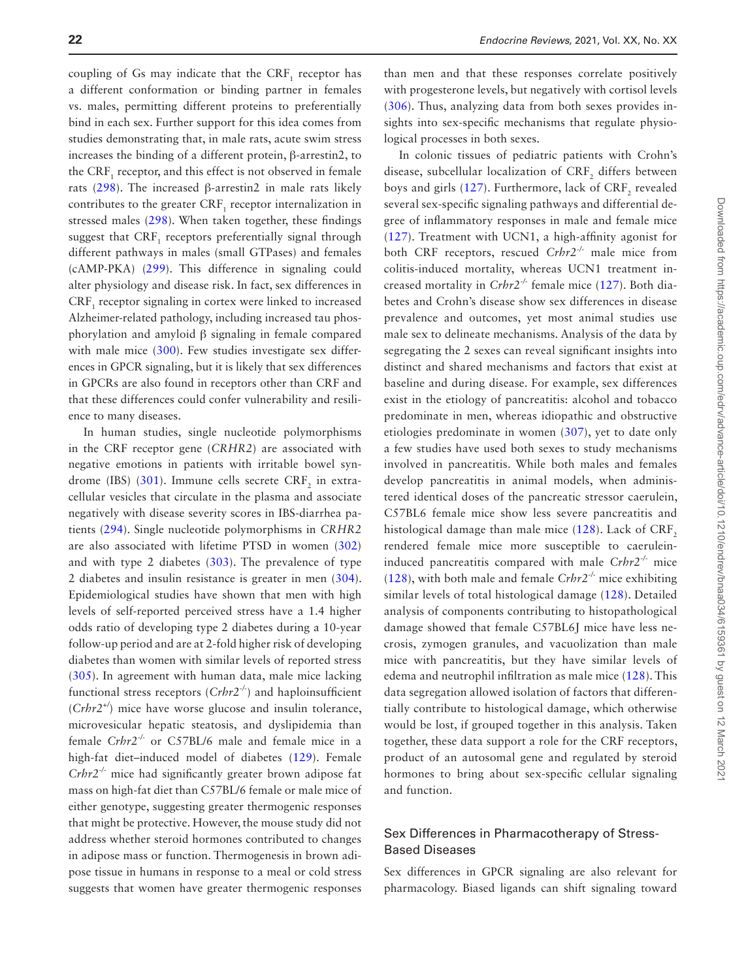coupling of Gs may indicate that the  $CRF_1$  receptor has a different conformation or binding partner in females vs. males, permitting different proteins to preferentially bind in each sex. Further support for this idea comes from studies demonstrating that, in male rats, acute swim stress increases the binding of a different protein, β-arrestin2, to the  $\mathrm{CRF}_{1}$  receptor, and this effect is not observed in female rats [\(298\)](#page-36-6). The increased β-arrestin2 in male rats likely contributes to the greater  $CRF_1$  receptor internalization in stressed males ([298](#page-36-6)). When taken together, these findings suggest that  $\mathrm{CRF_{_1}}$  receptors preferentially signal through different pathways in males (small GTPases) and females (cAMP-PKA) ([299](#page-36-7)). This difference in signaling could alter physiology and disease risk. In fact, sex differences in  $CRF<sub>1</sub>$  receptor signaling in cortex were linked to increased Alzheimer-related pathology, including increased tau phosphorylation and amyloid β signaling in female compared with male mice ([300\)](#page-36-8). Few studies investigate sex differences in GPCR signaling, but it is likely that sex differences in GPCRs are also found in receptors other than CRF and that these differences could confer vulnerability and resilience to many diseases.

In human studies, single nucleotide polymorphisms in the CRF receptor gene (*CRHR2*) are associated with negative emotions in patients with irritable bowel syn-drome (IBS) ([301](#page-36-9)). Immune cells secrete  $\mathrm{CRF}_2$  in extracellular vesicles that circulate in the plasma and associate negatively with disease severity scores in IBS-diarrhea patients ([294](#page-36-3)). Single nucleotide polymorphisms in *CRHR2* are also associated with lifetime PTSD in women ([302\)](#page-36-10) and with type 2 diabetes [\(303\)](#page-36-11). The prevalence of type 2 diabetes and insulin resistance is greater in men ([304](#page-36-12)). Epidemiological studies have shown that men with high levels of self-reported perceived stress have a 1.4 higher odds ratio of developing type 2 diabetes during a 10-year follow-up period and are at 2-fold higher risk of developing diabetes than women with similar levels of reported stress ([305](#page-36-13)). In agreement with human data, male mice lacking functional stress receptors (*Crhr2-/-*) and haploinsufficient (*Crhr2+/*) mice have worse glucose and insulin tolerance, microvesicular hepatic steatosis, and dyslipidemia than female *Crhr2-/-* or C57BL/6 male and female mice in a high-fat diet–induced model of diabetes ([129](#page-31-7)). Female *Crhr2-/-* mice had significantly greater brown adipose fat mass on high-fat diet than C57BL/6 female or male mice of either genotype, suggesting greater thermogenic responses that might be protective. However, the mouse study did not address whether steroid hormones contributed to changes in adipose mass or function. Thermogenesis in brown adipose tissue in humans in response to a meal or cold stress suggests that women have greater thermogenic responses

than men and that these responses correlate positively with progesterone levels, but negatively with cortisol levels ([306](#page-36-14)). Thus, analyzing data from both sexes provides insights into sex-specific mechanisms that regulate physiological processes in both sexes.

In colonic tissues of pediatric patients with Crohn's disease, subcellular localization of  $\mathrm{CRF}_2$  differs between boys and girls [\(127\)](#page-31-6). Furthermore, lack of  $\mathrm{CRF}_2$  revealed several sex-specific signaling pathways and differential degree of inflammatory responses in male and female mice ([127\)](#page-31-6). Treatment with UCN1, a high-affinity agonist for both CRF receptors, rescued *Crhr2-/-* male mice from colitis-induced mortality, whereas UCN1 treatment increased mortality in *Crhr2-/-* female mice ([127](#page-31-6)). Both diabetes and Crohn's disease show sex differences in disease prevalence and outcomes, yet most animal studies use male sex to delineate mechanisms. Analysis of the data by segregating the 2 sexes can reveal significant insights into distinct and shared mechanisms and factors that exist at baseline and during disease. For example, sex differences exist in the etiology of pancreatitis: alcohol and tobacco predominate in men, whereas idiopathic and obstructive etiologies predominate in women ([307](#page-36-15)), yet to date only a few studies have used both sexes to study mechanisms involved in pancreatitis. While both males and females develop pancreatitis in animal models, when administered identical doses of the pancreatic stressor caerulein, C57BL6 female mice show less severe pancreatitis and histological damage than male mice  $(128)$  $(128)$ . Lack of CRF<sub>2</sub> rendered female mice more susceptible to caeruleininduced pancreatitis compared with male *Crhr2-/-* mice ([128\)](#page-31-35), with both male and female *Crhr2-/-* mice exhibiting similar levels of total histological damage ([128](#page-31-35)). Detailed analysis of components contributing to histopathological damage showed that female C57BL6J mice have less necrosis, zymogen granules, and vacuolization than male mice with pancreatitis, but they have similar levels of edema and neutrophil infiltration as male mice ([128](#page-31-35)). This data segregation allowed isolation of factors that differentially contribute to histological damage, which otherwise would be lost, if grouped together in this analysis. Taken together, these data support a role for the CRF receptors, product of an autosomal gene and regulated by steroid hormones to bring about sex-specific cellular signaling and function.

#### Sex Differences in Pharmacotherapy of Stress-Based Diseases

Sex differences in GPCR signaling are also relevant for pharmacology. Biased ligands can shift signaling toward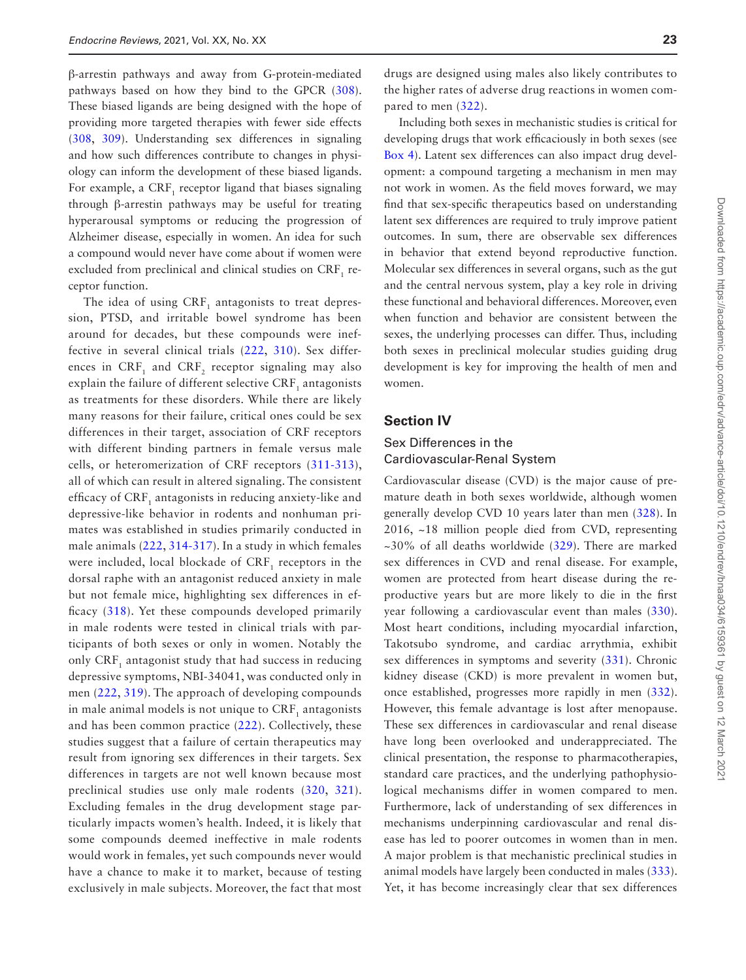β-arrestin pathways and away from G-protein-mediated pathways based on how they bind to the GPCR ([308](#page-36-16)). These biased ligands are being designed with the hope of providing more targeted therapies with fewer side effects ([308](#page-36-16), [309\)](#page-36-17). Understanding sex differences in signaling and how such differences contribute to changes in physiology can inform the development of these biased ligands. For example, a  $CRF_1$  receptor ligand that biases signaling through β-arrestin pathways may be useful for treating hyperarousal symptoms or reducing the progression of Alzheimer disease, especially in women. An idea for such a compound would never have come about if women were excluded from preclinical and clinical studies on  $\mathrm{CRF_{1}}$  receptor function.

The idea of using  $CRF_1$  antagonists to treat depression, PTSD, and irritable bowel syndrome has been around for decades, but these compounds were ineffective in several clinical trials [\(222](#page-33-26), [310](#page-36-18)). Sex differences in  $CRF_1$  and  $CRF_2$  receptor signaling may also explain the failure of different selective CRF<sub>1</sub> antagonists as treatments for these disorders. While there are likely many reasons for their failure, critical ones could be sex differences in their target, association of CRF receptors with different binding partners in female versus male cells, or heteromerization of CRF receptors ([311](#page-36-19)[-313](#page-36-20)), all of which can result in altered signaling. The consistent efficacy of CRF, antagonists in reducing anxiety-like and depressive-like behavior in rodents and nonhuman primates was established in studies primarily conducted in male animals ([222](#page-33-26), [314-](#page-36-21)[317\)](#page-36-22). In a study in which females were included, local blockade of  $CRF<sub>1</sub>$  receptors in the dorsal raphe with an antagonist reduced anxiety in male but not female mice, highlighting sex differences in efficacy [\(318](#page-36-23)). Yet these compounds developed primarily in male rodents were tested in clinical trials with participants of both sexes or only in women. Notably the only  $CRF_1$  antagonist study that had success in reducing depressive symptoms, NBI-34041, was conducted only in men ([222,](#page-33-26) [319\)](#page-36-24). The approach of developing compounds in male animal models is not unique to  $CRF_1$  antagonists and has been common practice ([222\)](#page-33-26). Collectively, these studies suggest that a failure of certain therapeutics may result from ignoring sex differences in their targets. Sex differences in targets are not well known because most preclinical studies use only male rodents ([320](#page-36-25), [321](#page-36-26)). Excluding females in the drug development stage particularly impacts women's health. Indeed, it is likely that some compounds deemed ineffective in male rodents would work in females, yet such compounds never would have a chance to make it to market, because of testing exclusively in male subjects. Moreover, the fact that most

drugs are designed using males also likely contributes to the higher rates of adverse drug reactions in women compared to men ([322](#page-36-27)).

Including both sexes in mechanistic studies is critical for developing drugs that work efficaciously in both sexes (see [Box 4\)](#page-23-0). Latent sex differences can also impact drug development: a compound targeting a mechanism in men may not work in women. As the field moves forward, we may find that sex-specific therapeutics based on understanding latent sex differences are required to truly improve patient outcomes. In sum, there are observable sex differences in behavior that extend beyond reproductive function. Molecular sex differences in several organs, such as the gut and the central nervous system, play a key role in driving these functional and behavioral differences. Moreover, even when function and behavior are consistent between the sexes, the underlying processes can differ. Thus, including both sexes in preclinical molecular studies guiding drug development is key for improving the health of men and women.

#### **Section IV**

## Sex Differences in the Cardiovascular-Renal System

Cardiovascular disease (CVD) is the major cause of premature death in both sexes worldwide, although women generally develop CVD 10 years later than men [\(328\)](#page-37-0). In 2016, ~18 million people died from CVD, representing ~30% of all deaths worldwide ([329](#page-37-1)). There are marked sex differences in CVD and renal disease. For example, women are protected from heart disease during the reproductive years but are more likely to die in the first year following a cardiovascular event than males ([330](#page-37-2)). Most heart conditions, including myocardial infarction, Takotsubo syndrome, and cardiac arrythmia, exhibit sex differences in symptoms and severity [\(331\)](#page-37-3). Chronic kidney disease (CKD) is more prevalent in women but, once established, progresses more rapidly in men ([332](#page-37-4)). However, this female advantage is lost after menopause. These sex differences in cardiovascular and renal disease have long been overlooked and underappreciated. The clinical presentation, the response to pharmacotherapies, standard care practices, and the underlying pathophysiological mechanisms differ in women compared to men. Furthermore, lack of understanding of sex differences in mechanisms underpinning cardiovascular and renal disease has led to poorer outcomes in women than in men. A major problem is that mechanistic preclinical studies in animal models have largely been conducted in males ([333](#page-37-5)). Yet, it has become increasingly clear that sex differences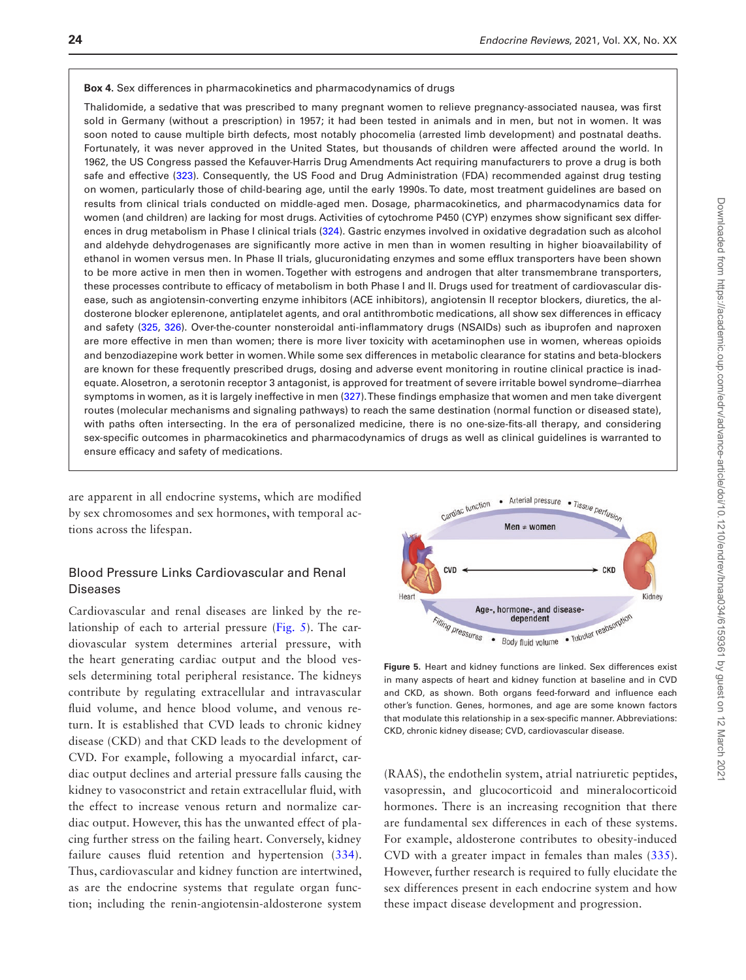#### <span id="page-23-0"></span>**Box 4.** Sex differences in pharmacokinetics and pharmacodynamics of drugs

Thalidomide, a sedative that was prescribed to many pregnant women to relieve pregnancy-associated nausea, was first sold in Germany (without a prescription) in 1957; it had been tested in animals and in men, but not in women. It was soon noted to cause multiple birth defects, most notably phocomelia (arrested limb development) and postnatal deaths. Fortunately, it was never approved in the United States, but thousands of children were affected around the world. In 1962, the US Congress passed the Kefauver-Harris Drug Amendments Act requiring manufacturers to prove a drug is both safe and effective ([323](#page-37-8)). Consequently, the US Food and Drug Administration (FDA) recommended against drug testing on women, particularly those of child-bearing age, until the early 1990s. To date, most treatment guidelines are based on results from clinical trials conducted on middle-aged men. Dosage, pharmacokinetics, and pharmacodynamics data for women (and children) are lacking for most drugs. Activities of cytochrome P450 (CYP) enzymes show significant sex differences in drug metabolism in Phase I clinical trials [\(324\)](#page-37-9). Gastric enzymes involved in oxidative degradation such as alcohol and aldehyde dehydrogenases are significantly more active in men than in women resulting in higher bioavailability of ethanol in women versus men. In Phase II trials, glucuronidating enzymes and some efflux transporters have been shown to be more active in men then in women. Together with estrogens and androgen that alter transmembrane transporters, these processes contribute to efficacy of metabolism in both Phase I and II. Drugs used for treatment of cardiovascular disease, such as angiotensin-converting enzyme inhibitors (ACE inhibitors), angiotensin II receptor blockers, diuretics, the aldosterone blocker eplerenone, antiplatelet agents, and oral antithrombotic medications, all show sex differences in efficacy and safety ([325](#page-37-10), [326\)](#page-37-11). Over-the-counter nonsteroidal anti-inflammatory drugs (NSAIDs) such as ibuprofen and naproxen are more effective in men than women; there is more liver toxicity with acetaminophen use in women, whereas opioids and benzodiazepine work better in women. While some sex differences in metabolic clearance for statins and beta-blockers are known for these frequently prescribed drugs, dosing and adverse event monitoring in routine clinical practice is inadequate. Alosetron, a serotonin receptor 3 antagonist, is approved for treatment of severe irritable bowel syndrome–diarrhea symptoms in women, as it is largely ineffective in men ([327](#page-37-12)). These findings emphasize that women and men take divergent routes (molecular mechanisms and signaling pathways) to reach the same destination (normal function or diseased state), with paths often intersecting. In the era of personalized medicine, there is no one-size-fits-all therapy, and considering sex-specific outcomes in pharmacokinetics and pharmacodynamics of drugs as well as clinical guidelines is warranted to ensure efficacy and safety of medications.

are apparent in all endocrine systems, which are modified by sex chromosomes and sex hormones, with temporal actions across the lifespan.

#### Blood Pressure Links Cardiovascular and Renal **Diseases**

Cardiovascular and renal diseases are linked by the relationship of each to arterial pressure [\(Fig. 5\)](#page-23-1). The cardiovascular system determines arterial pressure, with the heart generating cardiac output and the blood vessels determining total peripheral resistance. The kidneys contribute by regulating extracellular and intravascular fluid volume, and hence blood volume, and venous return. It is established that CVD leads to chronic kidney disease (CKD) and that CKD leads to the development of CVD. For example, following a myocardial infarct, cardiac output declines and arterial pressure falls causing the kidney to vasoconstrict and retain extracellular fluid, with the effect to increase venous return and normalize cardiac output. However, this has the unwanted effect of placing further stress on the failing heart. Conversely, kidney failure causes fluid retention and hypertension ([334](#page-37-6)). Thus, cardiovascular and kidney function are intertwined, as are the endocrine systems that regulate organ function; including the renin-angiotensin-aldosterone system



<span id="page-23-1"></span>**Figure 5.** Heart and kidney functions are linked. Sex differences exist in many aspects of heart and kidney function at baseline and in CVD and CKD, as shown. Both organs feed-forward and influence each other's function. Genes, hormones, and age are some known factors that modulate this relationship in a sex-specific manner. Abbreviations: CKD, chronic kidney disease; CVD, cardiovascular disease.

(RAAS), the endothelin system, atrial natriuretic peptides, vasopressin, and glucocorticoid and mineralocorticoid hormones. There is an increasing recognition that there are fundamental sex differences in each of these systems. For example, aldosterone contributes to obesity-induced CVD with a greater impact in females than males ([335](#page-37-7)). However, further research is required to fully elucidate the sex differences present in each endocrine system and how these impact disease development and progression.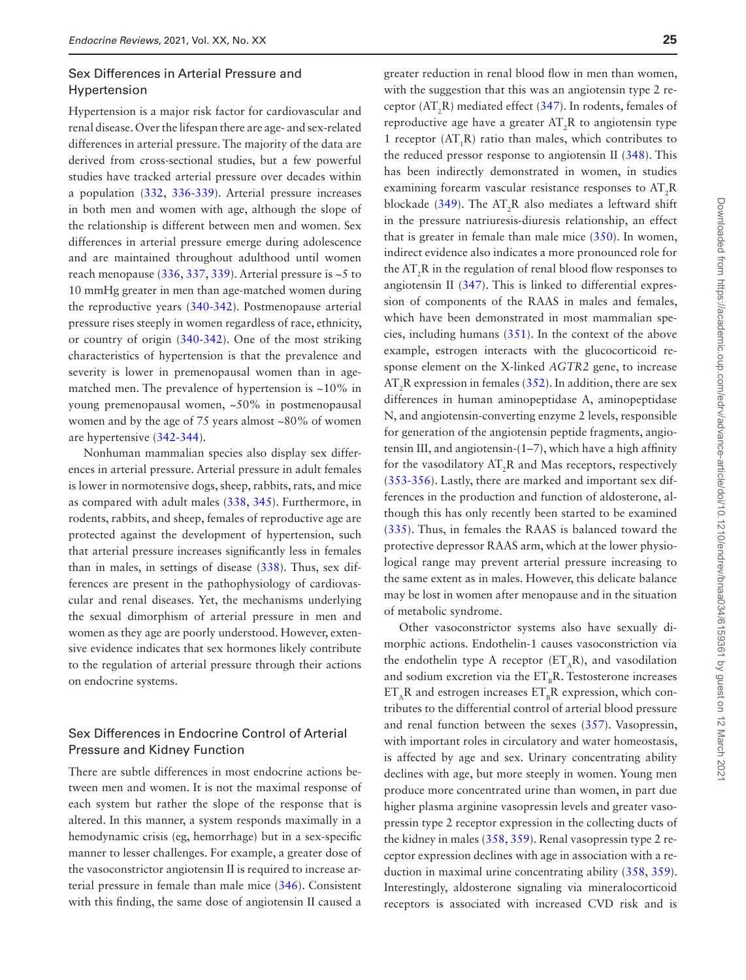#### Sex Differences in Arterial Pressure and Hypertension

Hypertension is a major risk factor for cardiovascular and renal disease. Over the lifespan there are age- and sex-related differences in arterial pressure. The majority of the data are derived from cross-sectional studies, but a few powerful studies have tracked arterial pressure over decades within a population [\(332](#page-37-4), [336-](#page-37-13)[339](#page-37-14)). Arterial pressure increases in both men and women with age, although the slope of the relationship is different between men and women. Sex differences in arterial pressure emerge during adolescence and are maintained throughout adulthood until women reach menopause  $(336, 337, 339)$  $(336, 337, 339)$  $(336, 337, 339)$  $(336, 337, 339)$  $(336, 337, 339)$ . Arterial pressure is  $\sim$ 5 to 10 mmHg greater in men than age-matched women during the reproductive years ([340](#page-37-16)[-342\)](#page-37-17). Postmenopause arterial pressure rises steeply in women regardless of race, ethnicity, or country of origin ([340](#page-37-16)[-342\)](#page-37-17). One of the most striking characteristics of hypertension is that the prevalence and severity is lower in premenopausal women than in agematched men. The prevalence of hypertension is  $\approx 10\%$  in young premenopausal women, ~50% in postmenopausal women and by the age of 75 years almost ~80% of women are hypertensive [\(342](#page-37-17)-[344\)](#page-37-18).

Nonhuman mammalian species also display sex differences in arterial pressure. Arterial pressure in adult females is lower in normotensive dogs, sheep, rabbits, rats, and mice as compared with adult males [\(338,](#page-37-19) [345](#page-37-20)). Furthermore, in rodents, rabbits, and sheep, females of reproductive age are protected against the development of hypertension, such that arterial pressure increases significantly less in females than in males, in settings of disease ([338](#page-37-19)). Thus, sex differences are present in the pathophysiology of cardiovascular and renal diseases. Yet, the mechanisms underlying the sexual dimorphism of arterial pressure in men and women as they age are poorly understood. However, extensive evidence indicates that sex hormones likely contribute to the regulation of arterial pressure through their actions on endocrine systems.

## Sex Differences in Endocrine Control of Arterial Pressure and Kidney Function

There are subtle differences in most endocrine actions between men and women. It is not the maximal response of each system but rather the slope of the response that is altered. In this manner, a system responds maximally in a hemodynamic crisis (eg, hemorrhage) but in a sex-specific manner to lesser challenges. For example, a greater dose of the vasoconstrictor angiotensin II is required to increase arterial pressure in female than male mice [\(346\)](#page-37-21). Consistent with this finding, the same dose of angiotensin II caused a

greater reduction in renal blood flow in men than women, with the suggestion that this was an angiotensin type 2 receptor ( $AT_2R$ ) mediated effect [\(347\)](#page-37-22). In rodents, females of reproductive age have a greater  $AT_2R$  to angiotensin type 1 receptor  $(AT<sub>1</sub>R)$  ratio than males, which contributes to the reduced pressor response to angiotensin II [\(348\)](#page-37-23). This has been indirectly demonstrated in women, in studies examining forearm vascular resistance responses to  $AT_2R$ blockade ([349](#page-37-24)). The  $AT_2R$  also mediates a leftward shift in the pressure natriuresis-diuresis relationship, an effect that is greater in female than male mice ([350](#page-37-25)). In women, indirect evidence also indicates a more pronounced role for the  $AT_2R$  in the regulation of renal blood flow responses to angiotensin II [\(347\)](#page-37-22). This is linked to differential expression of components of the RAAS in males and females, which have been demonstrated in most mammalian species, including humans [\(351\)](#page-37-26). In the context of the above example, estrogen interacts with the glucocorticoid response element on the X-linked *AGTR2* gene, to increase  $AT_2R$  expression in females ([352](#page-37-27)). In addition, there are sex differences in human aminopeptidase A, aminopeptidase N, and angiotensin-converting enzyme 2 levels, responsible for generation of the angiotensin peptide fragments, angiotensin III, and angiotensin-(1–7), which have a high affinity for the vasodilatory  $AT_2R$  and Mas receptors, respectively ([353](#page-37-28)[-356\)](#page-37-29). Lastly, there are marked and important sex differences in the production and function of aldosterone, although this has only recently been started to be examined ([335](#page-37-7)). Thus, in females the RAAS is balanced toward the protective depressor RAAS arm, which at the lower physiological range may prevent arterial pressure increasing to the same extent as in males. However, this delicate balance may be lost in women after menopause and in the situation of metabolic syndrome.

Other vasoconstrictor systems also have sexually dimorphic actions. Endothelin-1 causes vasoconstriction via the endothelin type A receptor  $(ET<sub>A</sub>R)$ , and vasodilation and sodium excretion via the  $ET_R R$ . Testosterone increases  $ET_A R$  and estrogen increases  $ET_R R$  expression, which contributes to the differential control of arterial blood pressure and renal function between the sexes [\(357\)](#page-38-0). Vasopressin, with important roles in circulatory and water homeostasis, is affected by age and sex. Urinary concentrating ability declines with age, but more steeply in women. Young men produce more concentrated urine than women, in part due higher plasma arginine vasopressin levels and greater vasopressin type 2 receptor expression in the collecting ducts of the kidney in males ([358](#page-38-1), [359\)](#page-38-2). Renal vasopressin type 2 receptor expression declines with age in association with a reduction in maximal urine concentrating ability [\(358,](#page-38-1) [359](#page-38-2)). Interestingly, aldosterone signaling via mineralocorticoid receptors is associated with increased CVD risk and is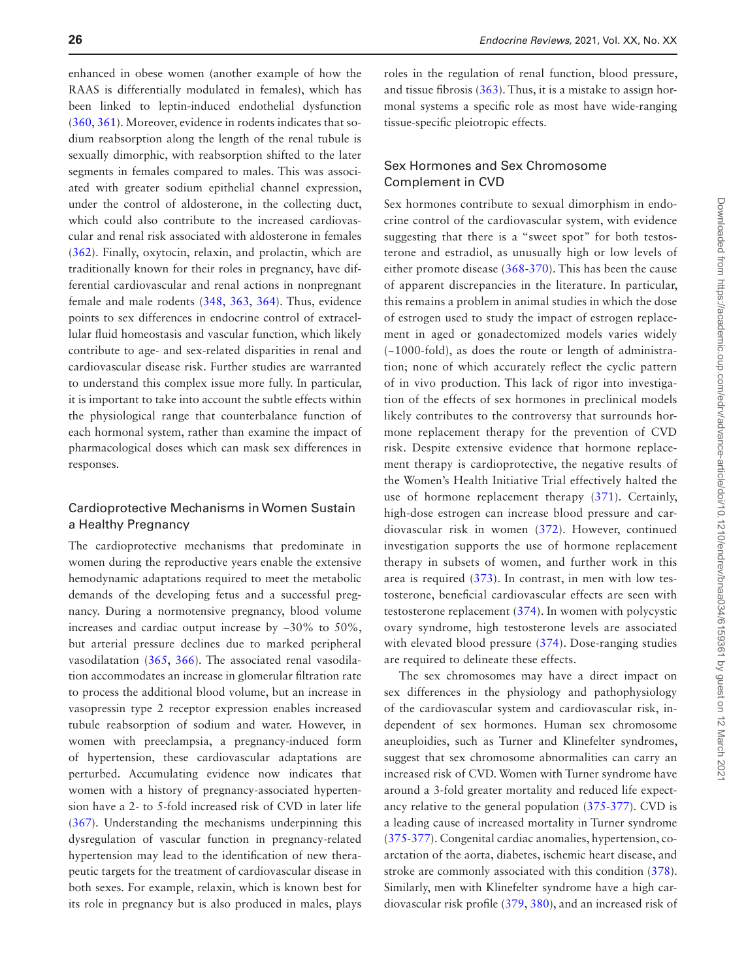enhanced in obese women (another example of how the RAAS is differentially modulated in females), which has been linked to leptin-induced endothelial dysfunction ([360](#page-38-3), [361](#page-38-4)). Moreover, evidence in rodents indicates that sodium reabsorption along the length of the renal tubule is sexually dimorphic, with reabsorption shifted to the later segments in females compared to males. This was associated with greater sodium epithelial channel expression, under the control of aldosterone, in the collecting duct, which could also contribute to the increased cardiovascular and renal risk associated with aldosterone in females ([362](#page-38-5)). Finally, oxytocin, relaxin, and prolactin, which are traditionally known for their roles in pregnancy, have differential cardiovascular and renal actions in nonpregnant female and male rodents [\(348,](#page-37-23) [363,](#page-38-6) [364](#page-38-7)). Thus, evidence points to sex differences in endocrine control of extracellular fluid homeostasis and vascular function, which likely contribute to age- and sex-related disparities in renal and cardiovascular disease risk. Further studies are warranted to understand this complex issue more fully. In particular, it is important to take into account the subtle effects within the physiological range that counterbalance function of each hormonal system, rather than examine the impact of pharmacological doses which can mask sex differences in responses.

## Cardioprotective Mechanisms in Women Sustain a Healthy Pregnancy

The cardioprotective mechanisms that predominate in women during the reproductive years enable the extensive hemodynamic adaptations required to meet the metabolic demands of the developing fetus and a successful pregnancy. During a normotensive pregnancy, blood volume increases and cardiac output increase by ~30% to 50%, but arterial pressure declines due to marked peripheral vasodilatation [\(365,](#page-38-8) [366](#page-38-9)). The associated renal vasodilation accommodates an increase in glomerular filtration rate to process the additional blood volume, but an increase in vasopressin type 2 receptor expression enables increased tubule reabsorption of sodium and water. However, in women with preeclampsia, a pregnancy-induced form of hypertension, these cardiovascular adaptations are perturbed. Accumulating evidence now indicates that women with a history of pregnancy-associated hypertension have a 2- to 5-fold increased risk of CVD in later life ([367](#page-38-10)). Understanding the mechanisms underpinning this dysregulation of vascular function in pregnancy-related hypertension may lead to the identification of new therapeutic targets for the treatment of cardiovascular disease in both sexes. For example, relaxin, which is known best for its role in pregnancy but is also produced in males, plays

roles in the regulation of renal function, blood pressure, and tissue fibrosis ([363](#page-38-6)). Thus, it is a mistake to assign hormonal systems a specific role as most have wide-ranging tissue-specific pleiotropic effects.

## Sex Hormones and Sex Chromosome Complement in CVD

Sex hormones contribute to sexual dimorphism in endocrine control of the cardiovascular system, with evidence suggesting that there is a "sweet spot" for both testosterone and estradiol, as unusually high or low levels of either promote disease [\(368](#page-38-11)[-370](#page-38-12)). This has been the cause of apparent discrepancies in the literature. In particular, this remains a problem in animal studies in which the dose of estrogen used to study the impact of estrogen replacement in aged or gonadectomized models varies widely (~1000-fold), as does the route or length of administration; none of which accurately reflect the cyclic pattern of in vivo production. This lack of rigor into investigation of the effects of sex hormones in preclinical models likely contributes to the controversy that surrounds hormone replacement therapy for the prevention of CVD risk. Despite extensive evidence that hormone replacement therapy is cardioprotective, the negative results of the Women's Health Initiative Trial effectively halted the use of hormone replacement therapy ([371\)](#page-38-13). Certainly, high-dose estrogen can increase blood pressure and cardiovascular risk in women [\(372](#page-38-14)). However, continued investigation supports the use of hormone replacement therapy in subsets of women, and further work in this area is required [\(373\)](#page-38-15). In contrast, in men with low testosterone, beneficial cardiovascular effects are seen with testosterone replacement ([374\)](#page-38-16). In women with polycystic ovary syndrome, high testosterone levels are associated with elevated blood pressure ([374\)](#page-38-16). Dose-ranging studies are required to delineate these effects.

The sex chromosomes may have a direct impact on sex differences in the physiology and pathophysiology of the cardiovascular system and cardiovascular risk, independent of sex hormones. Human sex chromosome aneuploidies, such as Turner and Klinefelter syndromes, suggest that sex chromosome abnormalities can carry an increased risk of CVD. Women with Turner syndrome have around a 3-fold greater mortality and reduced life expectancy relative to the general population ([375](#page-38-17)[-377\)](#page-38-18). CVD is a leading cause of increased mortality in Turner syndrome ([375](#page-38-17)[-377\)](#page-38-18). Congenital cardiac anomalies, hypertension, coarctation of the aorta, diabetes, ischemic heart disease, and stroke are commonly associated with this condition ([378](#page-38-19)). Similarly, men with Klinefelter syndrome have a high cardiovascular risk profile [\(379,](#page-38-20) [380\)](#page-38-21), and an increased risk of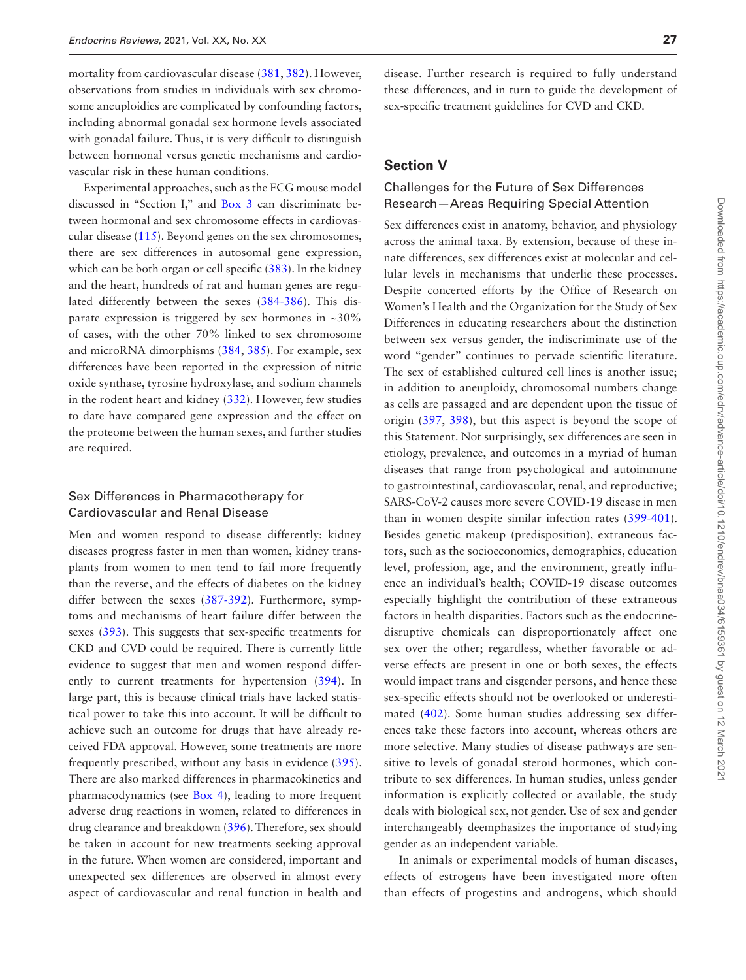mortality from cardiovascular disease [\(381,](#page-38-22) [382\)](#page-38-23). However, observations from studies in individuals with sex chromosome aneuploidies are complicated by confounding factors, including abnormal gonadal sex hormone levels associated with gonadal failure. Thus, it is very difficult to distinguish between hormonal versus genetic mechanisms and cardiovascular risk in these human conditions.

Experimental approaches, such as the FCG mouse model discussed in "Section I," and [Box 3](#page-10-0) can discriminate between hormonal and sex chromosome effects in cardiovascular disease [\(115\)](#page-30-32). Beyond genes on the sex chromosomes, there are sex differences in autosomal gene expression, which can be both organ or cell specific [\(383\)](#page-38-24). In the kidney and the heart, hundreds of rat and human genes are regulated differently between the sexes [\(384-](#page-38-25)[386](#page-38-26)). This disparate expression is triggered by sex hormones in  $\sim 30\%$ of cases, with the other 70% linked to sex chromosome and microRNA dimorphisms ([384](#page-38-25), [385\)](#page-38-27). For example, sex differences have been reported in the expression of nitric oxide synthase, tyrosine hydroxylase, and sodium channels in the rodent heart and kidney [\(332\)](#page-37-4). However, few studies to date have compared gene expression and the effect on the proteome between the human sexes, and further studies are required.

#### Sex Differences in Pharmacotherapy for Cardiovascular and Renal Disease

Men and women respond to disease differently: kidney diseases progress faster in men than women, kidney transplants from women to men tend to fail more frequently than the reverse, and the effects of diabetes on the kidney differ between the sexes [\(387-](#page-38-28)[392](#page-39-0)). Furthermore, symptoms and mechanisms of heart failure differ between the sexes ([393](#page-39-1)). This suggests that sex-specific treatments for CKD and CVD could be required. There is currently little evidence to suggest that men and women respond differently to current treatments for hypertension ([394](#page-39-2)). In large part, this is because clinical trials have lacked statistical power to take this into account. It will be difficult to achieve such an outcome for drugs that have already received FDA approval. However, some treatments are more frequently prescribed, without any basis in evidence ([395](#page-39-3)). There are also marked differences in pharmacokinetics and pharmacodynamics (see [Box 4\)](#page-23-0), leading to more frequent adverse drug reactions in women, related to differences in drug clearance and breakdown [\(396\)](#page-39-4). Therefore, sex should be taken in account for new treatments seeking approval in the future. When women are considered, important and unexpected sex differences are observed in almost every aspect of cardiovascular and renal function in health and disease. Further research is required to fully understand these differences, and in turn to guide the development of sex-specific treatment guidelines for CVD and CKD.

#### **Section V**

#### Challenges for the Future of Sex Differences Research—Areas Requiring Special Attention

Sex differences exist in anatomy, behavior, and physiology across the animal taxa. By extension, because of these innate differences, sex differences exist at molecular and cellular levels in mechanisms that underlie these processes. Despite concerted efforts by the Office of Research on Women's Health and the Organization for the Study of Sex Differences in educating researchers about the distinction between sex versus gender, the indiscriminate use of the word "gender" continues to pervade scientific literature. The sex of established cultured cell lines is another issue; in addition to aneuploidy, chromosomal numbers change as cells are passaged and are dependent upon the tissue of origin [\(397,](#page-39-5) [398](#page-39-6)), but this aspect is beyond the scope of this Statement. Not surprisingly, sex differences are seen in etiology, prevalence, and outcomes in a myriad of human diseases that range from psychological and autoimmune to gastrointestinal, cardiovascular, renal, and reproductive; SARS-CoV-2 causes more severe COVID-19 disease in men than in women despite similar infection rates [\(399-](#page-39-7)[401](#page-39-8)). Besides genetic makeup (predisposition), extraneous factors, such as the socioeconomics, demographics, education level, profession, age, and the environment, greatly influence an individual's health; COVID-19 disease outcomes especially highlight the contribution of these extraneous factors in health disparities. Factors such as the endocrinedisruptive chemicals can disproportionately affect one sex over the other; regardless, whether favorable or adverse effects are present in one or both sexes, the effects would impact trans and cisgender persons, and hence these sex-specific effects should not be overlooked or underestimated ([402](#page-39-9)). Some human studies addressing sex differences take these factors into account, whereas others are more selective. Many studies of disease pathways are sensitive to levels of gonadal steroid hormones, which contribute to sex differences. In human studies, unless gender information is explicitly collected or available, the study deals with biological sex, not gender. Use of sex and gender interchangeably deemphasizes the importance of studying gender as an independent variable.

In animals or experimental models of human diseases, effects of estrogens have been investigated more often than effects of progestins and androgens, which should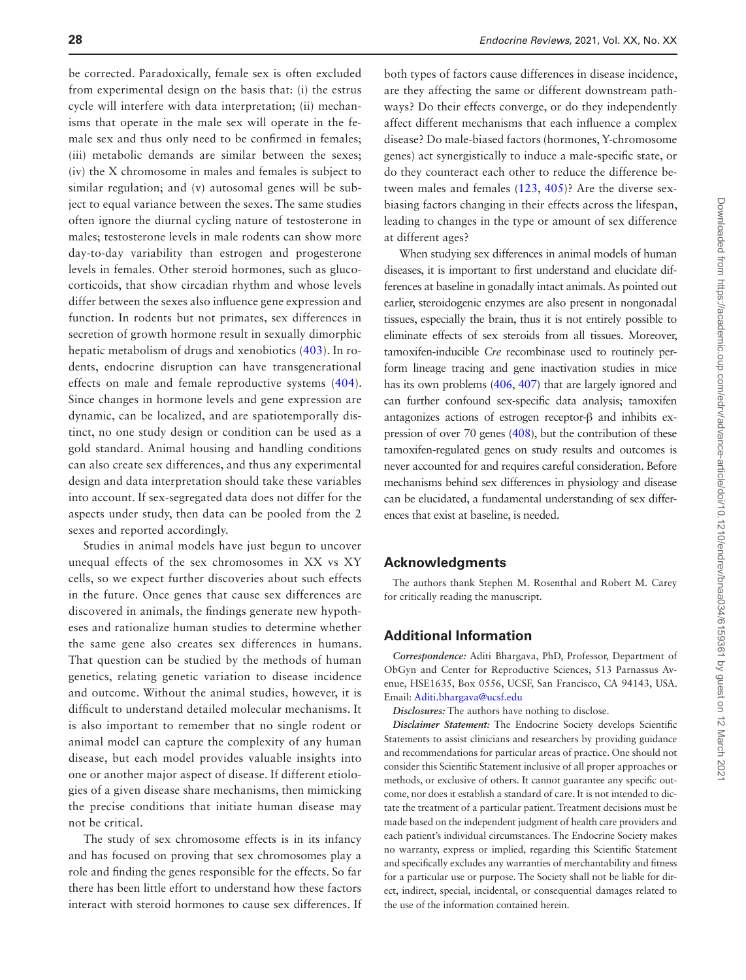be corrected. Paradoxically, female sex is often excluded from experimental design on the basis that: (i) the estrus cycle will interfere with data interpretation; (ii) mechanisms that operate in the male sex will operate in the female sex and thus only need to be confirmed in females; (iii) metabolic demands are similar between the sexes; (iv) the X chromosome in males and females is subject to similar regulation; and (v) autosomal genes will be subject to equal variance between the sexes. The same studies often ignore the diurnal cycling nature of testosterone in males; testosterone levels in male rodents can show more day-to-day variability than estrogen and progesterone levels in females. Other steroid hormones, such as glucocorticoids, that show circadian rhythm and whose levels differ between the sexes also influence gene expression and function. In rodents but not primates, sex differences in secretion of growth hormone result in sexually dimorphic hepatic metabolism of drugs and xenobiotics ([403\)](#page-39-10). In rodents, endocrine disruption can have transgenerational effects on male and female reproductive systems ([404](#page-39-11)). Since changes in hormone levels and gene expression are dynamic, can be localized, and are spatiotemporally distinct, no one study design or condition can be used as a gold standard. Animal housing and handling conditions can also create sex differences, and thus any experimental design and data interpretation should take these variables into account. If sex-segregated data does not differ for the aspects under study, then data can be pooled from the 2 sexes and reported accordingly.

Studies in animal models have just begun to uncover unequal effects of the sex chromosomes in XX vs XY cells, so we expect further discoveries about such effects in the future. Once genes that cause sex differences are discovered in animals, the findings generate new hypotheses and rationalize human studies to determine whether the same gene also creates sex differences in humans. That question can be studied by the methods of human genetics, relating genetic variation to disease incidence and outcome. Without the animal studies, however, it is difficult to understand detailed molecular mechanisms. It is also important to remember that no single rodent or animal model can capture the complexity of any human disease, but each model provides valuable insights into one or another major aspect of disease. If different etiologies of a given disease share mechanisms, then mimicking the precise conditions that initiate human disease may not be critical.

The study of sex chromosome effects is in its infancy and has focused on proving that sex chromosomes play a role and finding the genes responsible for the effects. So far there has been little effort to understand how these factors interact with steroid hormones to cause sex differences. If

both types of factors cause differences in disease incidence, are they affecting the same or different downstream pathways? Do their effects converge, or do they independently affect different mechanisms that each influence a complex disease? Do male-biased factors (hormones, Y-chromosome genes) act synergistically to induce a male-specific state, or do they counteract each other to reduce the difference between males and females ([123](#page-31-2), [405](#page-39-12))? Are the diverse sexbiasing factors changing in their effects across the lifespan, leading to changes in the type or amount of sex difference at different ages?

When studying sex differences in animal models of human diseases, it is important to first understand and elucidate differences at baseline in gonadally intact animals. As pointed out earlier, steroidogenic enzymes are also present in nongonadal tissues, especially the brain, thus it is not entirely possible to eliminate effects of sex steroids from all tissues. Moreover, tamoxifen-inducible *Cre* recombinase used to routinely perform lineage tracing and gene inactivation studies in mice has its own problems  $(406, 407)$  $(406, 407)$  $(406, 407)$  that are largely ignored and can further confound sex-specific data analysis; tamoxifen antagonizes actions of estrogen receptor-β and inhibits expression of over 70 genes [\(408\)](#page-39-15), but the contribution of these tamoxifen-regulated genes on study results and outcomes is never accounted for and requires careful consideration. Before mechanisms behind sex differences in physiology and disease can be elucidated, a fundamental understanding of sex differences that exist at baseline, is needed.

#### **Acknowledgments**

The authors thank Stephen M. Rosenthal and Robert M. Carey for critically reading the manuscript.

#### **Additional Information**

*Correspondence:* Aditi Bhargava, PhD, Professor, Department of ObGyn and Center for Reproductive Sciences, 513 Parnassus Avenue, HSE1635, Box 0556, UCSF, San Francisco, CA 94143, USA. Email: [Aditi.bhargava@ucsf.edu](mailto:Aditi.bhargava@ucsf.edu?subject=)

*Disclosures:* The authors have nothing to disclose.

*Disclaimer Statement:* The Endocrine Society develops Scientific Statements to assist clinicians and researchers by providing guidance and recommendations for particular areas of practice. One should not consider this Scientific Statement inclusive of all proper approaches or methods, or exclusive of others. It cannot guarantee any specific outcome, nor does it establish a standard of care. It is not intended to dictate the treatment of a particular patient. Treatment decisions must be made based on the independent judgment of health care providers and each patient's individual circumstances. The Endocrine Society makes no warranty, express or implied, regarding this Scientific Statement and specifically excludes any warranties of merchantability and fitness for a particular use or purpose. The Society shall not be liable for direct, indirect, special, incidental, or consequential damages related to the use of the information contained herein.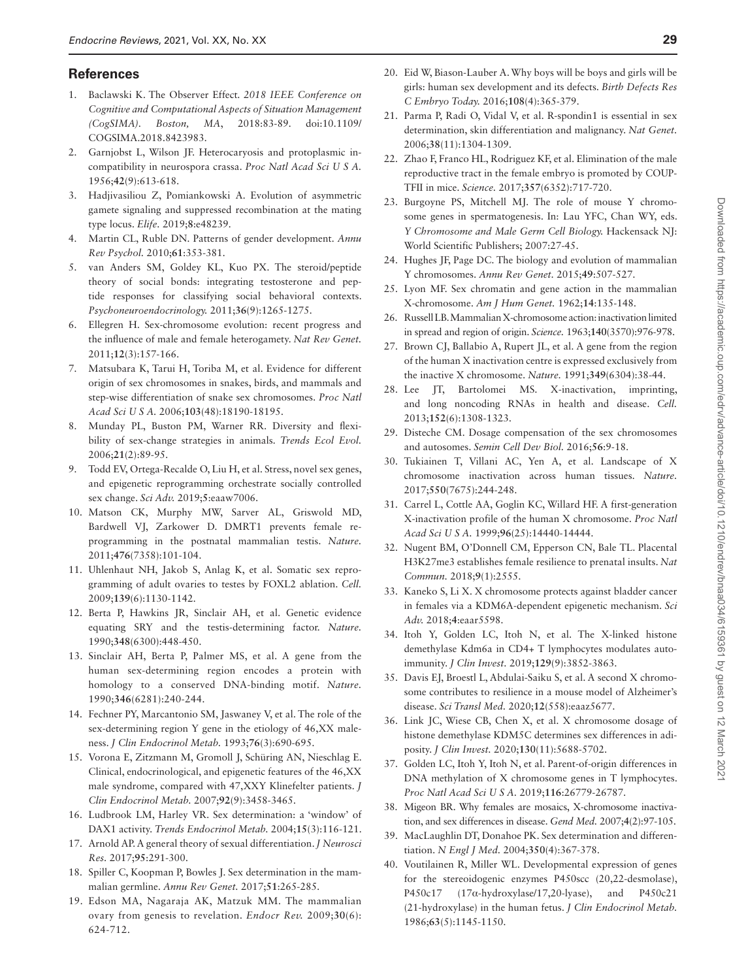#### **References**

- <span id="page-28-0"></span>1. Baclawski K. The Observer Effect*. 2018 IEEE Conference on Cognitive and Computational Aspects of Situation Management (CogSIMA). Boston, MA*, 2018:83-89. doi:10.1109/ COGSIMA.2018.8423983.
- <span id="page-28-1"></span>2. Garnjobst L, Wilson JF. Heterocaryosis and protoplasmic incompatibility in neurospora crassa. *Proc Natl Acad Sci U S A.* 1956;**42**(9):613-618.
- <span id="page-28-2"></span>3. Hadjivasiliou Z, Pomiankowski A. Evolution of asymmetric gamete signaling and suppressed recombination at the mating type locus. *Elife.* 2019;**8**:e48239.
- <span id="page-28-3"></span>4. Martin CL, Ruble DN. Patterns of gender development. *Annu Rev Psychol.* 2010;**61**:353-381.
- <span id="page-28-4"></span>5. van Anders SM, Goldey KL, Kuo PX. The steroid/peptide theory of social bonds: integrating testosterone and peptide responses for classifying social behavioral contexts. *Psychoneuroendocrinology.* 2011;**36**(9):1265-1275.
- <span id="page-28-5"></span>6. Ellegren H. Sex-chromosome evolution: recent progress and the influence of male and female heterogamety. *Nat Rev Genet.* 2011;**12**(3):157-166.
- <span id="page-28-6"></span>7. Matsubara K, Tarui H, Toriba M, et al. Evidence for different origin of sex chromosomes in snakes, birds, and mammals and step-wise differentiation of snake sex chromosomes. *Proc Natl Acad Sci U S A.* 2006;**103**(48):18190-18195.
- <span id="page-28-7"></span>8. Munday PL, Buston PM, Warner RR. Diversity and flexibility of sex-change strategies in animals. *Trends Ecol Evol.* 2006;**21**(2):89-95.
- <span id="page-28-8"></span>9. Todd EV, Ortega-Recalde O, Liu H, et al. Stress, novel sex genes, and epigenetic reprogramming orchestrate socially controlled sex change. *Sci Adv.* 2019;**5**:eaaw7006.
- <span id="page-28-9"></span>10. Matson CK, Murphy MW, Sarver AL, Griswold MD, Bardwell VJ, Zarkower D. DMRT1 prevents female reprogramming in the postnatal mammalian testis. *Nature.* 2011;**476**(7358):101-104.
- <span id="page-28-10"></span>11. Uhlenhaut NH, Jakob S, Anlag K, et al. Somatic sex reprogramming of adult ovaries to testes by FOXL2 ablation. *Cell.* 2009;**139**(6):1130-1142.
- <span id="page-28-11"></span>12. Berta P, Hawkins JR, Sinclair AH, et al. Genetic evidence equating SRY and the testis-determining factor. *Nature.* 1990;**348**(6300):448-450.
- <span id="page-28-12"></span>13. Sinclair AH, Berta P, Palmer MS, et al. A gene from the human sex-determining region encodes a protein with homology to a conserved DNA-binding motif. *Nature.* 1990;**346**(6281):240-244.
- <span id="page-28-13"></span>14. Fechner PY, Marcantonio SM, Jaswaney V, et al. The role of the sex-determining region Y gene in the etiology of 46,XX maleness. *J Clin Endocrinol Metab.* 1993;**76**(3):690-695.
- <span id="page-28-14"></span>15. Vorona E, Zitzmann M, Gromoll J, Schüring AN, Nieschlag E. Clinical, endocrinological, and epigenetic features of the 46,XX male syndrome, compared with 47,XXY Klinefelter patients. *J Clin Endocrinol Metab.* 2007;**92**(9):3458-3465.
- <span id="page-28-15"></span>16. Ludbrook LM, Harley VR. Sex determination: a 'window' of DAX1 activity. *Trends Endocrinol Metab.* 2004;**15**(3):116-121.
- <span id="page-28-16"></span>17. Arnold AP. A general theory of sexual differentiation. *J Neurosci Res.* 2017;**95**:291-300.
- <span id="page-28-17"></span>18. Spiller C, Koopman P, Bowles J. Sex determination in the mammalian germline. *Annu Rev Genet.* 2017;**51**:265-285.
- <span id="page-28-18"></span>19. Edson MA, Nagaraja AK, Matzuk MM. The mammalian ovary from genesis to revelation. *Endocr Rev.* 2009;**30**(6): 624-712.
- 20. Eid W, Biason-Lauber A. Why boys will be boys and girls will be girls: human sex development and its defects. *Birth Defects Res C Embryo Today.* 2016;**108**(4):365-379.
- 21. Parma P, Radi O, Vidal V, et al. R-spondin1 is essential in sex determination, skin differentiation and malignancy. *Nat Genet.* 2006;**38**(11):1304-1309.
- <span id="page-28-19"></span>22. Zhao F, Franco HL, Rodriguez KF, et al. Elimination of the male reproductive tract in the female embryo is promoted by COUP-TFII in mice. *Science.* 2017;**357**(6352):717-720.
- <span id="page-28-20"></span>23. Burgoyne PS, Mitchell MJ. The role of mouse Y chromosome genes in spermatogenesis. In: Lau YFC, Chan WY, eds. *Y Chromosome and Male Germ Cell Biology.* Hackensack NJ: World Scientific Publishers; 2007:27-45.
- <span id="page-28-21"></span>24. Hughes JF, Page DC. The biology and evolution of mammalian Y chromosomes. *Annu Rev Genet.* 2015;**49**:507-527.
- <span id="page-28-22"></span>25. Lyon MF. Sex chromatin and gene action in the mammalian X-chromosome. *Am J Hum Genet.* 1962;**14**:135-148.
- <span id="page-28-23"></span>26. Russell LB. Mammalian X-chromosome action: inactivation limited in spread and region of origin. *Science.* 1963;**140**(3570):976-978.
- <span id="page-28-24"></span>27. Brown CJ, Ballabio A, Rupert JL, et al. A gene from the region of the human X inactivation centre is expressed exclusively from the inactive X chromosome. *Nature.* 1991;**349**(6304):38-44.
- <span id="page-28-25"></span>28. Lee JT, Bartolomei MS. X-inactivation, imprinting, and long noncoding RNAs in health and disease. *Cell.* 2013;**152**(6):1308-1323.
- <span id="page-28-26"></span>29. Disteche CM. Dosage compensation of the sex chromosomes and autosomes. *Semin Cell Dev Biol.* 2016;**56**:9-18.
- <span id="page-28-27"></span>30. Tukiainen T, Villani AC, Yen A, et al. Landscape of X chromosome inactivation across human tissues. *Nature.* 2017;**550**(7675):244-248.
- <span id="page-28-28"></span>31. Carrel L, Cottle AA, Goglin KC, Willard HF. A first-generation X-inactivation profile of the human X chromosome. *Proc Natl Acad Sci U S A.* 1999;**96**(25):14440-14444.
- <span id="page-28-29"></span>32. Nugent BM, O'Donnell CM, Epperson CN, Bale TL. Placental H3K27me3 establishes female resilience to prenatal insults. *Nat Commun.* 2018;**9**(1):2555.
- <span id="page-28-30"></span>33. Kaneko S, Li X. X chromosome protects against bladder cancer in females via a KDM6A-dependent epigenetic mechanism. *Sci Adv.* 2018;**4**:eaar5598.
- <span id="page-28-31"></span>34. Itoh Y, Golden LC, Itoh N, et al. The X-linked histone demethylase Kdm6a in CD4+ T lymphocytes modulates autoimmunity. *J Clin Invest.* 2019;**129**(9):3852-3863.
- <span id="page-28-32"></span>35. Davis EJ, Broestl L, Abdulai-Saiku S, et al. A second X chromosome contributes to resilience in a mouse model of Alzheimer's disease. *Sci Transl Med.* 2020;**12**(558):eaaz5677.
- <span id="page-28-33"></span>36. Link JC, Wiese CB, Chen X, et al. X chromosome dosage of histone demethylase KDM5C determines sex differences in adiposity. *J Clin Invest.* 2020;**130**(11):5688-5702.
- <span id="page-28-34"></span>37. Golden LC, Itoh Y, Itoh N, et al. Parent-of-origin differences in DNA methylation of X chromosome genes in T lymphocytes. *Proc Natl Acad Sci U S A.* 2019;**116**:26779-26787.
- <span id="page-28-35"></span>38. Migeon BR. Why females are mosaics, X-chromosome inactivation, and sex differences in disease. *Gend Med.* 2007;**4**(2):97-105.
- <span id="page-28-36"></span>39. MacLaughlin DT, Donahoe PK. Sex determination and differentiation. *N Engl J Med.* 2004;**350**(4):367-378.
- <span id="page-28-37"></span>40. Voutilainen R, Miller WL. Developmental expression of genes for the stereoidogenic enzymes P450scc (20,22-desmolase), P450c17 (17α-hydroxylase/17,20-lyase), and P450c21 (21-hydroxylase) in the human fetus. *J Clin Endocrinol Metab.* 1986;**63**(5):1145-1150.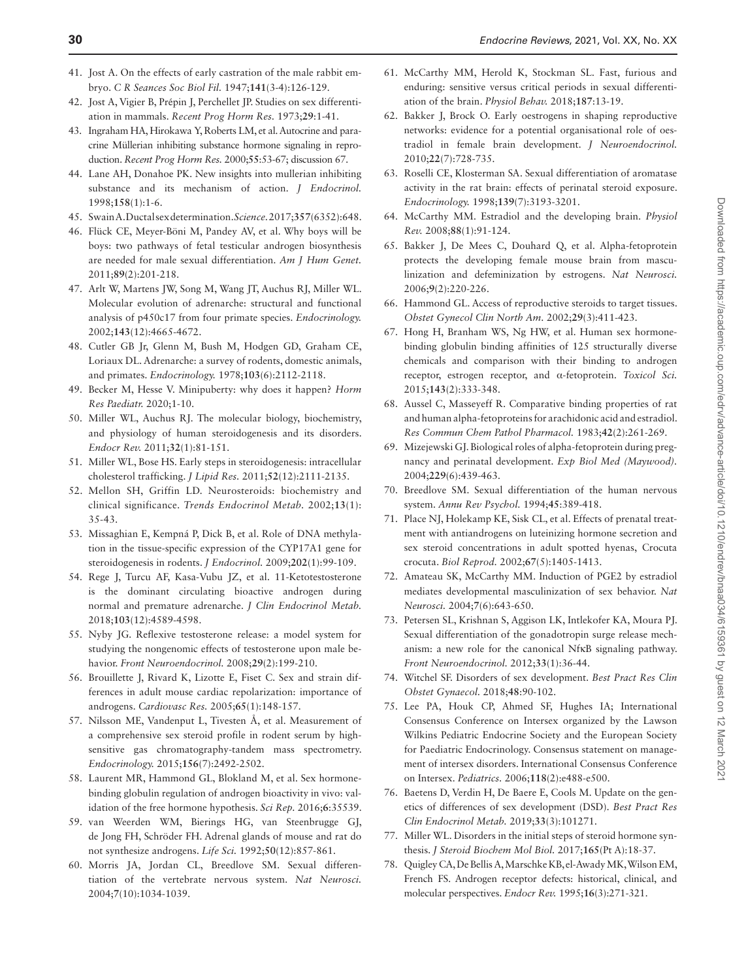- <span id="page-29-0"></span>41. Jost A. On the effects of early castration of the male rabbit embryo. *C R Seances Soc Biol Fil.* 1947;**141**(3-4):126-129.
- <span id="page-29-1"></span>42. Jost A, Vigier B, Prépin J, Perchellet JP. Studies on sex differentiation in mammals. *Recent Prog Horm Res.* 1973;**29**:1-41.
- <span id="page-29-2"></span>43. Ingraham HA, Hirokawa Y, Roberts LM, et al. Autocrine and paracrine Müllerian inhibiting substance hormone signaling in reproduction. *Recent Prog Horm Res.* 2000;**55**:53-67; discussion 67.
- <span id="page-29-3"></span>44. Lane AH, Donahoe PK. New insights into mullerian inhibiting substance and its mechanism of action. *J Endocrinol.* 1998;**158**(1):1-6.
- <span id="page-29-4"></span>45. Swain A. Ductal sex determination. *Science.* 2017;**357**(6352):648.
- <span id="page-29-5"></span>46. Flück CE, Meyer-Böni M, Pandey AV, et al. Why boys will be boys: two pathways of fetal testicular androgen biosynthesis are needed for male sexual differentiation. *Am J Hum Genet.* 2011;**89**(2):201-218.
- <span id="page-29-6"></span>47. Arlt W, Martens JW, Song M, Wang JT, Auchus RJ, Miller WL. Molecular evolution of adrenarche: structural and functional analysis of p450c17 from four primate species. *Endocrinology.* 2002;**143**(12):4665-4672.
- <span id="page-29-7"></span>48. Cutler GB Jr, Glenn M, Bush M, Hodgen GD, Graham CE, Loriaux DL. Adrenarche: a survey of rodents, domestic animals, and primates. *Endocrinology.* 1978;**103**(6):2112-2118.
- <span id="page-29-8"></span>49. Becker M, Hesse V. Minipuberty: why does it happen? *Horm Res Paediatr.* 2020;1-10.
- <span id="page-29-9"></span>50. Miller WL, Auchus RJ. The molecular biology, biochemistry, and physiology of human steroidogenesis and its disorders. *Endocr Rev.* 2011;**32**(1):81-151.
- <span id="page-29-10"></span>51. Miller WL, Bose HS. Early steps in steroidogenesis: intracellular cholesterol trafficking. *J Lipid Res.* 2011;**52**(12):2111-2135.
- <span id="page-29-11"></span>52. Mellon SH, Griffin LD. Neurosteroids: biochemistry and clinical significance. *Trends Endocrinol Metab.* 2002;**13**(1): 35-43.
- <span id="page-29-12"></span>53. Missaghian E, Kempná P, Dick B, et al. Role of DNA methylation in the tissue-specific expression of the CYP17A1 gene for steroidogenesis in rodents. *J Endocrinol.* 2009;**202**(1):99-109.
- <span id="page-29-13"></span>54. Rege J, Turcu AF, Kasa-Vubu JZ, et al. 11-Ketotestosterone is the dominant circulating bioactive androgen during normal and premature adrenarche. *J Clin Endocrinol Metab.* 2018;**103**(12):4589-4598.
- <span id="page-29-16"></span>55. Nyby JG. Reflexive testosterone release: a model system for studying the nongenomic effects of testosterone upon male behavior. *Front Neuroendocrinol.* 2008;**29**(2):199-210.
- <span id="page-29-17"></span>56. Brouillette J, Rivard K, Lizotte E, Fiset C. Sex and strain differences in adult mouse cardiac repolarization: importance of androgens. *Cardiovasc Res.* 2005;**65**(1):148-157.
- <span id="page-29-18"></span>57. Nilsson ME, Vandenput L, Tivesten Å, et al. Measurement of a comprehensive sex steroid profile in rodent serum by highsensitive gas chromatography-tandem mass spectrometry. *Endocrinology.* 2015;**156**(7):2492-2502.
- <span id="page-29-19"></span>58. Laurent MR, Hammond GL, Blokland M, et al. Sex hormonebinding globulin regulation of androgen bioactivity in vivo: validation of the free hormone hypothesis. *Sci Rep.* 2016;**6**:35539.
- <span id="page-29-20"></span>59. van Weerden WM, Bierings HG, van Steenbrugge GJ, de Jong FH, Schröder FH. Adrenal glands of mouse and rat do not synthesize androgens. *Life Sci.* 1992;**50**(12):857-861.
- <span id="page-29-14"></span>60. Morris JA, Jordan CL, Breedlove SM. Sexual differentiation of the vertebrate nervous system. *Nat Neurosci.* 2004;**7**(10):1034-1039.
- <span id="page-29-15"></span>61. McCarthy MM, Herold K, Stockman SL. Fast, furious and enduring: sensitive versus critical periods in sexual differentiation of the brain. *Physiol Behav.* 2018;**187**:13-19.
- <span id="page-29-21"></span>62. Bakker J, Brock O. Early oestrogens in shaping reproductive networks: evidence for a potential organisational role of oestradiol in female brain development. *J Neuroendocrinol.* 2010;**22**(7):728-735.
- <span id="page-29-22"></span>63. Roselli CE, Klosterman SA. Sexual differentiation of aromatase activity in the rat brain: effects of perinatal steroid exposure. *Endocrinology.* 1998;**139**(7):3193-3201.
- <span id="page-29-23"></span>64. McCarthy MM. Estradiol and the developing brain. *Physiol Rev.* 2008;**88**(1):91-124.
- <span id="page-29-24"></span>65. Bakker J, De Mees C, Douhard Q, et al. Alpha-fetoprotein protects the developing female mouse brain from masculinization and defeminization by estrogens. *Nat Neurosci.* 2006;**9**(2):220-226.
- <span id="page-29-25"></span>66. Hammond GL. Access of reproductive steroids to target tissues. *Obstet Gynecol Clin North Am.* 2002;**29**(3):411-423.
- <span id="page-29-26"></span>67. Hong H, Branham WS, Ng HW, et al. Human sex hormonebinding globulin binding affinities of 125 structurally diverse chemicals and comparison with their binding to androgen receptor, estrogen receptor, and α-fetoprotein. *Toxicol Sci.* 2015;**143**(2):333-348.
- <span id="page-29-27"></span>68. Aussel C, Masseyeff R. Comparative binding properties of rat and human alpha-fetoproteins for arachidonic acid and estradiol. *Res Commun Chem Pathol Pharmacol.* 1983;**42**(2):261-269.
- <span id="page-29-28"></span>69. Mizejewski GJ. Biological roles of alpha-fetoprotein during pregnancy and perinatal development. *Exp Biol Med (Maywood).* 2004;**229**(6):439-463.
- <span id="page-29-29"></span>70. Breedlove SM. Sexual differentiation of the human nervous system. *Annu Rev Psychol.* 1994;**45**:389-418.
- <span id="page-29-30"></span>71. Place NJ, Holekamp KE, Sisk CL, et al. Effects of prenatal treatment with antiandrogens on luteinizing hormone secretion and sex steroid concentrations in adult spotted hyenas, Crocuta crocuta. *Biol Reprod.* 2002;**67**(5):1405-1413.
- <span id="page-29-31"></span>72. Amateau SK, McCarthy MM. Induction of PGE2 by estradiol mediates developmental masculinization of sex behavior. *Nat Neurosci.* 2004;**7**(6):643-650.
- <span id="page-29-32"></span>73. Petersen SL, Krishnan S, Aggison LK, Intlekofer KA, Moura PJ. Sexual differentiation of the gonadotropin surge release mechanism: a new role for the canonical NfκB signaling pathway. *Front Neuroendocrinol.* 2012;**33**(1):36-44.
- <span id="page-29-33"></span>74. Witchel SF. Disorders of sex development. *Best Pract Res Clin Obstet Gynaecol.* 2018;**48**:90-102.
- <span id="page-29-34"></span>75. Lee PA, Houk CP, Ahmed SF, Hughes IA; International Consensus Conference on Intersex organized by the Lawson Wilkins Pediatric Endocrine Society and the European Society for Paediatric Endocrinology. Consensus statement on management of intersex disorders. International Consensus Conference on Intersex. *Pediatrics.* 2006;**118**(2):e488-e500.
- <span id="page-29-35"></span>76. Baetens D, Verdin H, De Baere E, Cools M. Update on the genetics of differences of sex development (DSD). *Best Pract Res Clin Endocrinol Metab.* 2019;**33**(3):101271.
- <span id="page-29-36"></span>77. Miller WL. Disorders in the initial steps of steroid hormone synthesis. *J Steroid Biochem Mol Biol.* 2017;**165**(Pt A):18-37.
- <span id="page-29-37"></span>78. Quigley CA, De Bellis A, Marschke KB, el-Awady MK, Wilson EM, French FS. Androgen receptor defects: historical, clinical, and molecular perspectives. *Endocr Rev.* 1995;**16**(3):271-321.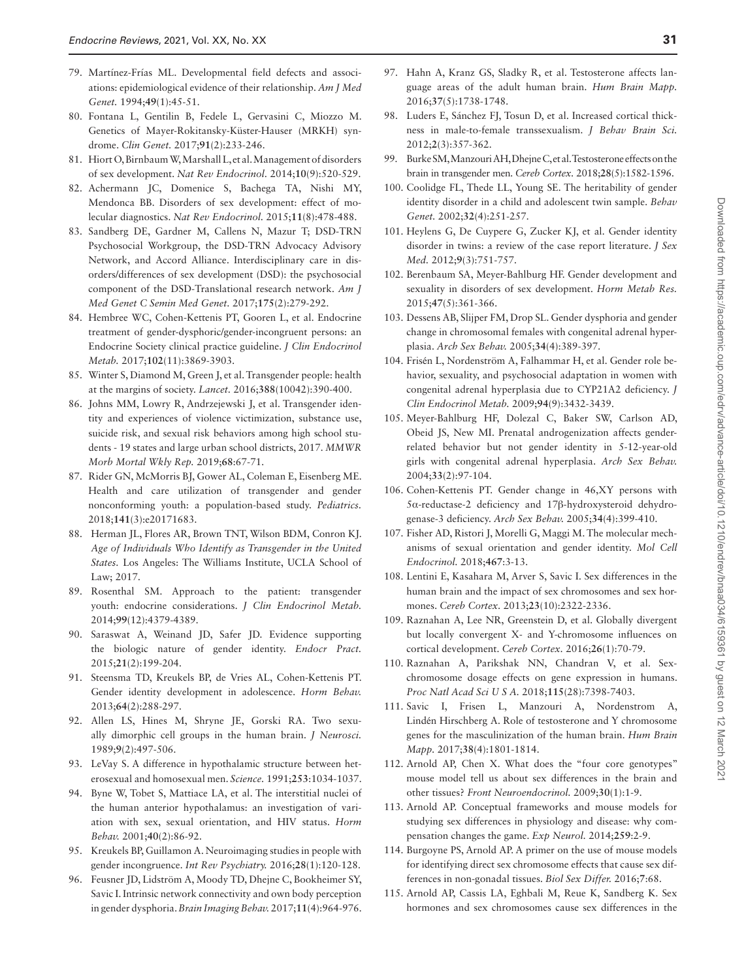- <span id="page-30-0"></span>79. Martínez-Frías ML. Developmental field defects and associations: epidemiological evidence of their relationship. *Am J Med Genet.* 1994;**49**(1):45-51.
- <span id="page-30-1"></span>80. Fontana L, Gentilin B, Fedele L, Gervasini C, Miozzo M. Genetics of Mayer-Rokitansky-Küster-Hauser (MRKH) syndrome. *Clin Genet.* 2017;**91**(2):233-246.
- <span id="page-30-2"></span>81. Hiort O, Birnbaum W, Marshall L, et al. Management of disorders of sex development. *Nat Rev Endocrinol.* 2014;**10**(9):520-529.
- <span id="page-30-3"></span>82. Achermann JC, Domenice S, Bachega TA, Nishi MY, Mendonca BB. Disorders of sex development: effect of molecular diagnostics. *Nat Rev Endocrinol.* 2015;**11**(8):478-488.
- <span id="page-30-4"></span>83. Sandberg DE, Gardner M, Callens N, Mazur T; DSD-TRN Psychosocial Workgroup, the DSD-TRN Advocacy Advisory Network, and Accord Alliance. Interdisciplinary care in disorders/differences of sex development (DSD): the psychosocial component of the DSD-Translational research network. *Am J Med Genet C Semin Med Genet.* 2017;**175**(2):279-292.
- <span id="page-30-5"></span>84. Hembree WC, Cohen-Kettenis PT, Gooren L, et al. Endocrine treatment of gender-dysphoric/gender-incongruent persons: an Endocrine Society clinical practice guideline. *J Clin Endocrinol Metab.* 2017;**102**(11):3869-3903.
- <span id="page-30-6"></span>85. Winter S, Diamond M, Green J, et al. Transgender people: health at the margins of society. *Lancet.* 2016;**388**(10042):390-400.
- <span id="page-30-7"></span>86. Johns MM, Lowry R, Andrzejewski J, et al. Transgender identity and experiences of violence victimization, substance use, suicide risk, and sexual risk behaviors among high school students - 19 states and large urban school districts, 2017. *MMWR Morb Mortal Wkly Rep.* 2019;**68**:67-71.
- 87. Rider GN, McMorris BJ, Gower AL, Coleman E, Eisenberg ME. Health and care utilization of transgender and gender nonconforming youth: a population-based study. *Pediatrics.* 2018;**141**(3):e20171683.
- <span id="page-30-8"></span>88. Herman JL, Flores AR, Brown TNT, Wilson BDM, Conron KJ. *Age of Individuals Who Identify as Transgender in the United States.* Los Angeles: The Williams Institute, UCLA School of Law; 2017.
- <span id="page-30-9"></span>89. Rosenthal SM. Approach to the patient: transgender youth: endocrine considerations. *J Clin Endocrinol Metab.* 2014;**99**(12):4379-4389.
- 90. Saraswat A, Weinand JD, Safer JD. Evidence supporting the biologic nature of gender identity. *Endocr Pract.* 2015;**21**(2):199-204.
- <span id="page-30-10"></span>91. Steensma TD, Kreukels BP, de Vries AL, Cohen-Kettenis PT. Gender identity development in adolescence. *Horm Behav.* 2013;**64**(2):288-297.
- <span id="page-30-11"></span>92. Allen LS, Hines M, Shryne JE, Gorski RA. Two sexually dimorphic cell groups in the human brain. *J Neurosci.* 1989;**9**(2):497-506.
- <span id="page-30-12"></span>93. LeVay S. A difference in hypothalamic structure between heterosexual and homosexual men. *Science.* 1991;**253**:1034-1037.
- <span id="page-30-13"></span>94. Byne W, Tobet S, Mattiace LA, et al. The interstitial nuclei of the human anterior hypothalamus: an investigation of variation with sex, sexual orientation, and HIV status. *Horm Behav.* 2001;**40**(2):86-92.
- <span id="page-30-14"></span>95. Kreukels BP, Guillamon A. Neuroimaging studies in people with gender incongruence. *Int Rev Psychiatry.* 2016;**28**(1):120-128.
- <span id="page-30-15"></span>96. Feusner JD, Lidström A, Moody TD, Dhejne C, Bookheimer SY, Savic I. Intrinsic network connectivity and own body perception in gender dysphoria. *Brain Imaging Behav.* 2017;**11**(4):964-976.
- 97. Hahn A, Kranz GS, Sladky R, et al. Testosterone affects language areas of the adult human brain. *Hum Brain Mapp.* 2016;**37**(5):1738-1748.
- <span id="page-30-16"></span>98. Luders E, Sánchez FJ, Tosun D, et al. Increased cortical thickness in male-to-female transsexualism. *J Behav Brain Sci.* 2012;**2**(3):357-362.
- <span id="page-30-17"></span>99. Burke SM, Manzouri AH, Dhejne C, et al. Testosterone effects on the brain in transgender men. *Cereb Cortex.* 2018;**28**(5):1582-1596.
- <span id="page-30-18"></span>100. Coolidge FL, Thede LL, Young SE. The heritability of gender identity disorder in a child and adolescent twin sample. *Behav Genet.* 2002;**32**(4):251-257.
- <span id="page-30-19"></span>101. Heylens G, De Cuypere G, Zucker KJ, et al. Gender identity disorder in twins: a review of the case report literature. *J Sex Med.* 2012;**9**(3):751-757.
- <span id="page-30-20"></span>102. Berenbaum SA, Meyer-Bahlburg HF. Gender development and sexuality in disorders of sex development. *Horm Metab Res.* 2015;**47**(5):361-366.
- <span id="page-30-21"></span>103. Dessens AB, Slijper FM, Drop SL. Gender dysphoria and gender change in chromosomal females with congenital adrenal hyperplasia. *Arch Sex Behav.* 2005;**34**(4):389-397.
- <span id="page-30-22"></span>104. Frisén L, Nordenström A, Falhammar H, et al. Gender role behavior, sexuality, and psychosocial adaptation in women with congenital adrenal hyperplasia due to CYP21A2 deficiency. *J Clin Endocrinol Metab.* 2009;**94**(9):3432-3439.
- <span id="page-30-23"></span>105. Meyer-Bahlburg HF, Dolezal C, Baker SW, Carlson AD, Obeid JS, New MI. Prenatal androgenization affects genderrelated behavior but not gender identity in 5-12-year-old girls with congenital adrenal hyperplasia. *Arch Sex Behav.* 2004;**33**(2):97-104.
- <span id="page-30-24"></span>106. Cohen-Kettenis PT. Gender change in 46,XY persons with 5α-reductase-2 deficiency and 17β-hydroxysteroid dehydrogenase-3 deficiency. *Arch Sex Behav.* 2005;**34**(4):399-410.
- <span id="page-30-25"></span>107. Fisher AD, Ristori J, Morelli G, Maggi M. The molecular mechanisms of sexual orientation and gender identity. *Mol Cell Endocrinol.* 2018;**467**:3-13.
- <span id="page-30-26"></span>108. Lentini E, Kasahara M, Arver S, Savic I. Sex differences in the human brain and the impact of sex chromosomes and sex hormones. *Cereb Cortex.* 2013;**23**(10):2322-2336.
- 109. Raznahan A, Lee NR, Greenstein D, et al. Globally divergent but locally convergent X- and Y-chromosome influences on cortical development. *Cereb Cortex.* 2016;**26**(1):70-79.
- <span id="page-30-27"></span>110. Raznahan A, Parikshak NN, Chandran V, et al. Sexchromosome dosage effects on gene expression in humans. *Proc Natl Acad Sci U S A.* 2018;**115**(28):7398-7403.
- <span id="page-30-28"></span>111. Savic I, Frisen L, Manzouri A, Nordenstrom A, Lindén Hirschberg A. Role of testosterone and Y chromosome genes for the masculinization of the human brain. *Hum Brain Mapp.* 2017;**38**(4):1801-1814.
- <span id="page-30-29"></span>112. Arnold AP, Chen X. What does the "four core genotypes" mouse model tell us about sex differences in the brain and other tissues? *Front Neuroendocrinol.* 2009;**30**(1):1-9.
- <span id="page-30-30"></span>113. Arnold AP. Conceptual frameworks and mouse models for studying sex differences in physiology and disease: why compensation changes the game. *Exp Neurol.* 2014;**259**:2-9.
- <span id="page-30-31"></span>114. Burgoyne PS, Arnold AP. A primer on the use of mouse models for identifying direct sex chromosome effects that cause sex differences in non-gonadal tissues. *Biol Sex Differ.* 2016;**7**:68.
- <span id="page-30-32"></span>115. Arnold AP, Cassis LA, Eghbali M, Reue K, Sandberg K. Sex hormones and sex chromosomes cause sex differences in the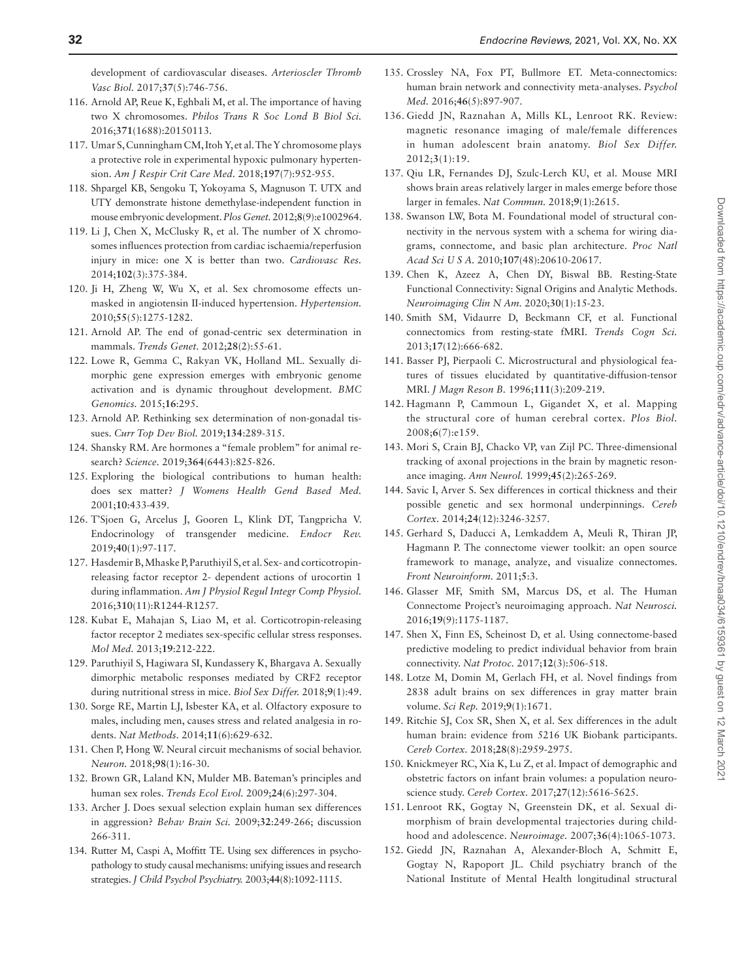development of cardiovascular diseases. *Arterioscler Thromb Vasc Biol.* 2017;**37**(5):746-756.

- <span id="page-31-9"></span>116. Arnold AP, Reue K, Eghbali M, et al. The importance of having two X chromosomes. *Philos Trans R Soc Lond B Biol Sci.* 2016;**371**(1688):20150113.
- <span id="page-31-10"></span>117. Umar S, Cunningham CM, Itoh Y, et al. The Y chromosome plays a protective role in experimental hypoxic pulmonary hypertension. *Am J Respir Crit Care Med.* 2018;**197**(7):952-955.
- <span id="page-31-11"></span>118. Shpargel KB, Sengoku T, Yokoyama S, Magnuson T. UTX and UTY demonstrate histone demethylase-independent function in mouse embryonic development. *Plos Genet.* 2012;**8**(9):e1002964.
- <span id="page-31-12"></span>119. Li J, Chen X, McClusky R, et al. The number of X chromosomes influences protection from cardiac ischaemia/reperfusion injury in mice: one X is better than two. *Cardiovasc Res.* 2014;**102**(3):375-384.
- <span id="page-31-13"></span>120. Ji H, Zheng W, Wu X, et al. Sex chromosome effects unmasked in angiotensin II-induced hypertension. *Hypertension.* 2010;**55**(5):1275-1282.
- <span id="page-31-0"></span>121. Arnold AP. The end of gonad-centric sex determination in mammals. *Trends Genet.* 2012;**28**(2):55-61.
- <span id="page-31-1"></span>122. Lowe R, Gemma C, Rakyan VK, Holland ML. Sexually dimorphic gene expression emerges with embryonic genome activation and is dynamic throughout development. *BMC Genomics.* 2015;**16**:295.
- <span id="page-31-2"></span>123. Arnold AP. Rethinking sex determination of non-gonadal tissues. *Curr Top Dev Biol.* 2019;**134**:289-315.
- <span id="page-31-3"></span>124. Shansky RM. Are hormones a "female problem" for animal research? *Science.* 2019;**364**(6443):825-826.
- <span id="page-31-4"></span>125. Exploring the biological contributions to human health: does sex matter? *J Womens Health Gend Based Med.* 2001;**10**:433-439.
- <span id="page-31-5"></span>126. T'Sjoen G, Arcelus J, Gooren L, Klink DT, Tangpricha V. Endocrinology of transgender medicine. *Endocr Rev.* 2019;**40**(1):97-117.
- <span id="page-31-6"></span>127. Hasdemir B, Mhaske P, Paruthiyil S, et al. Sex- and corticotropinreleasing factor receptor 2- dependent actions of urocortin 1 during inflammation. *Am J Physiol Regul Integr Comp Physiol.* 2016;**310**(11):R1244-R1257.
- <span id="page-31-35"></span>128. Kubat E, Mahajan S, Liao M, et al. Corticotropin-releasing factor receptor 2 mediates sex-specific cellular stress responses. *Mol Med.* 2013;**19**:212-222.
- <span id="page-31-7"></span>129. Paruthiyil S, Hagiwara SI, Kundassery K, Bhargava A. Sexually dimorphic metabolic responses mediated by CRF2 receptor during nutritional stress in mice. *Biol Sex Differ.* 2018;**9**(1):49.
- <span id="page-31-8"></span>130. Sorge RE, Martin LJ, Isbester KA, et al. Olfactory exposure to males, including men, causes stress and related analgesia in rodents. *Nat Methods.* 2014;**11**(6):629-632.
- <span id="page-31-14"></span>131. Chen P, Hong W. Neural circuit mechanisms of social behavior. *Neuron.* 2018;**98**(1):16-30.
- <span id="page-31-15"></span>132. Brown GR, Laland KN, Mulder MB. Bateman's principles and human sex roles. *Trends Ecol Evol.* 2009;**24**(6):297-304.
- <span id="page-31-16"></span>133. Archer J. Does sexual selection explain human sex differences in aggression? *Behav Brain Sci.* 2009;**32**:249-266; discussion 266-311.
- <span id="page-31-17"></span>134. Rutter M, Caspi A, Moffitt TE. Using sex differences in psychopathology to study causal mechanisms: unifying issues and research strategies. *J Child Psychol Psychiatry.* 2003;**44**(8):1092-1115.
- <span id="page-31-18"></span>135. Crossley NA, Fox PT, Bullmore ET. Meta-connectomics: human brain network and connectivity meta-analyses. *Psychol Med.* 2016;**46**(5):897-907.
- <span id="page-31-19"></span>136. Giedd JN, Raznahan A, Mills KL, Lenroot RK. Review: magnetic resonance imaging of male/female differences in human adolescent brain anatomy. *Biol Sex Differ.* 2012;**3**(1):19.
- <span id="page-31-20"></span>137. Qiu LR, Fernandes DJ, Szulc-Lerch KU, et al. Mouse MRI shows brain areas relatively larger in males emerge before those larger in females. *Nat Commun.* 2018;**9**(1):2615.
- <span id="page-31-21"></span>138. Swanson LW, Bota M. Foundational model of structural connectivity in the nervous system with a schema for wiring diagrams, connectome, and basic plan architecture. *Proc Natl Acad Sci U S A.* 2010;**107**(48):20610-20617.
- <span id="page-31-22"></span>139. Chen K, Azeez A, Chen DY, Biswal BB. Resting-State Functional Connectivity: Signal Origins and Analytic Methods. *Neuroimaging Clin N Am.* 2020;**30**(1):15-23.
- <span id="page-31-23"></span>140. Smith SM, Vidaurre D, Beckmann CF, et al. Functional connectomics from resting-state fMRI. *Trends Cogn Sci.* 2013;**17**(12):666-682.
- <span id="page-31-24"></span>141. Basser PJ, Pierpaoli C. Microstructural and physiological features of tissues elucidated by quantitative-diffusion-tensor MRI. *J Magn Reson B.* 1996;**111**(3):209-219.
- <span id="page-31-25"></span>142. Hagmann P, Cammoun L, Gigandet X, et al. Mapping the structural core of human cerebral cortex. *Plos Biol.* 2008;**6**(7):e159.
- 143. Mori S, Crain BJ, Chacko VP, van Zijl PC. Three-dimensional tracking of axonal projections in the brain by magnetic resonance imaging. *Ann Neurol.* 1999;**45**(2):265-269.
- <span id="page-31-26"></span>144. Savic I, Arver S. Sex differences in cortical thickness and their possible genetic and sex hormonal underpinnings. *Cereb Cortex.* 2014;**24**(12):3246-3257.
- <span id="page-31-27"></span>145. Gerhard S, Daducci A, Lemkaddem A, Meuli R, Thiran JP, Hagmann P. The connectome viewer toolkit: an open source framework to manage, analyze, and visualize connectomes. *Front Neuroinform.* 2011;**5**:3.
- <span id="page-31-28"></span>146. Glasser MF, Smith SM, Marcus DS, et al. The Human Connectome Project's neuroimaging approach. *Nat Neurosci.* 2016;**19**(9):1175-1187.
- <span id="page-31-29"></span>147. Shen X, Finn ES, Scheinost D, et al. Using connectome-based predictive modeling to predict individual behavior from brain connectivity. *Nat Protoc.* 2017;**12**(3):506-518.
- <span id="page-31-30"></span>148. Lotze M, Domin M, Gerlach FH, et al. Novel findings from 2838 adult brains on sex differences in gray matter brain volume. *Sci Rep.* 2019;**9**(1):1671.
- <span id="page-31-31"></span>149. Ritchie SJ, Cox SR, Shen X, et al. Sex differences in the adult human brain: evidence from 5216 UK Biobank participants. *Cereb Cortex.* 2018;**28**(8):2959-2975.
- <span id="page-31-32"></span>150. Knickmeyer RC, Xia K, Lu Z, et al. Impact of demographic and obstetric factors on infant brain volumes: a population neuroscience study. *Cereb Cortex.* 2017;**27**(12):5616-5625.
- <span id="page-31-33"></span>151. Lenroot RK, Gogtay N, Greenstein DK, et al. Sexual dimorphism of brain developmental trajectories during childhood and adolescence. *Neuroimage.* 2007;**36**(4):1065-1073.
- <span id="page-31-34"></span>152. Giedd JN, Raznahan A, Alexander-Bloch A, Schmitt E, Gogtay N, Rapoport JL. Child psychiatry branch of the National Institute of Mental Health longitudinal structural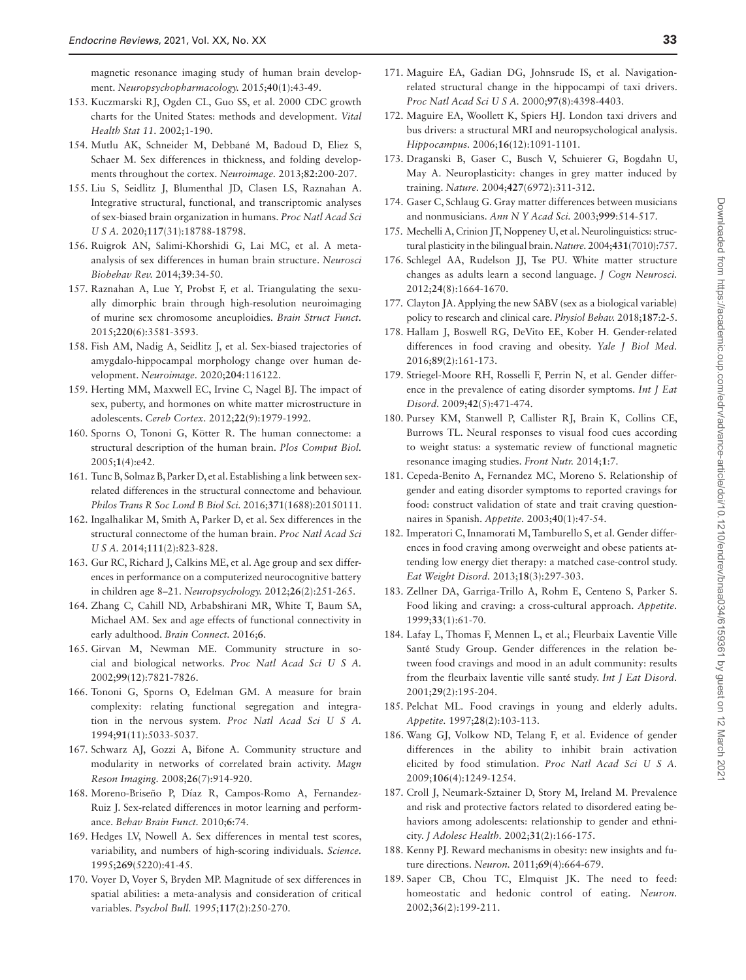magnetic resonance imaging study of human brain development. *Neuropsychopharmacology.* 2015;**40**(1):43-49.

- <span id="page-32-0"></span>153. Kuczmarski RJ, Ogden CL, Guo SS, et al. 2000 CDC growth charts for the United States: methods and development. *Vital Health Stat 11.* 2002;1-190.
- <span id="page-32-1"></span>154. Mutlu AK, Schneider M, Debbané M, Badoud D, Eliez S, Schaer M. Sex differences in thickness, and folding developments throughout the cortex. *Neuroimage.* 2013;**82**:200-207.
- <span id="page-32-2"></span>155. Liu S, Seidlitz J, Blumenthal JD, Clasen LS, Raznahan A. Integrative structural, functional, and transcriptomic analyses of sex-biased brain organization in humans. *Proc Natl Acad Sci U S A.* 2020;**117**(31):18788-18798.
- <span id="page-32-3"></span>156. Ruigrok AN, Salimi-Khorshidi G, Lai MC, et al. A metaanalysis of sex differences in human brain structure. *Neurosci Biobehav Rev.* 2014;**39**:34-50.
- <span id="page-32-4"></span>157. Raznahan A, Lue Y, Probst F, et al. Triangulating the sexually dimorphic brain through high-resolution neuroimaging of murine sex chromosome aneuploidies. *Brain Struct Funct.* 2015;**220**(6):3581-3593.
- <span id="page-32-5"></span>158. Fish AM, Nadig A, Seidlitz J, et al. Sex-biased trajectories of amygdalo-hippocampal morphology change over human development. *Neuroimage.* 2020;**204**:116122.
- <span id="page-32-6"></span>159. Herting MM, Maxwell EC, Irvine C, Nagel BJ. The impact of sex, puberty, and hormones on white matter microstructure in adolescents. *Cereb Cortex.* 2012;**22**(9):1979-1992.
- <span id="page-32-7"></span>160. Sporns O, Tononi G, Kötter R. The human connectome: a structural description of the human brain. *Plos Comput Biol.* 2005;**1**(4):e42.
- <span id="page-32-8"></span>161. Tunc B, Solmaz B, Parker D, et al. Establishing a link between sexrelated differences in the structural connectome and behaviour. *Philos Trans R Soc Lond B Biol Sci.* 2016;**371**(1688):20150111.
- <span id="page-32-9"></span>162. Ingalhalikar M, Smith A, Parker D, et al. Sex differences in the structural connectome of the human brain. *Proc Natl Acad Sci U S A.* 2014;**111**(2):823-828.
- <span id="page-32-10"></span>163. Gur RC, Richard J, Calkins ME, et al. Age group and sex differences in performance on a computerized neurocognitive battery in children age 8–21. *Neuropsychology.* 2012;**26**(2):251-265.
- <span id="page-32-11"></span>164. Zhang C, Cahill ND, Arbabshirani MR, White T, Baum SA, Michael AM. Sex and age effects of functional connectivity in early adulthood. *Brain Connect.* 2016;**6**.
- <span id="page-32-12"></span>165. Girvan M, Newman ME. Community structure in social and biological networks. *Proc Natl Acad Sci U S A.* 2002;**99**(12):7821-7826.
- <span id="page-32-13"></span>166. Tononi G, Sporns O, Edelman GM. A measure for brain complexity: relating functional segregation and integration in the nervous system. *Proc Natl Acad Sci U S A.* 1994;**91**(11):5033-5037.
- <span id="page-32-14"></span>167. Schwarz AJ, Gozzi A, Bifone A. Community structure and modularity in networks of correlated brain activity. *Magn Reson Imaging.* 2008;**26**(7):914-920.
- <span id="page-32-15"></span>168. Moreno-Briseño P, Díaz R, Campos-Romo A, Fernandez-Ruiz J. Sex-related differences in motor learning and performance. *Behav Brain Funct.* 2010;**6**:74.
- <span id="page-32-16"></span>169. Hedges LV, Nowell A. Sex differences in mental test scores, variability, and numbers of high-scoring individuals. *Science.* 1995;**269**(5220):41-45.
- <span id="page-32-17"></span>170. Voyer D, Voyer S, Bryden MP. Magnitude of sex differences in spatial abilities: a meta-analysis and consideration of critical variables. *Psychol Bull.* 1995;**117**(2):250-270.
- <span id="page-32-18"></span>171. Maguire EA, Gadian DG, Johnsrude IS, et al. Navigationrelated structural change in the hippocampi of taxi drivers. *Proc Natl Acad Sci U S A.* 2000;**97**(8):4398-4403.
- <span id="page-32-19"></span>172. Maguire EA, Woollett K, Spiers HJ. London taxi drivers and bus drivers: a structural MRI and neuropsychological analysis. *Hippocampus.* 2006;**16**(12):1091-1101.
- <span id="page-32-20"></span>173. Draganski B, Gaser C, Busch V, Schuierer G, Bogdahn U, May A. Neuroplasticity: changes in grey matter induced by training. *Nature.* 2004;**427**(6972):311-312.
- 174. Gaser C, Schlaug G. Gray matter differences between musicians and nonmusicians. *Ann N Y Acad Sci.* 2003;**999**:514-517.
- 175. Mechelli A, Crinion JT, Noppeney U, et al. Neurolinguistics: structural plasticity in the bilingual brain. *Nature.* 2004;**431**(7010):757.
- <span id="page-32-21"></span>176. Schlegel AA, Rudelson JJ, Tse PU. White matter structure changes as adults learn a second language. *J Cogn Neurosci.* 2012;**24**(8):1664-1670.
- <span id="page-32-22"></span>177. Clayton JA. Applying the new SABV (sex as a biological variable) policy to research and clinical care. *Physiol Behav.* 2018;**187**:2-5.
- <span id="page-32-23"></span>178. Hallam J, Boswell RG, DeVito EE, Kober H. Gender-related differences in food craving and obesity. *Yale J Biol Med.* 2016;**89**(2):161-173.
- <span id="page-32-24"></span>179. Striegel-Moore RH, Rosselli F, Perrin N, et al. Gender difference in the prevalence of eating disorder symptoms. *Int J Eat Disord.* 2009;**42**(5):471-474.
- <span id="page-32-25"></span>180. Pursey KM, Stanwell P, Callister RJ, Brain K, Collins CE, Burrows TL. Neural responses to visual food cues according to weight status: a systematic review of functional magnetic resonance imaging studies. *Front Nutr.* 2014;**1**:7.
- <span id="page-32-26"></span>181. Cepeda-Benito A, Fernandez MC, Moreno S. Relationship of gender and eating disorder symptoms to reported cravings for food: construct validation of state and trait craving questionnaires in Spanish. *Appetite.* 2003;**40**(1):47-54.
- <span id="page-32-27"></span>182. Imperatori C, Innamorati M, Tamburello S, et al. Gender differences in food craving among overweight and obese patients attending low energy diet therapy: a matched case-control study. *Eat Weight Disord.* 2013;**18**(3):297-303.
- <span id="page-32-28"></span>183. Zellner DA, Garriga-Trillo A, Rohm E, Centeno S, Parker S. Food liking and craving: a cross-cultural approach. *Appetite.* 1999;**33**(1):61-70.
- <span id="page-32-30"></span>184. Lafay L, Thomas F, Mennen L, et al.; Fleurbaix Laventie Ville Santé Study Group. Gender differences in the relation between food cravings and mood in an adult community: results from the fleurbaix laventie ville santé study. *Int J Eat Disord.* 2001;**29**(2):195-204.
- <span id="page-32-29"></span>185. Pelchat ML. Food cravings in young and elderly adults. *Appetite.* 1997;**28**(2):103-113.
- <span id="page-32-31"></span>186. Wang GJ, Volkow ND, Telang F, et al. Evidence of gender differences in the ability to inhibit brain activation elicited by food stimulation. *Proc Natl Acad Sci U S A.* 2009;**106**(4):1249-1254.
- <span id="page-32-32"></span>187. Croll J, Neumark-Sztainer D, Story M, Ireland M. Prevalence and risk and protective factors related to disordered eating behaviors among adolescents: relationship to gender and ethnicity. *J Adolesc Health.* 2002;**31**(2):166-175.
- <span id="page-32-33"></span>188. Kenny PJ. Reward mechanisms in obesity: new insights and future directions. *Neuron.* 2011;**69**(4):664-679.
- <span id="page-32-34"></span>189. Saper CB, Chou TC, Elmquist JK. The need to feed: homeostatic and hedonic control of eating. *Neuron.* 2002;**36**(2):199-211.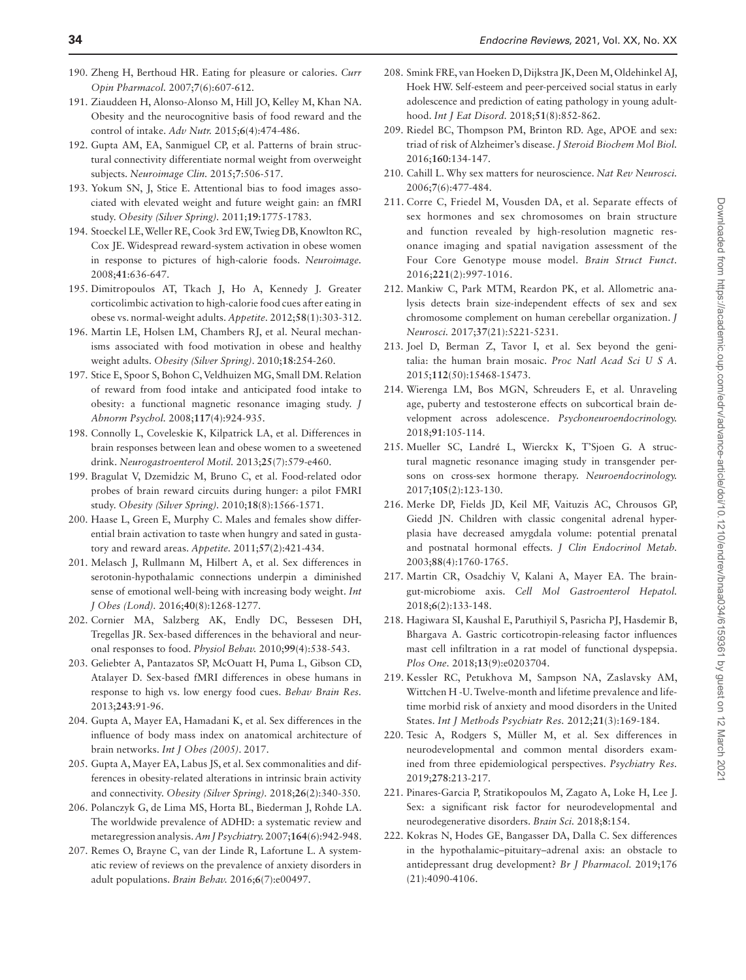- 190. Zheng H, Berthoud HR. Eating for pleasure or calories. *Curr Opin Pharmacol.* 2007;**7**(6):607-612.
- <span id="page-33-0"></span>191. Ziauddeen H, Alonso-Alonso M, Hill JO, Kelley M, Khan NA. Obesity and the neurocognitive basis of food reward and the control of intake. *Adv Nutr.* 2015;**6**(4):474-486.
- <span id="page-33-1"></span>192. Gupta AM, EA, Sanmiguel CP, et al. Patterns of brain structural connectivity differentiate normal weight from overweight subjects. *Neuroimage Clin.* 2015;**7**:506-517.
- <span id="page-33-2"></span>193. Yokum SN, J, Stice E. Attentional bias to food images associated with elevated weight and future weight gain: an fMRI study. *Obesity (Silver Spring).* 2011;**19**:1775-1783.
- 194. Stoeckel LE, Weller RE, Cook 3rd EW, Twieg DB, Knowlton RC, Cox JE. Widespread reward-system activation in obese women in response to pictures of high-calorie foods. *Neuroimage.* 2008;**41**:636-647.
- 195. Dimitropoulos AT, Tkach J, Ho A, Kennedy J. Greater corticolimbic activation to high-calorie food cues after eating in obese vs. normal-weight adults. *Appetite.* 2012;**58**(1):303-312.
- <span id="page-33-3"></span>196. Martin LE, Holsen LM, Chambers RJ, et al. Neural mechanisms associated with food motivation in obese and healthy weight adults. *Obesity (Silver Spring)*. 2010;**18**:254-260.
- <span id="page-33-4"></span>197. Stice E, Spoor S, Bohon C, Veldhuizen MG, Small DM. Relation of reward from food intake and anticipated food intake to obesity: a functional magnetic resonance imaging study. *J Abnorm Psychol.* 2008;**117**(4):924-935.
- 198. Connolly L, Coveleskie K, Kilpatrick LA, et al. Differences in brain responses between lean and obese women to a sweetened drink. *Neurogastroenterol Motil.* 2013;**25**(7):579-e460.
- <span id="page-33-5"></span>199. Bragulat V, Dzemidzic M, Bruno C, et al. Food-related odor probes of brain reward circuits during hunger: a pilot FMRI study. *Obesity (Silver Spring).* 2010;**18**(8):1566-1571.
- <span id="page-33-6"></span>200. Haase L, Green E, Murphy C. Males and females show differential brain activation to taste when hungry and sated in gustatory and reward areas. *Appetite.* 2011;**57**(2):421-434.
- 201. Melasch J, Rullmann M, Hilbert A, et al. Sex differences in serotonin-hypothalamic connections underpin a diminished sense of emotional well-being with increasing body weight. *Int J Obes (Lond).* 2016;**40**(8):1268-1277.
- <span id="page-33-7"></span>202. Cornier MA, Salzberg AK, Endly DC, Bessesen DH, Tregellas JR. Sex-based differences in the behavioral and neuronal responses to food. *Physiol Behav.* 2010;**99**(4):538-543.
- <span id="page-33-8"></span>203. Geliebter A, Pantazatos SP, McOuatt H, Puma L, Gibson CD, Atalayer D. Sex-based fMRI differences in obese humans in response to high vs. low energy food cues. *Behav Brain Res.* 2013;**243**:91-96.
- <span id="page-33-9"></span>204. Gupta A, Mayer EA, Hamadani K, et al. Sex differences in the influence of body mass index on anatomical architecture of brain networks. *Int J Obes (2005)*. 2017.
- <span id="page-33-10"></span>205. Gupta A, Mayer EA, Labus JS, et al. Sex commonalities and differences in obesity-related alterations in intrinsic brain activity and connectivity. *Obesity (Silver Spring).* 2018;**26**(2):340-350.
- <span id="page-33-11"></span>206. Polanczyk G, de Lima MS, Horta BL, Biederman J, Rohde LA. The worldwide prevalence of ADHD: a systematic review and metaregression analysis. *Am J Psychiatry.* 2007;**164**(6):942-948.
- <span id="page-33-12"></span>207. Remes O, Brayne C, van der Linde R, Lafortune L. A systematic review of reviews on the prevalence of anxiety disorders in adult populations. *Brain Behav.* 2016;**6**(7):e00497.
- <span id="page-33-13"></span>208. Smink FRE, van Hoeken D, Dijkstra JK, Deen M, Oldehinkel AJ, Hoek HW. Self-esteem and peer-perceived social status in early adolescence and prediction of eating pathology in young adulthood. *Int J Eat Disord.* 2018;**51**(8):852-862.
- <span id="page-33-14"></span>209. Riedel BC, Thompson PM, Brinton RD. Age, APOE and sex: triad of risk of Alzheimer's disease. *J Steroid Biochem Mol Biol.* 2016;**160**:134-147.
- <span id="page-33-15"></span>210. Cahill L. Why sex matters for neuroscience. *Nat Rev Neurosci.* 2006;**7**(6):477-484.
- <span id="page-33-16"></span>211. Corre C, Friedel M, Vousden DA, et al. Separate effects of sex hormones and sex chromosomes on brain structure and function revealed by high-resolution magnetic resonance imaging and spatial navigation assessment of the Four Core Genotype mouse model. *Brain Struct Funct.* 2016;**221**(2):997-1016.
- <span id="page-33-17"></span>212. Mankiw C, Park MTM, Reardon PK, et al. Allometric analysis detects brain size-independent effects of sex and sex chromosome complement on human cerebellar organization. *J Neurosci.* 2017;**37**(21):5221-5231.
- <span id="page-33-18"></span>213. Joel D, Berman Z, Tavor I, et al. Sex beyond the genitalia: the human brain mosaic. *Proc Natl Acad Sci U S A.* 2015;**112**(50):15468-15473.
- <span id="page-33-19"></span>214. Wierenga LM, Bos MGN, Schreuders E, et al. Unraveling age, puberty and testosterone effects on subcortical brain development across adolescence. *Psychoneuroendocrinology.* 2018;**91**:105-114.
- <span id="page-33-20"></span>215. Mueller SC, Landré L, Wierckx K, T'Sjoen G. A structural magnetic resonance imaging study in transgender persons on cross-sex hormone therapy. *Neuroendocrinology.* 2017;**105**(2):123-130.
- <span id="page-33-21"></span>216. Merke DP, Fields JD, Keil MF, Vaituzis AC, Chrousos GP, Giedd JN. Children with classic congenital adrenal hyperplasia have decreased amygdala volume: potential prenatal and postnatal hormonal effects. *J Clin Endocrinol Metab.* 2003;**88**(4):1760-1765.
- <span id="page-33-22"></span>217. Martin CR, Osadchiy V, Kalani A, Mayer EA. The braingut-microbiome axis. *Cell Mol Gastroenterol Hepatol.* 2018;**6**(2):133-148.
- <span id="page-33-23"></span>218. Hagiwara SI, Kaushal E, Paruthiyil S, Pasricha PJ, Hasdemir B, Bhargava A. Gastric corticotropin-releasing factor influences mast cell infiltration in a rat model of functional dyspepsia. *Plos One.* 2018;**13**(9):e0203704.
- <span id="page-33-24"></span>219. Kessler RC, Petukhova M, Sampson NA, Zaslavsky AM, Wittchen H -U. Twelve-month and lifetime prevalence and lifetime morbid risk of anxiety and mood disorders in the United States. *Int J Methods Psychiatr Res.* 2012;**21**(3):169-184.
- 220. Tesic A, Rodgers S, Müller M, et al. Sex differences in neurodevelopmental and common mental disorders examined from three epidemiological perspectives. *Psychiatry Res.* 2019;**278**:213-217.
- <span id="page-33-25"></span>221. Pinares-Garcia P, Stratikopoulos M, Zagato A, Loke H, Lee J. Sex: a significant risk factor for neurodevelopmental and neurodegenerative disorders. *Brain Sci.* 2018;**8**:154.
- <span id="page-33-26"></span>222. Kokras N, Hodes GE, Bangasser DA, Dalla C. Sex differences in the hypothalamic–pituitary–adrenal axis: an obstacle to antidepressant drug development? *Br J Pharmacol.* 2019;176 (21):4090-4106.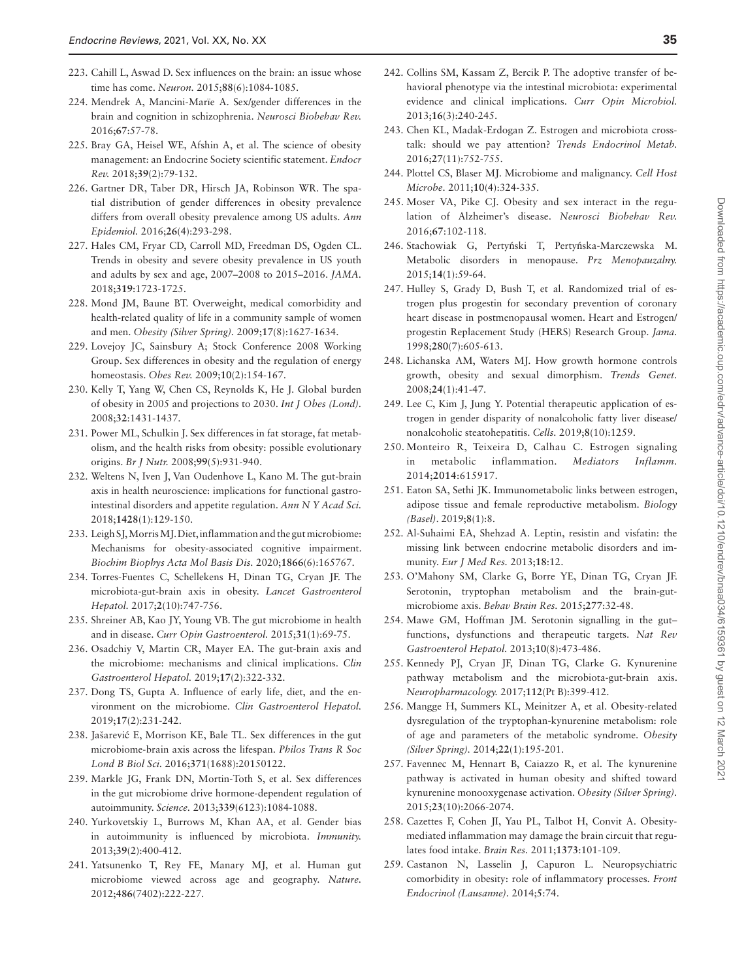- <span id="page-34-0"></span>223. Cahill L, Aswad D. Sex influences on the brain: an issue whose time has come. *Neuron.* 2015;**88**(6):1084-1085.
- <span id="page-34-1"></span>224. Mendrek A, Mancini-Marïe A. Sex/gender differences in the brain and cognition in schizophrenia. *Neurosci Biobehav Rev.* 2016;**67**:57-78.
- <span id="page-34-2"></span>225. Bray GA, Heisel WE, Afshin A, et al. The science of obesity management: an Endocrine Society scientific statement. *Endocr Rev.* 2018;**39**(2):79-132.
- <span id="page-34-3"></span>226. Gartner DR, Taber DR, Hirsch JA, Robinson WR. The spatial distribution of gender differences in obesity prevalence differs from overall obesity prevalence among US adults. *Ann Epidemiol.* 2016;**26**(4):293-298.
- <span id="page-34-4"></span>227. Hales CM, Fryar CD, Carroll MD, Freedman DS, Ogden CL. Trends in obesity and severe obesity prevalence in US youth and adults by sex and age, 2007–2008 to 2015–2016. *JAMA.* 2018;**319**:1723-1725.
- <span id="page-34-5"></span>228. Mond JM, Baune BT. Overweight, medical comorbidity and health-related quality of life in a community sample of women and men. *Obesity (Silver Spring).* 2009;**17**(8):1627-1634.
- <span id="page-34-6"></span>229. Lovejoy JC, Sainsbury A; Stock Conference 2008 Working Group. Sex differences in obesity and the regulation of energy homeostasis. *Obes Rev.* 2009;**10**(2):154-167.
- <span id="page-34-7"></span>230. Kelly T, Yang W, Chen CS, Reynolds K, He J. Global burden of obesity in 2005 and projections to 2030. *Int J Obes (Lond).* 2008;**32**:1431-1437.
- <span id="page-34-8"></span>231. Power ML, Schulkin J. Sex differences in fat storage, fat metabolism, and the health risks from obesity: possible evolutionary origins. *Br J Nutr.* 2008;**99**(5):931-940.
- <span id="page-34-9"></span>232. Weltens N, Iven J, Van Oudenhove L, Kano M. The gut-brain axis in health neuroscience: implications for functional gastrointestinal disorders and appetite regulation. *Ann N Y Acad Sci.* 2018;**1428**(1):129-150.
- <span id="page-34-10"></span>233. Leigh SJ, Morris MJ. Diet, inflammation and the gut microbiome: Mechanisms for obesity-associated cognitive impairment. *Biochim Biophys Acta Mol Basis Dis.* 2020;**1866**(6):165767.
- <span id="page-34-11"></span>234. Torres-Fuentes C, Schellekens H, Dinan TG, Cryan JF. The microbiota-gut-brain axis in obesity. *Lancet Gastroenterol Hepatol.* 2017;**2**(10):747-756.
- <span id="page-34-12"></span>235. Shreiner AB, Kao JY, Young VB. The gut microbiome in health and in disease. *Curr Opin Gastroenterol.* 2015;**31**(1):69-75.
- 236. Osadchiy V, Martin CR, Mayer EA. The gut-brain axis and the microbiome: mechanisms and clinical implications. *Clin Gastroenterol Hepatol.* 2019;**17**(2):322-332.
- <span id="page-34-13"></span>237. Dong TS, Gupta A. Influence of early life, diet, and the environment on the microbiome. *Clin Gastroenterol Hepatol.* 2019;**17**(2):231-242.
- <span id="page-34-14"></span>238. Jašarević E, Morrison KE, Bale TL. Sex differences in the gut microbiome-brain axis across the lifespan. *Philos Trans R Soc Lond B Biol Sci.* 2016;**371**(1688):20150122.
- <span id="page-34-15"></span>239. Markle JG, Frank DN, Mortin-Toth S, et al. Sex differences in the gut microbiome drive hormone-dependent regulation of autoimmunity. *Science.* 2013;**339**(6123):1084-1088.
- <span id="page-34-16"></span>240. Yurkovetskiy L, Burrows M, Khan AA, et al. Gender bias in autoimmunity is influenced by microbiota. *Immunity.* 2013;**39**(2):400-412.
- <span id="page-34-17"></span>241. Yatsunenko T, Rey FE, Manary MJ, et al. Human gut microbiome viewed across age and geography. *Nature.* 2012;**486**(7402):222-227.
- <span id="page-34-18"></span>242. Collins SM, Kassam Z, Bercik P. The adoptive transfer of behavioral phenotype via the intestinal microbiota: experimental evidence and clinical implications. *Curr Opin Microbiol.* 2013;**16**(3):240-245.
- <span id="page-34-19"></span>243. Chen KL, Madak-Erdogan Z. Estrogen and microbiota crosstalk: should we pay attention? *Trends Endocrinol Metab.* 2016;**27**(11):752-755.
- <span id="page-34-20"></span>244. Plottel CS, Blaser MJ. Microbiome and malignancy. *Cell Host Microbe.* 2011;**10**(4):324-335.
- <span id="page-34-21"></span>245. Moser VA, Pike CJ. Obesity and sex interact in the regulation of Alzheimer's disease. *Neurosci Biobehav Rev.* 2016;**67**:102-118.
- <span id="page-34-22"></span>246. Stachowiak G, Pertyński T, Pertyńska-Marczewska M. Metabolic disorders in menopause. *Prz Menopauzalny.* 2015;**14**(1):59-64.
- <span id="page-34-23"></span>247. Hulley S, Grady D, Bush T, et al. Randomized trial of estrogen plus progestin for secondary prevention of coronary heart disease in postmenopausal women. Heart and Estrogen/ progestin Replacement Study (HERS) Research Group. *Jama.* 1998;**280**(7):605-613.
- <span id="page-34-24"></span>248. Lichanska AM, Waters MJ. How growth hormone controls growth, obesity and sexual dimorphism. *Trends Genet.* 2008;**24**(1):41-47.
- <span id="page-34-25"></span>249. Lee C, Kim J, Jung Y. Potential therapeutic application of estrogen in gender disparity of nonalcoholic fatty liver disease/ nonalcoholic steatohepatitis. *Cells.* 2019;**8**(10):1259.
- <span id="page-34-26"></span>250. Monteiro R, Teixeira D, Calhau C. Estrogen signaling in metabolic inflammation. *Mediators Inflamm.* 2014;**2014**:615917.
- <span id="page-34-27"></span>251. Eaton SA, Sethi JK. Immunometabolic links between estrogen, adipose tissue and female reproductive metabolism. *Biology (Basel)*. 2019;**8**(1):8.
- <span id="page-34-28"></span>252. Al-Suhaimi EA, Shehzad A. Leptin, resistin and visfatin: the missing link between endocrine metabolic disorders and immunity. *Eur J Med Res.* 2013;**18**:12.
- <span id="page-34-29"></span>253. O'Mahony SM, Clarke G, Borre YE, Dinan TG, Cryan JF. Serotonin, tryptophan metabolism and the brain-gutmicrobiome axis. *Behav Brain Res.* 2015;**277**:32-48.
- <span id="page-34-30"></span>254. Mawe GM, Hoffman JM. Serotonin signalling in the gut– functions, dysfunctions and therapeutic targets. *Nat Rev Gastroenterol Hepatol.* 2013;**10**(8):473-486.
- <span id="page-34-31"></span>255. Kennedy PJ, Cryan JF, Dinan TG, Clarke G. Kynurenine pathway metabolism and the microbiota-gut-brain axis. *Neuropharmacology.* 2017;**112**(Pt B):399-412.
- <span id="page-34-32"></span>256. Mangge H, Summers KL, Meinitzer A, et al. Obesity-related dysregulation of the tryptophan-kynurenine metabolism: role of age and parameters of the metabolic syndrome. *Obesity (Silver Spring).* 2014;**22**(1):195-201.
- 257. Favennec M, Hennart B, Caiazzo R, et al. The kynurenine pathway is activated in human obesity and shifted toward kynurenine monooxygenase activation. *Obesity (Silver Spring).* 2015;**23**(10):2066-2074.
- 258. Cazettes F, Cohen JI, Yau PL, Talbot H, Convit A. Obesitymediated inflammation may damage the brain circuit that regulates food intake. *Brain Res.* 2011;**1373**:101-109.
- <span id="page-34-33"></span>259. Castanon N, Lasselin J, Capuron L. Neuropsychiatric comorbidity in obesity: role of inflammatory processes. *Front Endocrinol (Lausanne).* 2014;**5**:74.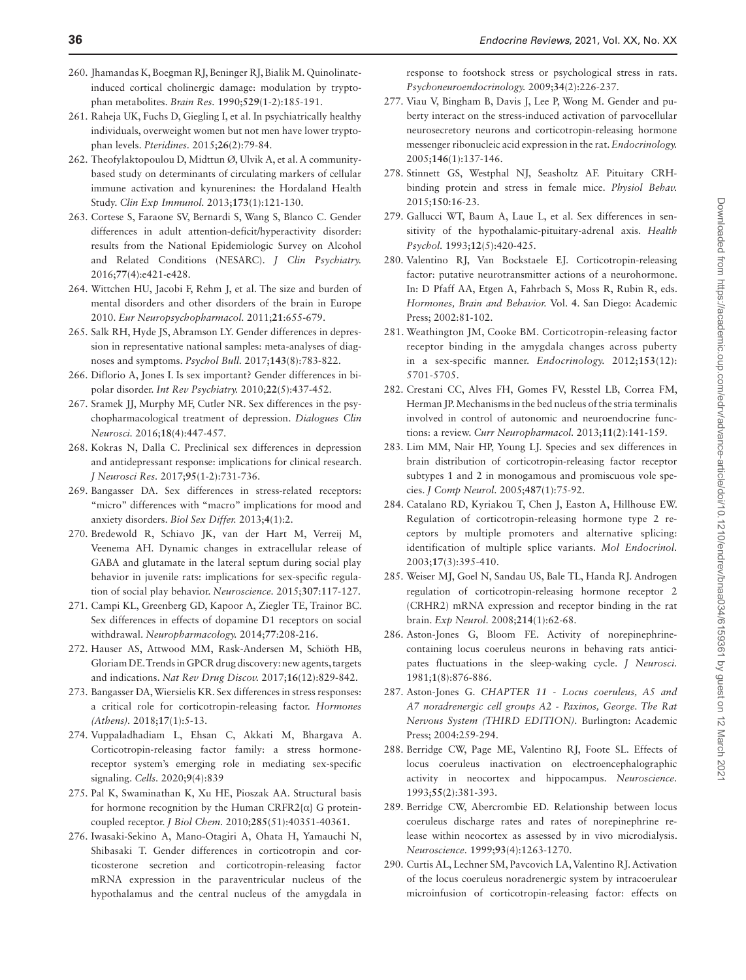- <span id="page-35-0"></span>260. Jhamandas K, Boegman RJ, Beninger RJ, Bialik M. Quinolinateinduced cortical cholinergic damage: modulation by tryptophan metabolites. *Brain Res.* 1990;**529**(1-2):185-191.
- <span id="page-35-1"></span>261. Raheja UK, Fuchs D, Giegling I, et al. In psychiatrically healthy individuals, overweight women but not men have lower tryptophan levels. *Pteridines.* 2015;**26**(2):79-84.
- <span id="page-35-2"></span>262. Theofylaktopoulou D, Midttun Ø, Ulvik A, et al. A communitybased study on determinants of circulating markers of cellular immune activation and kynurenines: the Hordaland Health Study. *Clin Exp Immunol.* 2013;**173**(1):121-130.
- <span id="page-35-3"></span>263. Cortese S, Faraone SV, Bernardi S, Wang S, Blanco C. Gender differences in adult attention-deficit/hyperactivity disorder: results from the National Epidemiologic Survey on Alcohol and Related Conditions (NESARC). *J Clin Psychiatry.* 2016;**77**(4):e421-e428.
- 264. Wittchen HU, Jacobi F, Rehm J, et al. The size and burden of mental disorders and other disorders of the brain in Europe 2010. *Eur Neuropsychopharmacol.* 2011;**21**:655-679.
- <span id="page-35-4"></span>265. Salk RH, Hyde JS, Abramson LY. Gender differences in depression in representative national samples: meta-analyses of diagnoses and symptoms. *Psychol Bull.* 2017;**143**(8):783-822.
- <span id="page-35-5"></span>266. Diflorio A, Jones I. Is sex important? Gender differences in bipolar disorder. *Int Rev Psychiatry.* 2010;**22**(5):437-452.
- <span id="page-35-6"></span>267. Sramek JJ, Murphy MF, Cutler NR. Sex differences in the psychopharmacological treatment of depression. *Dialogues Clin Neurosci.* 2016;**18**(4):447-457.
- <span id="page-35-7"></span>268. Kokras N, Dalla C. Preclinical sex differences in depression and antidepressant response: implications for clinical research. *J Neurosci Res.* 2017;**95**(1-2):731-736.
- <span id="page-35-8"></span>269. Bangasser DA. Sex differences in stress-related receptors: "micro" differences with "macro" implications for mood and anxiety disorders. *Biol Sex Differ.* 2013;**4**(1):2.
- <span id="page-35-9"></span>270. Bredewold R, Schiavo JK, van der Hart M, Verreij M, Veenema AH. Dynamic changes in extracellular release of GABA and glutamate in the lateral septum during social play behavior in juvenile rats: implications for sex-specific regulation of social play behavior. *Neuroscience.* 2015;**307**:117-127.
- <span id="page-35-10"></span>271. Campi KL, Greenberg GD, Kapoor A, Ziegler TE, Trainor BC. Sex differences in effects of dopamine D1 receptors on social withdrawal. *Neuropharmacology.* 2014;**77**:208-216.
- <span id="page-35-11"></span>272. Hauser AS, Attwood MM, Rask-Andersen M, Schiöth HB, Gloriam DE. Trends in GPCR drug discovery: new agents, targets and indications. *Nat Rev Drug Discov.* 2017;**16**(12):829-842.
- <span id="page-35-12"></span>273. Bangasser DA, Wiersielis KR. Sex differences in stress responses: a critical role for corticotropin-releasing factor. *Hormones (Athens).* 2018;**17**(1):5-13.
- <span id="page-35-13"></span>274. Vuppaladhadiam L, Ehsan C, Akkati M, Bhargava A. Corticotropin-releasing factor family: a stress hormonereceptor system's emerging role in mediating sex-specific signaling. *Cells.* 2020;**9**(4):839
- <span id="page-35-14"></span>275. Pal K, Swaminathan K, Xu HE, Pioszak AA. Structural basis for hormone recognition by the Human CRFR2 $\{\alpha\}$  G proteincoupled receptor. *J Biol Chem.* 2010;**285**(51):40351-40361.
- <span id="page-35-15"></span>276. Iwasaki-Sekino A, Mano-Otagiri A, Ohata H, Yamauchi N, Shibasaki T. Gender differences in corticotropin and corticosterone secretion and corticotropin-releasing factor mRNA expression in the paraventricular nucleus of the hypothalamus and the central nucleus of the amygdala in

response to footshock stress or psychological stress in rats. *Psychoneuroendocrinology.* 2009;**34**(2):226-237.

- <span id="page-35-16"></span>277. Viau V, Bingham B, Davis J, Lee P, Wong M. Gender and puberty interact on the stress-induced activation of parvocellular neurosecretory neurons and corticotropin-releasing hormone messenger ribonucleic acid expression in the rat. *Endocrinology.* 2005;**146**(1):137-146.
- <span id="page-35-17"></span>278. Stinnett GS, Westphal NJ, Seasholtz AF. Pituitary CRHbinding protein and stress in female mice. *Physiol Behav.* 2015;**150**:16-23.
- <span id="page-35-18"></span>279. Gallucci WT, Baum A, Laue L, et al. Sex differences in sensitivity of the hypothalamic-pituitary-adrenal axis. *Health Psychol.* 1993;**12**(5):420-425.
- <span id="page-35-19"></span>280. Valentino RJ, Van Bockstaele EJ. Corticotropin-releasing factor: putative neurotransmitter actions of a neurohormone. In: D Pfaff AA, Etgen A, Fahrbach S, Moss R, Rubin R, eds. *Hormones, Brain and Behavior.* Vol. **4**. San Diego: Academic Press; 2002:81-102.
- <span id="page-35-20"></span>281. Weathington JM, Cooke BM. Corticotropin-releasing factor receptor binding in the amygdala changes across puberty in a sex-specific manner. *Endocrinology.* 2012;**153**(12): 5701-5705.
- <span id="page-35-21"></span>282. Crestani CC, Alves FH, Gomes FV, Resstel LB, Correa FM, Herman JP. Mechanisms in the bed nucleus of the stria terminalis involved in control of autonomic and neuroendocrine functions: a review. *Curr Neuropharmacol.* 2013;**11**(2):141-159.
- <span id="page-35-22"></span>283. Lim MM, Nair HP, Young LJ. Species and sex differences in brain distribution of corticotropin-releasing factor receptor subtypes 1 and 2 in monogamous and promiscuous vole species. *J Comp Neurol.* 2005;**487**(1):75-92.
- <span id="page-35-23"></span>284. Catalano RD, Kyriakou T, Chen J, Easton A, Hillhouse EW. Regulation of corticotropin-releasing hormone type 2 receptors by multiple promoters and alternative splicing: identification of multiple splice variants. *Mol Endocrinol.* 2003;**17**(3):395-410.
- <span id="page-35-24"></span>285. Weiser MJ, Goel N, Sandau US, Bale TL, Handa RJ. Androgen regulation of corticotropin-releasing hormone receptor 2 (CRHR2) mRNA expression and receptor binding in the rat brain. *Exp Neurol.* 2008;**214**(1):62-68.
- <span id="page-35-25"></span>286. Aston-Jones G, Bloom FE. Activity of norepinephrinecontaining locus coeruleus neurons in behaving rats anticipates fluctuations in the sleep-waking cycle. *J Neurosci.* 1981;**1**(8):876-886.
- 287. Aston-Jones G. *CHAPTER 11 Locus coeruleus, A5 and A7 noradrenergic cell groups A2 - Paxinos, George. The Rat Nervous System (THIRD EDITION).* Burlington: Academic Press; 2004:259-294.
- 288. Berridge CW, Page ME, Valentino RJ, Foote SL. Effects of locus coeruleus inactivation on electroencephalographic activity in neocortex and hippocampus. *Neuroscience.* 1993;**55**(2):381-393.
- <span id="page-35-26"></span>289. Berridge CW, Abercrombie ED. Relationship between locus coeruleus discharge rates and rates of norepinephrine release within neocortex as assessed by in vivo microdialysis. *Neuroscience.* 1999;**93**(4):1263-1270.
- <span id="page-35-27"></span>290. Curtis AL, Lechner SM, Pavcovich LA, Valentino RJ. Activation of the locus coeruleus noradrenergic system by intracoerulear microinfusion of corticotropin-releasing factor: effects on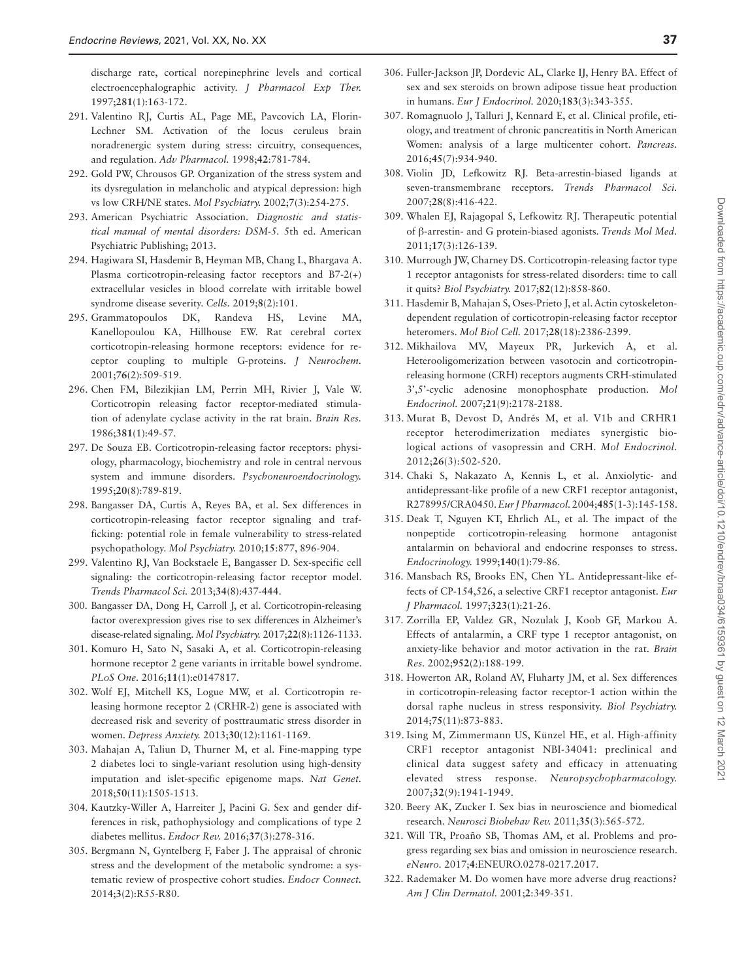discharge rate, cortical norepinephrine levels and cortical electroencephalographic activity. *J Pharmacol Exp Ther.* 1997;**281**(1):163-172.

- <span id="page-36-0"></span>291. Valentino RJ, Curtis AL, Page ME, Pavcovich LA, Florin-Lechner SM. Activation of the locus ceruleus brain noradrenergic system during stress: circuitry, consequences, and regulation. *Adv Pharmacol.* 1998;**42**:781-784.
- <span id="page-36-1"></span>292. Gold PW, Chrousos GP. Organization of the stress system and its dysregulation in melancholic and atypical depression: high vs low CRH/NE states. *Mol Psychiatry.* 2002;**7**(3):254-275.
- <span id="page-36-2"></span>293. American Psychiatric Association. *Diagnostic and statistical manual of mental disorders: DSM-5.* 5th ed. American Psychiatric Publishing; 2013.
- <span id="page-36-3"></span>294. Hagiwara SI, Hasdemir B, Heyman MB, Chang L, Bhargava A. Plasma corticotropin-releasing factor receptors and B7-2(+) extracellular vesicles in blood correlate with irritable bowel syndrome disease severity. *Cells.* 2019;**8**(2):101.
- <span id="page-36-4"></span>295. Grammatopoulos DK, Randeva HS, Levine MA, Kanellopoulou KA, Hillhouse EW. Rat cerebral cortex corticotropin-releasing hormone receptors: evidence for receptor coupling to multiple G-proteins. *J Neurochem.* 2001;**76**(2):509-519.
- 296. Chen FM, Bilezikjian LM, Perrin MH, Rivier J, Vale W. Corticotropin releasing factor receptor-mediated stimulation of adenylate cyclase activity in the rat brain. *Brain Res.* 1986;**381**(1):49-57.
- <span id="page-36-5"></span>297. De Souza EB. Corticotropin-releasing factor receptors: physiology, pharmacology, biochemistry and role in central nervous system and immune disorders. *Psychoneuroendocrinology.* 1995;**20**(8):789-819.
- <span id="page-36-6"></span>298. Bangasser DA, Curtis A, Reyes BA, et al. Sex differences in corticotropin-releasing factor receptor signaling and trafficking: potential role in female vulnerability to stress-related psychopathology. *Mol Psychiatry.* 2010;**15**:877, 896-904.
- <span id="page-36-7"></span>299. Valentino RJ, Van Bockstaele E, Bangasser D. Sex-specific cell signaling: the corticotropin-releasing factor receptor model. *Trends Pharmacol Sci.* 2013;**34**(8):437-444.
- <span id="page-36-8"></span>300. Bangasser DA, Dong H, Carroll J, et al. Corticotropin-releasing factor overexpression gives rise to sex differences in Alzheimer's disease-related signaling. *Mol Psychiatry.* 2017;**22**(8):1126-1133.
- <span id="page-36-9"></span>301. Komuro H, Sato N, Sasaki A, et al. Corticotropin-releasing hormone receptor 2 gene variants in irritable bowel syndrome. *PLoS One.* 2016;**11**(1):e0147817.
- <span id="page-36-10"></span>302. Wolf EJ, Mitchell KS, Logue MW, et al. Corticotropin releasing hormone receptor 2 (CRHR-2) gene is associated with decreased risk and severity of posttraumatic stress disorder in women. *Depress Anxiety.* 2013;**30**(12):1161-1169.
- <span id="page-36-11"></span>303. Mahajan A, Taliun D, Thurner M, et al. Fine-mapping type 2 diabetes loci to single-variant resolution using high-density imputation and islet-specific epigenome maps. *Nat Genet.* 2018;**50**(11):1505-1513.
- <span id="page-36-12"></span>304. Kautzky-Willer A, Harreiter J, Pacini G. Sex and gender differences in risk, pathophysiology and complications of type 2 diabetes mellitus. *Endocr Rev.* 2016;**37**(3):278-316.
- <span id="page-36-13"></span>305. Bergmann N, Gyntelberg F, Faber J. The appraisal of chronic stress and the development of the metabolic syndrome: a systematic review of prospective cohort studies. *Endocr Connect.* 2014;**3**(2):R55-R80.
- <span id="page-36-14"></span>306. Fuller-Jackson JP, Dordevic AL, Clarke IJ, Henry BA. Effect of sex and sex steroids on brown adipose tissue heat production in humans. *Eur J Endocrinol.* 2020;**183**(3):343-355.
- <span id="page-36-15"></span>307. Romagnuolo J, Talluri J, Kennard E, et al. Clinical profile, etiology, and treatment of chronic pancreatitis in North American Women: analysis of a large multicenter cohort. *Pancreas.* 2016;**45**(7):934-940.
- <span id="page-36-16"></span>308. Violin JD, Lefkowitz RJ. Beta-arrestin-biased ligands at seven-transmembrane receptors. *Trends Pharmacol Sci.* 2007;**28**(8):416-422.
- <span id="page-36-17"></span>309. Whalen EJ, Rajagopal S, Lefkowitz RJ. Therapeutic potential of β-arrestin- and G protein-biased agonists. *Trends Mol Med.* 2011;**17**(3):126-139.
- <span id="page-36-18"></span>310. Murrough JW, Charney DS. Corticotropin-releasing factor type 1 receptor antagonists for stress-related disorders: time to call it quits? *Biol Psychiatry.* 2017;**82**(12):858-860.
- <span id="page-36-19"></span>311. Hasdemir B, Mahajan S, Oses-Prieto J, et al. Actin cytoskeletondependent regulation of corticotropin-releasing factor receptor heteromers. *Mol Biol Cell.* 2017;**28**(18):2386-2399.
- 312. Mikhailova MV, Mayeux PR, Jurkevich A, et al. Heterooligomerization between vasotocin and corticotropinreleasing hormone (CRH) receptors augments CRH-stimulated 3',5'-cyclic adenosine monophosphate production. *Mol Endocrinol.* 2007;**21**(9):2178-2188.
- <span id="page-36-20"></span>313. Murat B, Devost D, Andrés M, et al. V1b and CRHR1 receptor heterodimerization mediates synergistic biological actions of vasopressin and CRH. *Mol Endocrinol.* 2012;**26**(3):502-520.
- <span id="page-36-21"></span>314. Chaki S, Nakazato A, Kennis L, et al. Anxiolytic- and antidepressant-like profile of a new CRF1 receptor antagonist, R278995/CRA0450. *Eur J Pharmacol.* 2004;**485**(1-3):145-158.
- 315. Deak T, Nguyen KT, Ehrlich AL, et al. The impact of the nonpeptide corticotropin-releasing hormone antagonist antalarmin on behavioral and endocrine responses to stress. *Endocrinology.* 1999;**140**(1):79-86.
- 316. Mansbach RS, Brooks EN, Chen YL. Antidepressant-like effects of CP-154,526, a selective CRF1 receptor antagonist. *Eur J Pharmacol.* 1997;**323**(1):21-26.
- <span id="page-36-22"></span>317. Zorrilla EP, Valdez GR, Nozulak J, Koob GF, Markou A. Effects of antalarmin, a CRF type 1 receptor antagonist, on anxiety-like behavior and motor activation in the rat. *Brain Res.* 2002;**952**(2):188-199.
- <span id="page-36-23"></span>318. Howerton AR, Roland AV, Fluharty JM, et al. Sex differences in corticotropin-releasing factor receptor-1 action within the dorsal raphe nucleus in stress responsivity. *Biol Psychiatry.* 2014;**75**(11):873-883.
- <span id="page-36-24"></span>319. Ising M, Zimmermann US, Künzel HE, et al. High-affinity CRF1 receptor antagonist NBI-34041: preclinical and clinical data suggest safety and efficacy in attenuating elevated stress response. *Neuropsychopharmacology.* 2007;**32**(9):1941-1949.
- <span id="page-36-25"></span>320. Beery AK, Zucker I. Sex bias in neuroscience and biomedical research. *Neurosci Biobehav Rev.* 2011;**35**(3):565-572.
- <span id="page-36-26"></span>321. Will TR, Proaño SB, Thomas AM, et al. Problems and progress regarding sex bias and omission in neuroscience research. *eNeuro.* 2017;**4**:ENEURO.0278-0217.2017.
- <span id="page-36-27"></span>322. Rademaker M. Do women have more adverse drug reactions? *Am J Clin Dermatol.* 2001;**2**:349-351.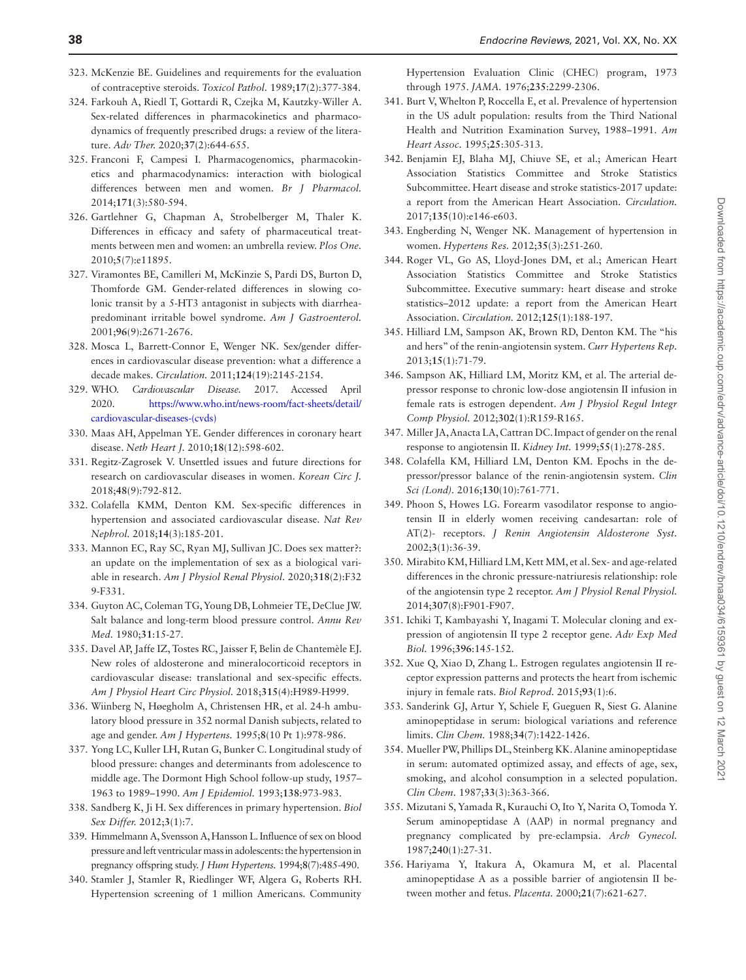- <span id="page-37-8"></span>323. McKenzie BE. Guidelines and requirements for the evaluation of contraceptive steroids. *Toxicol Pathol.* 1989;**17**(2):377-384.
- <span id="page-37-9"></span>324. Farkouh A, Riedl T, Gottardi R, Czejka M, Kautzky-Willer A. Sex-related differences in pharmacokinetics and pharmacodynamics of frequently prescribed drugs: a review of the literature. *Adv Ther.* 2020;**37**(2):644-655.
- <span id="page-37-10"></span>325. Franconi F, Campesi I. Pharmacogenomics, pharmacokinetics and pharmacodynamics: interaction with biological differences between men and women. *Br J Pharmacol.* 2014;**171**(3):580-594.
- <span id="page-37-11"></span>326. Gartlehner G, Chapman A, Strobelberger M, Thaler K. Differences in efficacy and safety of pharmaceutical treatments between men and women: an umbrella review. *Plos One.* 2010;**5**(7):e11895.
- <span id="page-37-12"></span>327. Viramontes BE, Camilleri M, McKinzie S, Pardi DS, Burton D, Thomforde GM. Gender-related differences in slowing colonic transit by a 5-HT3 antagonist in subjects with diarrheapredominant irritable bowel syndrome. *Am J Gastroenterol.* 2001;**96**(9):2671-2676.
- <span id="page-37-0"></span>328. Mosca L, Barrett-Connor E, Wenger NK. Sex/gender differences in cardiovascular disease prevention: what a difference a decade makes. *Circulation.* 2011;**124**(19):2145-2154.
- <span id="page-37-1"></span>329. WHO. *Cardiovascular Disease.* 2017. Accessed April 2020. [https://www.who.int/news-room/fact-sheets/detail/](https://www.who.int/news-room/fact-sheets/detail/cardiovascular-diseases-(cvds)﻿) [cardiovascular-diseases-\(cvds\)](https://www.who.int/news-room/fact-sheets/detail/cardiovascular-diseases-(cvds)﻿)
- <span id="page-37-2"></span>330. Maas AH, Appelman YE. Gender differences in coronary heart disease. *Neth Heart J.* 2010;**18**(12):598-602.
- <span id="page-37-3"></span>331. Regitz-Zagrosek V. Unsettled issues and future directions for research on cardiovascular diseases in women. *Korean Circ J.* 2018;**48**(9):792-812.
- <span id="page-37-4"></span>332. Colafella KMM, Denton KM. Sex-specific differences in hypertension and associated cardiovascular disease. *Nat Rev Nephrol.* 2018;**14**(3):185-201.
- <span id="page-37-5"></span>333. Mannon EC, Ray SC, Ryan MJ, Sullivan JC. Does sex matter?: an update on the implementation of sex as a biological variable in research. *Am J Physiol Renal Physiol.* 2020;**318**(2):F32 9-F331.
- <span id="page-37-6"></span>334. Guyton AC, Coleman TG, Young DB, Lohmeier TE, DeClue JW. Salt balance and long-term blood pressure control. *Annu Rev Med.* 1980;**31**:15-27.
- <span id="page-37-7"></span>335. Davel AP, Jaffe IZ, Tostes RC, Jaisser F, Belin de Chantemèle EJ. New roles of aldosterone and mineralocorticoid receptors in cardiovascular disease: translational and sex-specific effects. *Am J Physiol Heart Circ Physiol.* 2018;**315**(4):H989-H999.
- <span id="page-37-13"></span>336. Wiinberg N, Høegholm A, Christensen HR, et al. 24-h ambulatory blood pressure in 352 normal Danish subjects, related to age and gender. *Am J Hypertens.* 1995;**8**(10 Pt 1):978-986.
- <span id="page-37-15"></span>337. Yong LC, Kuller LH, Rutan G, Bunker C. Longitudinal study of blood pressure: changes and determinants from adolescence to middle age. The Dormont High School follow-up study, 1957– 1963 to 1989–1990. *Am J Epidemiol.* 1993;**138**:973-983.
- <span id="page-37-19"></span>338. Sandberg K, Ji H. Sex differences in primary hypertension. *Biol Sex Differ.* 2012;**3**(1):7.
- <span id="page-37-14"></span>339. Himmelmann A, Svensson A, Hansson L. Influence of sex on blood pressure and left ventricular mass in adolescents: the hypertension in pregnancy offspring study. *J Hum Hypertens.* 1994;**8**(7):485-490.
- <span id="page-37-16"></span>340. Stamler J, Stamler R, Riedlinger WF, Algera G, Roberts RH. Hypertension screening of 1 million Americans. Community

Hypertension Evaluation Clinic (CHEC) program, 1973 through 1975. *JAMA.* 1976;**235**:2299-2306.

- 341. Burt V, Whelton P, Roccella E, et al. Prevalence of hypertension in the US adult population: results from the Third National Health and Nutrition Examination Survey, 1988–1991. *Am Heart Assoc.* 1995;**25**:305-313.
- <span id="page-37-17"></span>342. Benjamin EJ, Blaha MJ, Chiuve SE, et al.; American Heart Association Statistics Committee and Stroke Statistics Subcommittee. Heart disease and stroke statistics-2017 update: a report from the American Heart Association. *Circulation.* 2017;**135**(10):e146-e603.
- 343. Engberding N, Wenger NK. Management of hypertension in women. *Hypertens Res.* 2012;**35**(3):251-260.
- <span id="page-37-18"></span>344. Roger VL, Go AS, Lloyd-Jones DM, et al.; American Heart Association Statistics Committee and Stroke Statistics Subcommittee. Executive summary: heart disease and stroke statistics–2012 update: a report from the American Heart Association. *Circulation.* 2012;**125**(1):188-197.
- <span id="page-37-20"></span>345. Hilliard LM, Sampson AK, Brown RD, Denton KM. The "his and hers" of the renin-angiotensin system. *Curr Hypertens Rep.* 2013;**15**(1):71-79.
- <span id="page-37-21"></span>346. Sampson AK, Hilliard LM, Moritz KM, et al. The arterial depressor response to chronic low-dose angiotensin II infusion in female rats is estrogen dependent. *Am J Physiol Regul Integr Comp Physiol.* 2012;**302**(1):R159-R165.
- <span id="page-37-22"></span>347. Miller JA, Anacta LA, Cattran DC. Impact of gender on the renal response to angiotensin II. *Kidney Int.* 1999;**55**(1):278-285.
- <span id="page-37-23"></span>348. Colafella KM, Hilliard LM, Denton KM. Epochs in the depressor/pressor balance of the renin-angiotensin system. *Clin Sci (Lond).* 2016;**130**(10):761-771.
- <span id="page-37-24"></span>349. Phoon S, Howes LG. Forearm vasodilator response to angiotensin II in elderly women receiving candesartan: role of AT(2)- receptors. *J Renin Angiotensin Aldosterone Syst.* 2002;**3**(1):36-39.
- <span id="page-37-25"></span>350. Mirabito KM, Hilliard LM, Kett MM, et al. Sex- and age-related differences in the chronic pressure-natriuresis relationship: role of the angiotensin type 2 receptor. *Am J Physiol Renal Physiol.* 2014;**307**(8):F901-F907.
- <span id="page-37-26"></span>351. Ichiki T, Kambayashi Y, Inagami T. Molecular cloning and expression of angiotensin II type 2 receptor gene. *Adv Exp Med Biol.* 1996;**396**:145-152.
- <span id="page-37-27"></span>352. Xue Q, Xiao D, Zhang L. Estrogen regulates angiotensin II receptor expression patterns and protects the heart from ischemic injury in female rats. *Biol Reprod.* 2015;**93**(1):6.
- <span id="page-37-28"></span>353. Sanderink GJ, Artur Y, Schiele F, Gueguen R, Siest G. Alanine aminopeptidase in serum: biological variations and reference limits. *Clin Chem.* 1988;**34**(7):1422-1426.
- 354. Mueller PW, Phillips DL, Steinberg KK. Alanine aminopeptidase in serum: automated optimized assay, and effects of age, sex, smoking, and alcohol consumption in a selected population. *Clin Chem.* 1987;**33**(3):363-366.
- 355. Mizutani S, Yamada R, Kurauchi O, Ito Y, Narita O, Tomoda Y. Serum aminopeptidase A (AAP) in normal pregnancy and pregnancy complicated by pre-eclampsia. *Arch Gynecol.* 1987;**240**(1):27-31.
- <span id="page-37-29"></span>356. Hariyama Y, Itakura A, Okamura M, et al. Placental aminopeptidase A as a possible barrier of angiotensin II between mother and fetus. *Placenta.* 2000;**21**(7):621-627.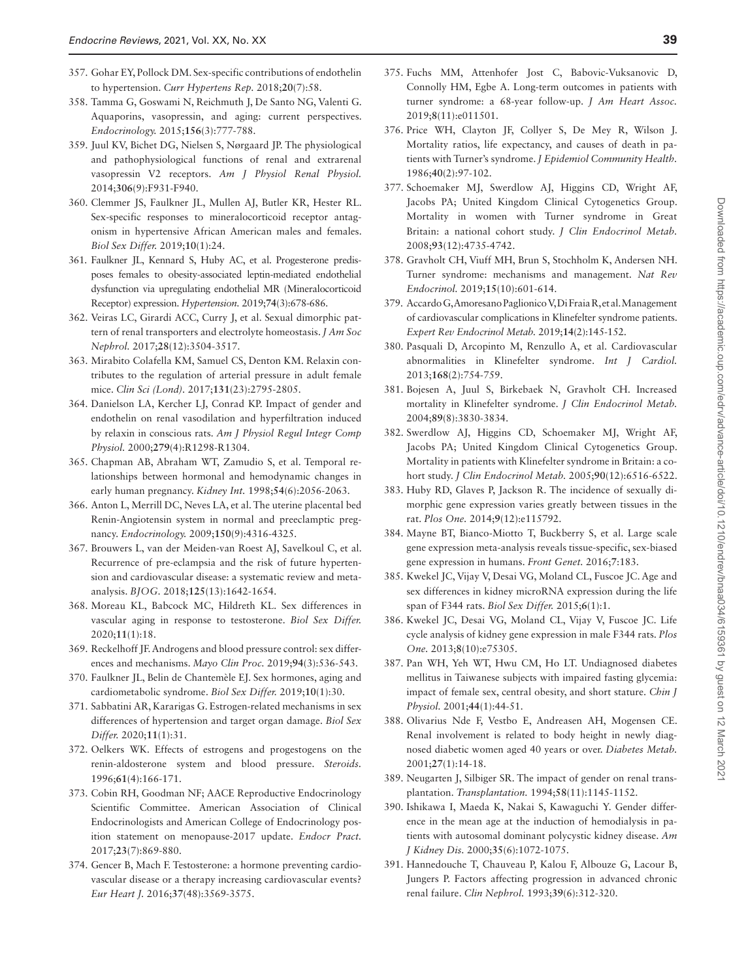- <span id="page-38-0"></span>357. Gohar EY, Pollock DM. Sex-specific contributions of endothelin to hypertension. *Curr Hypertens Rep.* 2018;**20**(7):58.
- <span id="page-38-1"></span>358. Tamma G, Goswami N, Reichmuth J, De Santo NG, Valenti G. Aquaporins, vasopressin, and aging: current perspectives. *Endocrinology.* 2015;**156**(3):777-788.
- <span id="page-38-2"></span>359. Juul KV, Bichet DG, Nielsen S, Nørgaard JP. The physiological and pathophysiological functions of renal and extrarenal vasopressin V2 receptors. *Am J Physiol Renal Physiol.* 2014;**306**(9):F931-F940.
- <span id="page-38-3"></span>360. Clemmer JS, Faulkner JL, Mullen AJ, Butler KR, Hester RL. Sex-specific responses to mineralocorticoid receptor antagonism in hypertensive African American males and females. *Biol Sex Differ.* 2019;**10**(1):24.
- <span id="page-38-4"></span>361. Faulkner JL, Kennard S, Huby AC, et al. Progesterone predisposes females to obesity-associated leptin-mediated endothelial dysfunction via upregulating endothelial MR (Mineralocorticoid Receptor) expression. *Hypertension.* 2019;**74**(3):678-686.
- <span id="page-38-5"></span>362. Veiras LC, Girardi ACC, Curry J, et al. Sexual dimorphic pattern of renal transporters and electrolyte homeostasis. *J Am Soc Nephrol.* 2017;**28**(12):3504-3517.
- <span id="page-38-6"></span>363. Mirabito Colafella KM, Samuel CS, Denton KM. Relaxin contributes to the regulation of arterial pressure in adult female mice. *Clin Sci (Lond).* 2017;**131**(23):2795-2805.
- <span id="page-38-7"></span>364. Danielson LA, Kercher LJ, Conrad KP. Impact of gender and endothelin on renal vasodilation and hyperfiltration induced by relaxin in conscious rats. *Am J Physiol Regul Integr Comp Physiol.* 2000;**279**(4):R1298-R1304.
- <span id="page-38-8"></span>365. Chapman AB, Abraham WT, Zamudio S, et al. Temporal relationships between hormonal and hemodynamic changes in early human pregnancy. *Kidney Int.* 1998;**54**(6):2056-2063.
- <span id="page-38-9"></span>366. Anton L, Merrill DC, Neves LA, et al. The uterine placental bed Renin-Angiotensin system in normal and preeclamptic pregnancy. *Endocrinology.* 2009;**150**(9):4316-4325.
- <span id="page-38-10"></span>367. Brouwers L, van der Meiden-van Roest AJ, Savelkoul C, et al. Recurrence of pre-eclampsia and the risk of future hypertension and cardiovascular disease: a systematic review and metaanalysis. *BJOG.* 2018;**125**(13):1642-1654.
- <span id="page-38-11"></span>368. Moreau KL, Babcock MC, Hildreth KL. Sex differences in vascular aging in response to testosterone. *Biol Sex Differ.* 2020;**11**(1):18.
- 369. Reckelhoff JF. Androgens and blood pressure control: sex differences and mechanisms. *Mayo Clin Proc.* 2019;**94**(3):536-543.
- <span id="page-38-12"></span>370. Faulkner JL, Belin de Chantemèle EJ. Sex hormones, aging and cardiometabolic syndrome. *Biol Sex Differ.* 2019;**10**(1):30.
- <span id="page-38-13"></span>371. Sabbatini AR, Kararigas G. Estrogen-related mechanisms in sex differences of hypertension and target organ damage. *Biol Sex Differ.* 2020;**11**(1):31.
- <span id="page-38-14"></span>372. Oelkers WK. Effects of estrogens and progestogens on the renin-aldosterone system and blood pressure. *Steroids.* 1996;**61**(4):166-171.
- <span id="page-38-15"></span>373. Cobin RH, Goodman NF; AACE Reproductive Endocrinology Scientific Committee. American Association of Clinical Endocrinologists and American College of Endocrinology position statement on menopause-2017 update. *Endocr Pract.* 2017;**23**(7):869-880.
- <span id="page-38-16"></span>374. Gencer B, Mach F. Testosterone: a hormone preventing cardiovascular disease or a therapy increasing cardiovascular events? *Eur Heart J.* 2016;**37**(48):3569-3575.
- <span id="page-38-17"></span>375. Fuchs MM, Attenhofer Jost C, Babovic-Vuksanovic D, Connolly HM, Egbe A. Long-term outcomes in patients with turner syndrome: a 68-year follow-up. *J Am Heart Assoc.* 2019;**8**(11):e011501.
- 376. Price WH, Clayton JF, Collyer S, De Mey R, Wilson J. Mortality ratios, life expectancy, and causes of death in patients with Turner's syndrome. *J Epidemiol Community Health.* 1986;**40**(2):97-102.
- <span id="page-38-18"></span>377. Schoemaker MJ, Swerdlow AJ, Higgins CD, Wright AF, Jacobs PA; United Kingdom Clinical Cytogenetics Group. Mortality in women with Turner syndrome in Great Britain: a national cohort study. *J Clin Endocrinol Metab.* 2008;**93**(12):4735-4742.
- <span id="page-38-19"></span>378. Gravholt CH, Viuff MH, Brun S, Stochholm K, Andersen NH. Turner syndrome: mechanisms and management. *Nat Rev Endocrinol.* 2019;**15**(10):601-614.
- <span id="page-38-20"></span>379. Accardo G, Amoresano Paglionico V, Di Fraia R, et al. Management of cardiovascular complications in Klinefelter syndrome patients. *Expert Rev Endocrinol Metab.* 2019;**14**(2):145-152.
- <span id="page-38-21"></span>380. Pasquali D, Arcopinto M, Renzullo A, et al. Cardiovascular abnormalities in Klinefelter syndrome. *Int J Cardiol.* 2013;**168**(2):754-759.
- <span id="page-38-22"></span>381. Bojesen A, Juul S, Birkebaek N, Gravholt CH. Increased mortality in Klinefelter syndrome. *J Clin Endocrinol Metab.* 2004;**89**(8):3830-3834.
- <span id="page-38-23"></span>382. Swerdlow AJ, Higgins CD, Schoemaker MJ, Wright AF, Jacobs PA; United Kingdom Clinical Cytogenetics Group. Mortality in patients with Klinefelter syndrome in Britain: a cohort study. *J Clin Endocrinol Metab.* 2005;**90**(12):6516-6522.
- <span id="page-38-24"></span>383. Huby RD, Glaves P, Jackson R. The incidence of sexually dimorphic gene expression varies greatly between tissues in the rat. *Plos One.* 2014;**9**(12):e115792.
- <span id="page-38-25"></span>384. Mayne BT, Bianco-Miotto T, Buckberry S, et al. Large scale gene expression meta-analysis reveals tissue-specific, sex-biased gene expression in humans. *Front Genet.* 2016;**7**:183.
- <span id="page-38-27"></span>385. Kwekel JC, Vijay V, Desai VG, Moland CL, Fuscoe JC. Age and sex differences in kidney microRNA expression during the life span of F344 rats. *Biol Sex Differ.* 2015;**6**(1):1.
- <span id="page-38-26"></span>386. Kwekel JC, Desai VG, Moland CL, Vijay V, Fuscoe JC. Life cycle analysis of kidney gene expression in male F344 rats. *Plos One.* 2013;**8**(10):e75305.
- <span id="page-38-28"></span>387. Pan WH, Yeh WT, Hwu CM, Ho LT. Undiagnosed diabetes mellitus in Taiwanese subjects with impaired fasting glycemia: impact of female sex, central obesity, and short stature. *Chin J Physiol.* 2001;**44**(1):44-51.
- 388. Olivarius Nde F, Vestbo E, Andreasen AH, Mogensen CE. Renal involvement is related to body height in newly diagnosed diabetic women aged 40 years or over. *Diabetes Metab.* 2001;**27**(1):14-18.
- 389. Neugarten J, Silbiger SR. The impact of gender on renal transplantation. *Transplantation.* 1994;**58**(11):1145-1152.
- 390. Ishikawa I, Maeda K, Nakai S, Kawaguchi Y. Gender difference in the mean age at the induction of hemodialysis in patients with autosomal dominant polycystic kidney disease. *Am J Kidney Dis.* 2000;**35**(6):1072-1075.
- 391. Hannedouche T, Chauveau P, Kalou F, Albouze G, Lacour B, Jungers P. Factors affecting progression in advanced chronic renal failure. *Clin Nephrol.* 1993;**39**(6):312-320.